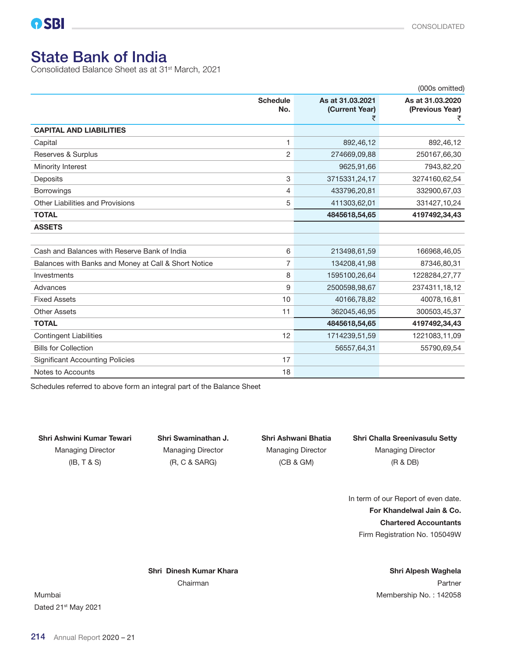# State Bank of India

Consolidated Balance Sheet as at 31st March, 2021

|                                                      |                        |                                         | (000s omitted)                           |
|------------------------------------------------------|------------------------|-----------------------------------------|------------------------------------------|
|                                                      | <b>Schedule</b><br>No. | As at 31.03.2021<br>(Current Year)<br>₹ | As at 31.03.2020<br>(Previous Year)<br>₹ |
| <b>CAPITAL AND LIABILITIES</b>                       |                        |                                         |                                          |
| Capital                                              | 1                      | 892,46,12                               | 892,46,12                                |
| Reserves & Surplus                                   | $\overline{2}$         | 274669,09,88                            | 250167,66,30                             |
| Minority Interest                                    |                        | 9625,91,66                              | 7943,82,20                               |
| <b>Deposits</b>                                      | 3                      | 3715331,24,17                           | 3274160,62,54                            |
| <b>Borrowings</b>                                    | 4                      | 433796,20,81                            | 332900,67,03                             |
| Other Liabilities and Provisions                     | 5                      | 411303,62,01                            | 331427,10,24                             |
| <b>TOTAL</b>                                         |                        | 4845618,54,65                           | 4197492,34,43                            |
| <b>ASSETS</b>                                        |                        |                                         |                                          |
|                                                      |                        |                                         |                                          |
| Cash and Balances with Reserve Bank of India         | 6                      | 213498,61,59                            | 166968,46,05                             |
| Balances with Banks and Money at Call & Short Notice | 7                      | 134208,41,98                            | 87346,80,31                              |
| Investments                                          | 8                      | 1595100,26,64                           | 1228284,27,77                            |
| Advances                                             | 9                      | 2500598,98,67                           | 2374311,18,12                            |
| <b>Fixed Assets</b>                                  | 10                     | 40166,78,82                             | 40078,16,81                              |
| <b>Other Assets</b>                                  | 11                     | 362045,46,95                            | 300503,45,37                             |
| <b>TOTAL</b>                                         |                        | 4845618,54,65                           | 4197492,34,43                            |
| <b>Contingent Liabilities</b>                        | 12                     | 1714239,51,59                           | 1221083,11,09                            |
| <b>Bills for Collection</b>                          |                        | 56557,64,31                             | 55790,69,54                              |
| <b>Significant Accounting Policies</b>               | 17                     |                                         |                                          |
| Notes to Accounts                                    | 18                     |                                         |                                          |

Schedules referred to above form an integral part of the Balance Sheet

 $(IB, T & S)$   $( R, C & SARG)$   $(CB & GM)$   $(RB, T & DB)$ 

# Shri Ashwini Kumar Tewari Shri Swaminathan J. Shri Ashwani Bhatia Shri Challa Sreenivasulu Setty Managing Director Managing Director Managing Director Managing Director

In term of our Report of even date. For Khandelwal Jain & Co. Chartered Accountants Firm Registration No. 105049W

Shri Dinesh Kumar Khara Shri Alpesh Waghela

Chairman **Partner** Chairman **Partner** Chairman **Partner** Chairman **Partner** 

Mumbai Mumbai Mumbai Membership No. : 142058 Dated 21st May 2021

214 Annual Report 2020 – 21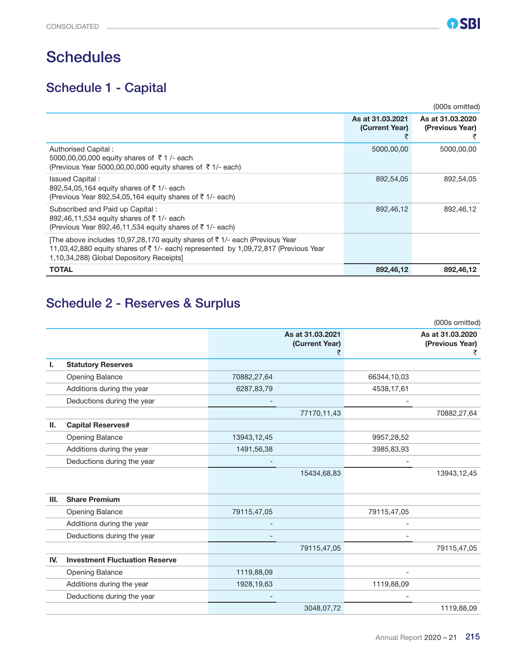# **Schedules**

# Schedule 1 - Capital

|                                                                                                                                                                                                                         |                                    | (000s omitted)                      |
|-------------------------------------------------------------------------------------------------------------------------------------------------------------------------------------------------------------------------|------------------------------------|-------------------------------------|
|                                                                                                                                                                                                                         | As at 31.03.2021<br>(Current Year) | As at 31.03.2020<br>(Previous Year) |
| Authorised Capital:<br>5000,00,00,000 equity shares of $\bar{\tau}$ 1/- each<br>(Previous Year 5000,00,00,000 equity shares of $\bar{\tau}$ 1/- each)                                                                   | 5000,00,00                         | 5000,00,00                          |
| Issued Capital:<br>892,54,05,164 equity shares of ₹1/- each<br>(Previous Year 892,54,05,164 equity shares of $\bar{\tau}$ 1/- each)                                                                                     | 892,54,05                          | 892,54,05                           |
| Subscribed and Paid up Capital:<br>892,46,11,534 equity shares of ₹1/- each<br>(Previous Year 892,46,11,534 equity shares of $\bar{\tau}$ 1/- each)                                                                     | 892,46,12                          | 892,46,12                           |
| The above includes 10,97,28,170 equity shares of $\bar{\tau}$ 1/- each (Previous Year<br>11,03,42,880 equity shares of ₹1/- each) represented by 1,09,72,817 (Previous Year<br>1,10,34,288) Global Depository Receipts] |                                    |                                     |
| <b>TOTAL</b>                                                                                                                                                                                                            | 892,46,12                          | 892,46,12                           |

# Schedule 2 - Reserves & Surplus

|      |                                       |                                         |             | (000s omitted)                      |
|------|---------------------------------------|-----------------------------------------|-------------|-------------------------------------|
|      |                                       | As at 31.03.2021<br>(Current Year)<br>₹ |             | As at 31.03.2020<br>(Previous Year) |
| ı.   | <b>Statutory Reserves</b>             |                                         |             |                                     |
|      | <b>Opening Balance</b>                | 70882,27,64                             | 66344,10,03 |                                     |
|      | Additions during the year             | 6287,83,79                              | 4538,17,61  |                                     |
|      | Deductions during the year            |                                         |             |                                     |
|      |                                       | 77170,11,43                             |             | 70882,27,64                         |
| Ш.   | <b>Capital Reserves#</b>              |                                         |             |                                     |
|      | <b>Opening Balance</b>                | 13943, 12, 45                           | 9957,28,52  |                                     |
|      | Additions during the year             | 1491,56,38                              | 3985,83,93  |                                     |
|      | Deductions during the year            |                                         |             |                                     |
|      |                                       | 15434,68,83                             |             | 13943, 12, 45                       |
| III. | <b>Share Premium</b>                  |                                         |             |                                     |
|      | <b>Opening Balance</b>                | 79115,47,05                             | 79115,47,05 |                                     |
|      | Additions during the year             |                                         |             |                                     |
|      | Deductions during the year            |                                         |             |                                     |
|      |                                       | 79115,47,05                             |             | 79115,47,05                         |
| IV.  | <b>Investment Fluctuation Reserve</b> |                                         |             |                                     |
|      | Opening Balance                       | 1119,88,09                              |             |                                     |
|      | Additions during the year             | 1928, 19, 63                            | 1119,88,09  |                                     |
|      | Deductions during the year            |                                         |             |                                     |
|      |                                       | 3048,07,72                              |             | 1119,88,09                          |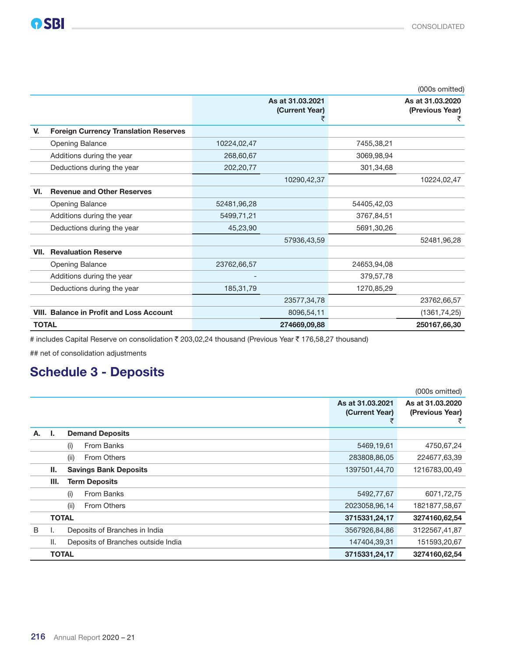|              |                                                 |             |                                         |             | (000s omitted)                           |
|--------------|-------------------------------------------------|-------------|-----------------------------------------|-------------|------------------------------------------|
|              |                                                 |             | As at 31.03.2021<br>(Current Year)<br>₹ |             | As at 31.03.2020<br>(Previous Year)<br>₹ |
| V.           | <b>Foreign Currency Translation Reserves</b>    |             |                                         |             |                                          |
|              | <b>Opening Balance</b>                          | 10224,02,47 |                                         | 7455,38,21  |                                          |
|              | Additions during the year                       | 268,60,67   |                                         | 3069,98,94  |                                          |
|              | Deductions during the year                      | 202,20,77   |                                         | 301,34,68   |                                          |
|              |                                                 |             | 10290,42,37                             |             | 10224,02,47                              |
| VI.          | <b>Revenue and Other Reserves</b>               |             |                                         |             |                                          |
|              | <b>Opening Balance</b>                          | 52481,96,28 |                                         | 54405,42,03 |                                          |
|              | Additions during the year                       | 5499,71,21  |                                         | 3767,84,51  |                                          |
|              | Deductions during the year                      | 45,23,90    |                                         | 5691,30,26  |                                          |
|              |                                                 |             | 57936,43,59                             |             | 52481,96,28                              |
|              | <b>VII. Revaluation Reserve</b>                 |             |                                         |             |                                          |
|              | <b>Opening Balance</b>                          | 23762,66,57 |                                         | 24653,94,08 |                                          |
|              | Additions during the year                       |             |                                         | 379,57,78   |                                          |
|              | Deductions during the year                      | 185, 31, 79 |                                         | 1270,85,29  |                                          |
|              |                                                 |             | 23577,34,78                             |             | 23762,66,57                              |
|              | <b>VIII. Balance in Profit and Loss Account</b> |             | 8096,54,11                              |             | (1361, 74, 25)                           |
| <b>TOTAL</b> |                                                 |             | 274669,09,88                            |             | 250167,66,30                             |

# includes Capital Reserve on consolidation ₹ 203,02,24 thousand (Previous Year ₹ 176,58,27 thousand)

## net of consolidation adjustments

### Schedule 3 - Deposits

|    |              |                                    |                                    | (000s omitted)                      |
|----|--------------|------------------------------------|------------------------------------|-------------------------------------|
|    |              |                                    | As at 31,03,2021<br>(Current Year) | As at 31,03,2020<br>(Previous Year) |
| А. | Ъ.           | <b>Demand Deposits</b>             |                                    |                                     |
|    |              | From Banks<br>(i)                  | 5469,19,61                         | 4750,67,24                          |
|    |              | From Others<br>(ii)                | 283808,86,05                       | 224677,63,39                        |
|    | Ш.           | <b>Savings Bank Deposits</b>       | 1397501,44,70                      | 1216783,00,49                       |
|    | Ш.           | <b>Term Deposits</b>               |                                    |                                     |
|    |              | From Banks<br>(i)                  | 5492,77,67                         | 6071,72,75                          |
|    |              | (ii)<br>From Others                | 2023058,96,14                      | 1821877,58,67                       |
|    | <b>TOTAL</b> |                                    | 3715331,24,17                      | 3274160,62,54                       |
| B  | ь.           | Deposits of Branches in India      | 3567926,84,86                      | 3122567,41,87                       |
|    | Ш.           | Deposits of Branches outside India | 147404,39,31                       | 151593,20,67                        |
|    | <b>TOTAL</b> |                                    | 3715331,24,17                      | 3274160,62,54                       |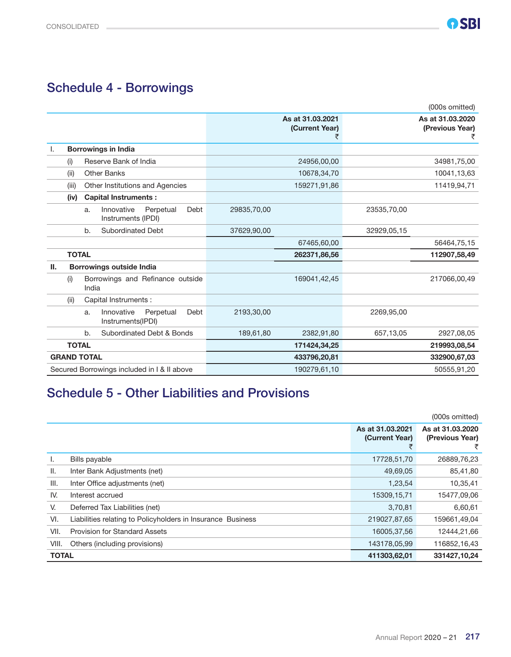### Schedule 4 - Borrowings

|    | (000s omitted)                                              |                                         |                                          |  |
|----|-------------------------------------------------------------|-----------------------------------------|------------------------------------------|--|
|    |                                                             | As at 31.03.2021<br>(Current Year)<br>₹ | As at 31.03.2020<br>(Previous Year)<br>₹ |  |
|    | <b>Borrowings in India</b>                                  |                                         |                                          |  |
|    | Reserve Bank of India<br>(i)                                | 24956,00,00                             | 34981,75,00                              |  |
|    | Other Banks<br>(ii)                                         | 10678,34,70                             | 10041,13,63                              |  |
|    | Other Institutions and Agencies<br>(iii)                    | 159271,91,86                            | 11419,94,71                              |  |
|    | <b>Capital Instruments:</b><br>(iv)                         |                                         |                                          |  |
|    | Innovative<br>Perpetual<br>Debt<br>a.<br>Instruments (IPDI) | 29835,70,00                             | 23535,70,00                              |  |
|    | <b>Subordinated Debt</b><br>b.                              | 37629,90,00                             | 32929,05,15                              |  |
|    |                                                             | 67465,60,00                             | 56464,75,15                              |  |
|    | <b>TOTAL</b>                                                | 262371,86,56                            | 112907,58,49                             |  |
| Ш. | <b>Borrowings outside India</b>                             |                                         |                                          |  |
|    | Borrowings and Refinance outside<br>(i)<br>India            | 169041,42,45                            | 217066,00,49                             |  |
|    | Capital Instruments :<br>(ii)                               |                                         |                                          |  |
|    | Innovative<br>Perpetual<br>Debt<br>a.<br>Instruments(IPDI)  | 2193,30,00                              | 2269,95,00                               |  |
|    | Subordinated Debt & Bonds<br>b.                             | 189,61,80<br>2382,91,80                 | 2927,08,05<br>657,13,05                  |  |
|    | <b>TOTAL</b>                                                | 171424,34,25                            | 219993,08,54                             |  |
|    | <b>GRAND TOTAL</b>                                          | 433796,20,81                            | 332900,67,03                             |  |
|    | Secured Borrowings included in I & II above                 | 190279,61,10                            | 50555,91,20                              |  |

# Schedule 5 - Other Liabilities and Provisions

|              |                                                             |                                    | (000s omitted)                      |
|--------------|-------------------------------------------------------------|------------------------------------|-------------------------------------|
|              |                                                             | As at 31.03.2021<br>(Current Year) | As at 31.03.2020<br>(Previous Year) |
| L.           | Bills payable                                               | 17728,51,70                        | 26889,76,23                         |
| Ш.           | Inter Bank Adjustments (net)                                | 49,69,05                           | 85,41,80                            |
| III.         | Inter Office adjustments (net)                              | 1,23,54                            | 10,35,41                            |
| IV.          | Interest accrued                                            | 15309, 15, 71                      | 15477,09,06                         |
| V.           | Deferred Tax Liabilities (net)                              | 3,70,81                            | 6,60,61                             |
| VI.          | Liabilities relating to Policyholders in Insurance Business | 219027,87,65                       | 159661,49,04                        |
| VII.         | <b>Provision for Standard Assets</b>                        | 16005,37,56                        | 12444,21,66                         |
| VIII.        | Others (including provisions)                               | 143178,05,99                       | 116852,16,43                        |
| <b>TOTAL</b> |                                                             | 411303,62,01                       | 331427,10,24                        |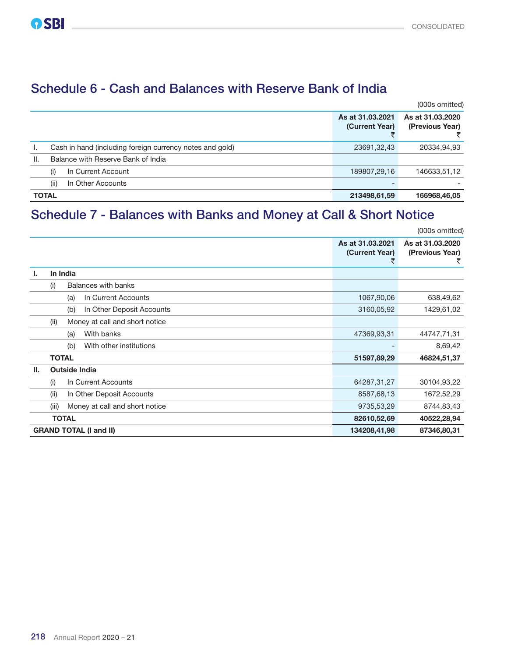### Schedule 6 - Cash and Balances with Reserve Bank of India

|              |                                                          |                                    | (000s omitted)                      |
|--------------|----------------------------------------------------------|------------------------------------|-------------------------------------|
|              |                                                          | As at 31,03,2021<br>(Current Year) | As at 31.03.2020<br>(Previous Year) |
|              | Cash in hand (including foreign currency notes and gold) | 23691,32,43                        | 20334,94,93                         |
| Ш.           | Balance with Reserve Bank of India                       |                                    |                                     |
|              | In Current Account<br>(i)                                | 189807,29,16                       | 146633,51,12                        |
|              | (ii)<br>In Other Accounts                                |                                    |                                     |
| <b>TOTAL</b> |                                                          | 213498,61,59                       | 166968,46,05                        |

### Schedule 7 - Balances with Banks and Money at Call & Short Notice

|     |       |                                  |                                    | (000s omitted)                           |
|-----|-------|----------------------------------|------------------------------------|------------------------------------------|
|     |       |                                  | As at 31.03.2021<br>(Current Year) | As at 31,03,2020<br>(Previous Year)<br>₹ |
| Ъ.  |       | In India                         |                                    |                                          |
|     | (i)   | Balances with banks              |                                    |                                          |
|     |       | In Current Accounts<br>(a)       | 1067,90,06                         | 638,49,62                                |
|     |       | In Other Deposit Accounts<br>(b) | 3160,05,92                         | 1429,61,02                               |
|     | (ii)  | Money at call and short notice   |                                    |                                          |
|     |       | With banks<br>(a)                | 47369,93,31                        | 44747,71,31                              |
|     |       | With other institutions<br>(b)   |                                    | 8,69,42                                  |
|     |       | <b>TOTAL</b>                     | 51597,89,29                        | 46824,51,37                              |
| II. |       | <b>Outside India</b>             |                                    |                                          |
|     | (i)   | In Current Accounts              | 64287,31,27                        | 30104,93,22                              |
|     | (ii)  | In Other Deposit Accounts        | 8587,68,13                         | 1672,52,29                               |
|     | (iii) | Money at call and short notice   | 9735,53,29                         | 8744,83,43                               |
|     |       | <b>TOTAL</b>                     | 82610,52,69                        | 40522,28,94                              |
|     |       | <b>GRAND TOTAL (I and II)</b>    | 134208,41,98                       | 87346,80,31                              |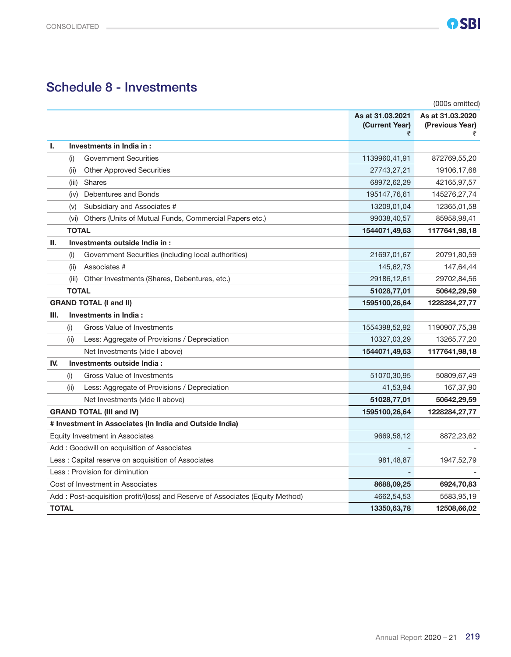### Schedule 8 - Investments

|              |              |                                                                               |                                         | (000s omitted)                           |
|--------------|--------------|-------------------------------------------------------------------------------|-----------------------------------------|------------------------------------------|
|              |              |                                                                               | As at 31.03.2021<br>(Current Year)<br>₹ | As at 31.03.2020<br>(Previous Year)<br>₹ |
| Ъ.           |              | Investments in India in:                                                      |                                         |                                          |
|              | (i)          | <b>Government Securities</b>                                                  | 1139960,41,91                           | 872769,55,20                             |
|              | (ii)         | <b>Other Approved Securities</b>                                              | 27743,27,21                             | 19106,17,68                              |
|              | (iii)        | <b>Shares</b>                                                                 | 68972,62,29                             | 42165,97,57                              |
|              | (iv)         | Debentures and Bonds                                                          | 195147,76,61                            | 145276,27,74                             |
|              | (v)          | Subsidiary and Associates #                                                   | 13209,01,04                             | 12365,01,58                              |
|              | (vi)         | Others (Units of Mutual Funds, Commercial Papers etc.)                        | 99038,40,57                             | 85958,98,41                              |
|              | <b>TOTAL</b> |                                                                               | 1544071,49,63                           | 1177641,98,18                            |
| Ш.           |              | Investments outside India in:                                                 |                                         |                                          |
|              | (i)          | Government Securities (including local authorities)                           | 21697,01,67                             | 20791,80,59                              |
|              | (ii)         | Associates #                                                                  | 145,62,73                               | 147,64,44                                |
|              | (iii)        | Other Investments (Shares, Debentures, etc.)                                  | 29186,12,61                             | 29702,84,56                              |
|              | <b>TOTAL</b> |                                                                               |                                         | 50642,29,59                              |
|              |              | <b>GRAND TOTAL (I and II)</b>                                                 | 1595100,26,64                           | 1228284,27,77                            |
| III.         |              | Investments in India:                                                         |                                         |                                          |
|              | (i)          | Gross Value of Investments                                                    | 1554398,52,92                           | 1190907,75,38                            |
|              | (ii)         | Less: Aggregate of Provisions / Depreciation                                  | 10327,03,29                             | 13265,77,20                              |
|              |              | Net Investments (vide I above)                                                | 1544071,49,63                           | 1177641,98,18                            |
| IV.          |              | Investments outside India:                                                    |                                         |                                          |
|              | (i)          | Gross Value of Investments                                                    | 51070,30,95                             | 50809,67,49                              |
|              | (ii)         | Less: Aggregate of Provisions / Depreciation                                  | 41,53,94                                | 167,37,90                                |
|              |              | Net Investments (vide II above)                                               | 51028,77,01                             | 50642,29,59                              |
|              |              | <b>GRAND TOTAL (III and IV)</b>                                               | 1595100,26,64                           | 1228284,27,77                            |
|              |              | # Investment in Associates (In India and Outside India)                       |                                         |                                          |
|              |              | Equity Investment in Associates                                               | 9669,58,12                              | 8872,23,62                               |
|              |              | Add: Goodwill on acquisition of Associates                                    |                                         |                                          |
|              |              | Less : Capital reserve on acquisition of Associates                           | 981,48,87                               | 1947,52,79                               |
|              |              | Less: Provision for diminution                                                |                                         |                                          |
|              |              | Cost of Investment in Associates                                              | 8688,09,25                              | 6924,70,83                               |
|              |              | Add: Post-acquisition profit/(loss) and Reserve of Associates (Equity Method) | 4662,54,53                              | 5583,95,19                               |
| <b>TOTAL</b> |              |                                                                               | 13350,63,78                             | 12508,66,02                              |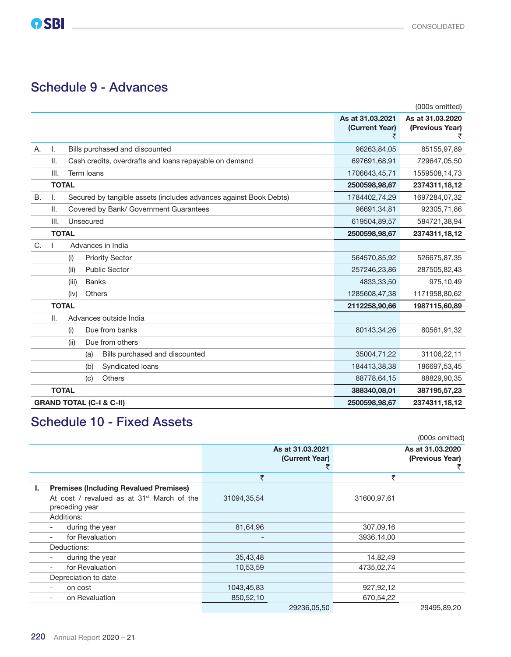### Schedule 9 - Advances

|           |              |              |                                                                   |                                         | (000s omitted)                           |
|-----------|--------------|--------------|-------------------------------------------------------------------|-----------------------------------------|------------------------------------------|
|           |              |              |                                                                   | As at 31.03.2021<br>(Current Year)<br>₹ | As at 31.03.2020<br>(Previous Year)<br>₹ |
| Α.        | I.           |              | Bills purchased and discounted                                    | 96263,84,05                             | 85155,97,89                              |
|           | Ш.           |              | Cash credits, overdrafts and loans repayable on demand            | 697691,68,91                            | 729647,05,50                             |
|           | III.         |              | Term Ioans                                                        | 1706643,45,71                           | 1559508,14,73                            |
|           |              | <b>TOTAL</b> |                                                                   | 2500598,98,67                           | 2374311, 18, 12                          |
| <b>B.</b> | L.           |              | Secured by tangible assets (includes advances against Book Debts) | 1784402,74,29                           | 1697284,07,32                            |
|           | Ш.           |              | Covered by Bank/ Government Guarantees                            | 96691,34,81                             | 92305,71,86                              |
|           | III.         |              | Unsecured                                                         | 619504,89,57                            | 584721,38,94                             |
|           |              | <b>TOTAL</b> |                                                                   | 2500598,98,67                           | 2374311, 18, 12                          |
| C.        | $\mathbf{I}$ |              | Advances in India                                                 |                                         |                                          |
|           |              | (i)          | <b>Priority Sector</b>                                            | 564570,85,92                            | 526675,87,35                             |
|           |              | (ii)         | <b>Public Sector</b>                                              | 257246,23,86                            | 287505,82,43                             |
|           |              | (iii)        | <b>Banks</b>                                                      | 4833,33,50                              | 975,10,49                                |
|           |              | (iv)         | <b>Others</b>                                                     | 1285608,47,38                           | 1171958,80,62                            |
|           |              | <b>TOTAL</b> |                                                                   | 2112258,90,66                           | 1987115,60,89                            |
|           | Ш.           |              | Advances outside India                                            |                                         |                                          |
|           |              | (i)          | Due from banks                                                    | 80143,34,26                             | 80561,91,32                              |
|           |              | (ii)         | Due from others                                                   |                                         |                                          |
|           |              |              | Bills purchased and discounted<br>(a)                             | 35004,71,22                             | 31106,22,11                              |
|           |              |              | Syndicated loans<br>(b)                                           | 184413,38,38                            | 186697,53,45                             |
|           |              |              | <b>Others</b><br>(c)                                              | 88778,64,15                             | 88829,90,35                              |
|           |              | <b>TOTAL</b> |                                                                   | 388340,08,01                            | 387195,57,23                             |
|           |              |              | <b>GRAND TOTAL (C-I &amp; C-II)</b>                               | 2500598,98,67                           | 2374311,18,12                            |

# Schedule 10 - Fixed Assets

|    |                                                                          |                          |                                    |             | (000s omitted)                           |
|----|--------------------------------------------------------------------------|--------------------------|------------------------------------|-------------|------------------------------------------|
|    |                                                                          |                          | As at 31,03,2021<br>(Current Year) |             | As at 31,03,2020<br>(Previous Year)<br>₹ |
|    |                                                                          | ₹                        |                                    | ₹           |                                          |
| ı. | <b>Premises (Including Revalued Premises)</b>                            |                          |                                    |             |                                          |
|    | At cost / revalued as at 31 <sup>st</sup> March of the<br>preceding year | 31094, 35, 54            |                                    | 31600,97,61 |                                          |
|    | Additions:                                                               |                          |                                    |             |                                          |
|    | during the year                                                          | 81,64,96                 |                                    | 307,09,16   |                                          |
|    | for Revaluation<br>$\overline{\phantom{a}}$                              | $\overline{\phantom{0}}$ |                                    | 3936,14,00  |                                          |
|    | Deductions:                                                              |                          |                                    |             |                                          |
|    | during the year                                                          | 35,43,48                 |                                    | 14,82,49    |                                          |
|    | for Revaluation<br>$\overline{\phantom{0}}$                              | 10,53,59                 |                                    | 4735,02,74  |                                          |
|    | Depreciation to date                                                     |                          |                                    |             |                                          |
|    | on cost                                                                  | 1043,45,83               |                                    | 927,92,12   |                                          |
|    | on Revaluation                                                           | 850,52,10                |                                    | 670,54,22   |                                          |
|    |                                                                          |                          | 29236,05,50                        |             | 29495,89,20                              |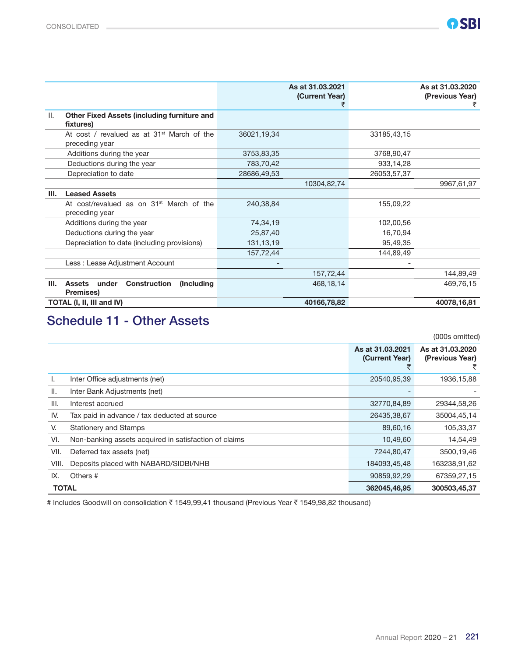|                                                                          |             | As at 31.03.2021<br>(Current Year)<br>₹ |             | As at 31,03,2020<br>(Previous Year)<br>₹ |
|--------------------------------------------------------------------------|-------------|-----------------------------------------|-------------|------------------------------------------|
| II.<br><b>Other Fixed Assets (including furniture and</b><br>fixtures)   |             |                                         |             |                                          |
| At cost / revalued as at 31 <sup>st</sup> March of the<br>preceding year | 36021,19,34 |                                         | 33185,43,15 |                                          |
| Additions during the year                                                | 3753,83,35  |                                         | 3768,90,47  |                                          |
| Deductions during the year                                               | 783,70,42   |                                         | 933,14,28   |                                          |
| Depreciation to date                                                     | 28686,49,53 |                                         | 26053,57,37 |                                          |
|                                                                          |             | 10304,82,74                             |             | 9967,61,97                               |
| <b>Leased Assets</b><br>III.                                             |             |                                         |             |                                          |
| At cost/revalued as on 31 <sup>st</sup> March of the<br>preceding year   | 240,38,84   |                                         | 155,09,22   |                                          |
| Additions during the year                                                | 74,34,19    |                                         | 102,00,56   |                                          |
| Deductions during the year                                               | 25,87,40    |                                         | 16,70,94    |                                          |
| Depreciation to date (including provisions)                              | 131, 13, 19 |                                         | 95,49,35    |                                          |
|                                                                          | 157,72,44   |                                         | 144,89,49   |                                          |
| Less : Lease Adjustment Account                                          |             |                                         |             |                                          |
|                                                                          |             | 157,72,44                               |             | 144,89,49                                |
| Ш.<br><b>Construction</b><br>Assets under<br>(Including)<br>Premises)    |             | 468,18,14                               |             | 469,76,15                                |
| TOTAL (I, II, III and IV)                                                |             | 40166,78,82                             |             | 40078,16,81                              |

### Schedule 11 - Other Assets

|                              |                                                       |                                    | (000s omitted)                      |
|------------------------------|-------------------------------------------------------|------------------------------------|-------------------------------------|
|                              |                                                       | As at 31.03.2021<br>(Current Year) | As at 31.03.2020<br>(Previous Year) |
| Ъ.                           | Inter Office adjustments (net)                        | 20540,95,39                        | 1936, 15, 88                        |
| II.                          | Inter Bank Adjustments (net)                          |                                    |                                     |
| III.                         | Interest accrued                                      | 32770,84,89                        | 29344,58,26                         |
| IV.                          | Tax paid in advance / tax deducted at source          | 26435,38,67                        | 35004,45,14                         |
| V.                           | <b>Stationery and Stamps</b>                          | 89,60,16                           | 105,33,37                           |
| VI.                          | Non-banking assets acquired in satisfaction of claims | 10,49,60                           | 14,54,49                            |
| VII.                         | Deferred tax assets (net)                             | 7244,80,47                         | 3500,19,46                          |
| VIII.                        | Deposits placed with NABARD/SIDBI/NHB                 | 184093,45,48                       | 163238,91,62                        |
| IX.                          | Others #                                              | 90859,92,29                        | 67359,27,15                         |
| <b>TOTAL</b><br>362045,46,95 |                                                       |                                    | 300503,45,37                        |

# Includes Goodwill on consolidation ₹ 1549,99,41 thousand (Previous Year ₹ 1549,98,82 thousand)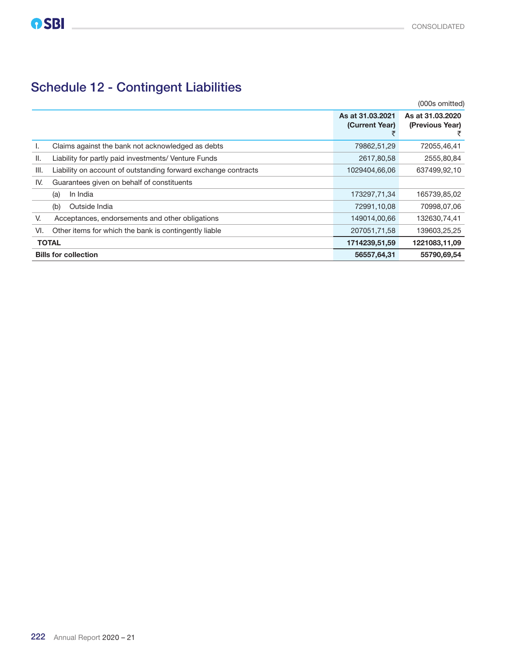# Schedule 12 - Contingent Liabilities

|      |                                                                |                                    | (000s omitted)                      |
|------|----------------------------------------------------------------|------------------------------------|-------------------------------------|
|      |                                                                | As at 31.03.2021<br>(Current Year) | As at 31,03,2020<br>(Previous Year) |
| ı.   | Claims against the bank not acknowledged as debts              | 79862,51,29                        | 72055,46,41                         |
| II.  | Liability for partly paid investments/ Venture Funds           | 2617,80,58                         | 2555,80,84                          |
| III. | Liability on account of outstanding forward exchange contracts | 1029404.66.06                      | 637499,92,10                        |
| IV.  | Guarantees given on behalf of constituents                     |                                    |                                     |
|      | In India<br>(a)                                                | 173297,71,34                       | 165739,85,02                        |
|      | Outside India<br>(b)                                           | 72991,10,08                        | 70998,07,06                         |
| V.   | Acceptances, endorsements and other obligations                | 149014,00,66                       | 132630,74,41                        |
| VI.  | Other items for which the bank is contingently liable          | 207051,71,58                       | 139603,25,25                        |
|      | <b>TOTAL</b>                                                   | 1714239,51,59                      | 1221083,11,09                       |
|      | <b>Bills for collection</b>                                    | 56557,64,31                        | 55790,69,54                         |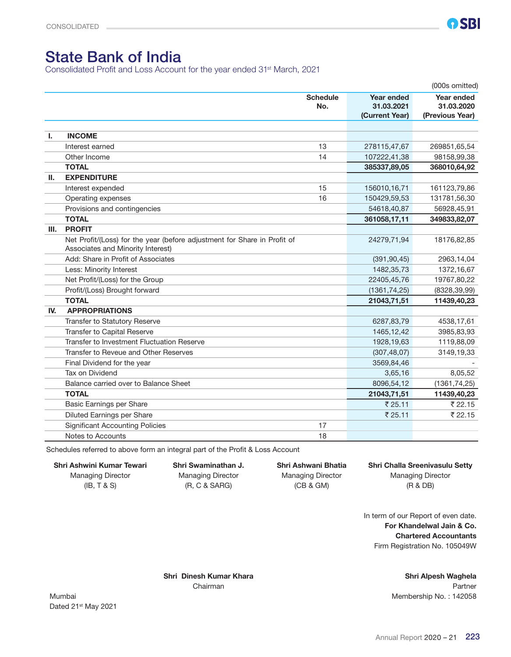### State Bank of India

Consolidated Profit and Loss Account for the year ended 31st March, 2021

|     |                                                                                                               |                        |                                                   | (000s omitted)                              |
|-----|---------------------------------------------------------------------------------------------------------------|------------------------|---------------------------------------------------|---------------------------------------------|
|     |                                                                                                               | <b>Schedule</b><br>No. | <b>Year ended</b><br>31.03.2021<br>(Current Year) | Year ended<br>31.03.2020<br>(Previous Year) |
|     |                                                                                                               |                        |                                                   |                                             |
| Ι.  | <b>INCOME</b>                                                                                                 |                        |                                                   |                                             |
|     | Interest earned                                                                                               | 13                     | 278115,47,67                                      | 269851,65,54                                |
|     | Other Income                                                                                                  | 14                     | 107222,41,38                                      | 98158,99,38                                 |
|     | <b>TOTAL</b>                                                                                                  |                        | 385337,89,05                                      | 368010,64,92                                |
| Ш.  | <b>EXPENDITURE</b>                                                                                            |                        |                                                   |                                             |
|     | Interest expended                                                                                             | 15                     | 156010,16,71                                      | 161123,79,86                                |
|     | Operating expenses                                                                                            | 16                     | 150429,59,53                                      | 131781,56,30                                |
|     | Provisions and contingencies                                                                                  |                        | 54618,40,87                                       | 56928,45,91                                 |
|     | <b>TOTAL</b>                                                                                                  |                        | 361058,17,11                                      | 349833,82,07                                |
| Ш.  | <b>PROFIT</b>                                                                                                 |                        |                                                   |                                             |
|     | Net Profit/(Loss) for the year (before adjustment for Share in Profit of<br>Associates and Minority Interest) |                        | 24279,71,94                                       | 18176,82,85                                 |
|     | Add: Share in Profit of Associates                                                                            |                        | (391, 90, 45)                                     | 2963,14,04                                  |
|     | Less: Minority Interest                                                                                       |                        | 1482,35,73                                        | 1372,16,67                                  |
|     | Net Profit/(Loss) for the Group                                                                               |                        | 22405,45,76                                       | 19767,80,22                                 |
|     | Profit/(Loss) Brought forward                                                                                 |                        | (1361, 74, 25)                                    | (8328, 39, 99)                              |
|     | <b>TOTAL</b>                                                                                                  |                        | 21043,71,51                                       | 11439,40,23                                 |
| IV. | <b>APPROPRIATIONS</b>                                                                                         |                        |                                                   |                                             |
|     | Transfer to Statutory Reserve                                                                                 |                        | 6287,83,79                                        | 4538,17,61                                  |
|     | Transfer to Capital Reserve                                                                                   |                        | 1465, 12, 42                                      | 3985,83,93                                  |
|     | Transfer to Investment Fluctuation Reserve                                                                    |                        | 1928, 19, 63                                      | 1119,88,09                                  |
|     | Transfer to Reveue and Other Reserves                                                                         |                        | (307, 48, 07)                                     | 3149,19,33                                  |
|     | Final Dividend for the year                                                                                   |                        | 3569,84,46                                        |                                             |
|     | Tax on Dividend                                                                                               |                        | 3,65,16                                           | 8,05,52                                     |
|     | Balance carried over to Balance Sheet                                                                         |                        | 8096,54,12                                        | (1361, 74, 25)                              |
|     | <b>TOTAL</b>                                                                                                  |                        | 21043,71,51                                       | 11439,40,23                                 |
|     | Basic Earnings per Share                                                                                      |                        | ₹25.11                                            | ₹22.15                                      |
|     | Diluted Earnings per Share                                                                                    |                        | ₹ 25.11                                           | ₹22.15                                      |
|     | <b>Significant Accounting Policies</b>                                                                        | 17                     |                                                   |                                             |
|     | Notes to Accounts                                                                                             | 18                     |                                                   |                                             |

Schedules referred to above form an integral part of the Profit & Loss Account

# Shri Ashwini Kumar Tewari Shri Swaminathan J. Shri Ashwani Bhatia Shri Challa Sreenivasulu Setty

(IB, T & S) (R, C & SARG) (CB & GM) (R & DB)

Managing Director Managing Director Managing Director Managing Director

In term of our Report of even date. For Khandelwal Jain & Co. Chartered Accountants Firm Registration No. 105049W

Shri Dinesh Kumar Khara Shri Alpesh Waghela Chairman Partner

Mumbai Mumbai Membership No. : 142058 Dated 21st May 2021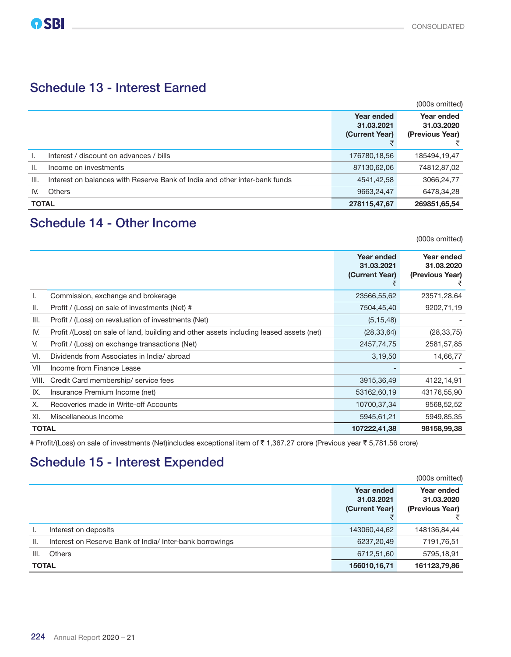### Schedule 13 - Interest Earned

|              |                                                                            |                                            | (000s omitted)                              |
|--------------|----------------------------------------------------------------------------|--------------------------------------------|---------------------------------------------|
|              |                                                                            | Year ended<br>31.03.2021<br>(Current Year) | Year ended<br>31.03.2020<br>(Previous Year) |
|              | Interest / discount on advances / bills                                    | 176780,18,56                               | 185494,19,47                                |
| ΙΙ.          | Income on investments                                                      | 87130,62,06                                | 74812,87,02                                 |
| III.         | Interest on balances with Reserve Bank of India and other inter-bank funds | 4541,42,58                                 | 3066,24,77                                  |
| IV.          | <b>Others</b>                                                              | 9663,24,47                                 | 6478,34,28                                  |
| <b>TOTAL</b> |                                                                            | 278115,47,67                               | 269851,65,54                                |

### Schedule 14 - Other Income

(000s omitted)

|              |                                                                                         | Year ended<br>31.03.2021<br>(Current Year) | Year ended<br>31.03.2020<br>(Previous Year) |
|--------------|-----------------------------------------------------------------------------------------|--------------------------------------------|---------------------------------------------|
| Ι.           | Commission, exchange and brokerage                                                      | 23566,55,62                                | 23571,28,64                                 |
| II.          | Profit / (Loss) on sale of investments (Net) #                                          | 7504,45,40                                 | 9202,71,19                                  |
| III.         | Profit / (Loss) on revaluation of investments (Net)                                     | (5, 15, 48)                                |                                             |
| IV.          | Profit /(Loss) on sale of land, building and other assets including leased assets (net) | (28, 33, 64)                               | (28, 33, 75)                                |
| V.           | Profit / (Loss) on exchange transactions (Net)                                          | 2457,74,75                                 | 2581,57,85                                  |
| VI.          | Dividends from Associates in India/abroad                                               | 3,19,50                                    | 14,66,77                                    |
| VII          | Income from Finance Lease                                                               |                                            |                                             |
| VIII.        | Credit Card membership/service fees                                                     | 3915,36,49                                 | 4122,14,91                                  |
| IX.          | Insurance Premium Income (net)                                                          | 53162,60,19                                | 43176,55,90                                 |
| Х.           | Recoveries made in Write-off Accounts                                                   | 10700,37,34                                | 9568,52,52                                  |
| XI.          | Miscellaneous Income                                                                    | 5945,61,21                                 | 5949,85,35                                  |
| <b>TOTAL</b> |                                                                                         | 107222,41,38                               | 98158,99,38                                 |

# Profit/(Loss) on sale of investments (Net)includes exceptional item of ₹ 1,367.27 crore (Previous year ₹ 5,781.56 crore)

# Schedule 15 - Interest Expended

|                                |                                                          |                                            | (000s omitted)                              |
|--------------------------------|----------------------------------------------------------|--------------------------------------------|---------------------------------------------|
|                                |                                                          | Year ended<br>31.03.2021<br>(Current Year) | Year ended<br>31.03.2020<br>(Previous Year) |
|                                | Interest on deposits                                     | 143060,44,62                               | 148136,84,44                                |
| Ш.                             | Interest on Reserve Bank of India/ Inter-bank borrowings | 6237,20,49                                 | 7191,76,51                                  |
| III.                           | <b>Others</b>                                            | 6712,51,60                                 | 5795,18,91                                  |
| <b>TOTAL</b><br>156010, 16, 71 |                                                          |                                            | 161123,79,86                                |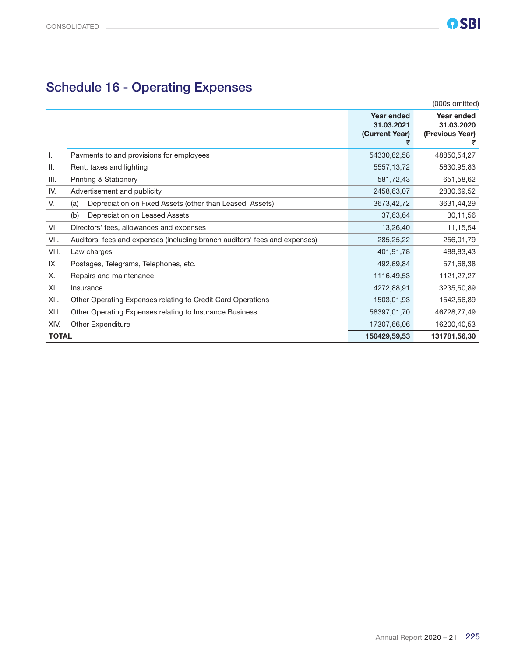# Schedule 16 - Operating Expenses

|              | $-1$ -poles and $-1$                                                       |                                            |                                             |
|--------------|----------------------------------------------------------------------------|--------------------------------------------|---------------------------------------------|
|              |                                                                            |                                            | (000s omitted)                              |
|              |                                                                            | Year ended<br>31.03.2021<br>(Current Year) | Year ended<br>31.03.2020<br>(Previous Year) |
| ı.           | Payments to and provisions for employees                                   | 54330,82,58                                | 48850,54,27                                 |
| Ш.           | Rent, taxes and lighting                                                   | 5557, 13, 72                               | 5630,95,83                                  |
| III.         | Printing & Stationery                                                      | 581,72,43                                  | 651,58,62                                   |
| IV.          | Advertisement and publicity                                                | 2458,63,07                                 | 2830,69,52                                  |
| V.           | Depreciation on Fixed Assets (other than Leased Assets)<br>(a)             | 3673,42,72                                 | 3631,44,29                                  |
|              | Depreciation on Leased Assets<br>(b)                                       | 37,63,64                                   | 30,11,56                                    |
| VI.          | Directors' fees, allowances and expenses                                   | 13,26,40                                   | 11,15,54                                    |
| VII.         | Auditors' fees and expenses (including branch auditors' fees and expenses) | 285,25,22                                  | 256,01,79                                   |
| VIII.        | Law charges                                                                | 401,91,78                                  | 488,83,43                                   |
| IX.          | Postages, Telegrams, Telephones, etc.                                      | 492,69,84                                  | 571,68,38                                   |
| Х.           | Repairs and maintenance                                                    | 1116,49,53                                 | 1121,27,27                                  |
| XI.          | Insurance                                                                  | 4272,88,91                                 | 3235,50,89                                  |
| XII.         | Other Operating Expenses relating to Credit Card Operations                | 1503,01,93                                 | 1542,56,89                                  |
| XIII.        | Other Operating Expenses relating to Insurance Business                    | 58397,01,70                                | 46728,77,49                                 |
| XIV.         | <b>Other Expenditure</b>                                                   | 17307,66,06                                | 16200,40,53                                 |
| <b>TOTAL</b> |                                                                            | 150429,59,53                               | 131781,56,30                                |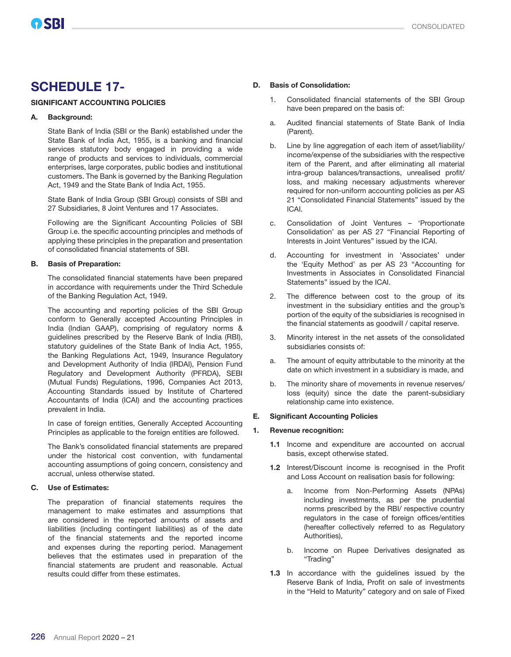### SCHEDULE 17-

#### SIGNIFICANT ACCOUNTING POLICIES

#### A. Background:

State Bank of India (SBI or the Bank) established under the State Bank of India Act, 1955, is a banking and financial services statutory body engaged in providing a wide range of products and services to individuals, commercial enterprises, large corporates, public bodies and institutional customers. The Bank is governed by the Banking Regulation Act, 1949 and the State Bank of India Act, 1955.

State Bank of India Group (SBI Group) consists of SBI and 27 Subsidiaries, 8 Joint Ventures and 17 Associates.

Following are the Significant Accounting Policies of SBI Group i.e. the specific accounting principles and methods of applying these principles in the preparation and presentation of consolidated financial statements of SBI.

#### B. Basis of Preparation:

The consolidated financial statements have been prepared in accordance with requirements under the Third Schedule of the Banking Regulation Act, 1949.

The accounting and reporting policies of the SBI Group conform to Generally accepted Accounting Principles in India (Indian GAAP), comprising of regulatory norms & guidelines prescribed by the Reserve Bank of India (RBI), statutory guidelines of the State Bank of India Act, 1955, the Banking Regulations Act, 1949, Insurance Regulatory and Development Authority of India (IRDAI), Pension Fund Regulatory and Development Authority (PFRDA), SEBI (Mutual Funds) Regulations, 1996, Companies Act 2013, Accounting Standards issued by Institute of Chartered Accountants of India (ICAI) and the accounting practices prevalent in India.

In case of foreign entities, Generally Accepted Accounting Principles as applicable to the foreign entities are followed.

The Bank's consolidated financial statements are prepared under the historical cost convention, with fundamental accounting assumptions of going concern, consistency and accrual, unless otherwise stated.

#### C. Use of Estimates:

The preparation of financial statements requires the management to make estimates and assumptions that are considered in the reported amounts of assets and liabilities (including contingent liabilities) as of the date of the financial statements and the reported income and expenses during the reporting period. Management believes that the estimates used in preparation of the financial statements are prudent and reasonable. Actual results could differ from these estimates.

#### D. Basis of Consolidation:

- 1. Consolidated financial statements of the SBI Group have been prepared on the basis of:
- a. Audited financial statements of State Bank of India (Parent).
- b. Line by line aggregation of each item of asset/liability/ income/expense of the subsidiaries with the respective item of the Parent, and after eliminating all material intra-group balances/transactions, unrealised profit/ loss, and making necessary adjustments wherever required for non-uniform accounting policies as per AS 21 "Consolidated Financial Statements" issued by the ICAI.
- c. Consolidation of Joint Ventures 'Proportionate Consolidation' as per AS 27 "Financial Reporting of Interests in Joint Ventures" issued by the ICAI.
- d. Accounting for investment in 'Associates' under the 'Equity Method' as per AS 23 "Accounting for Investments in Associates in Consolidated Financial Statements" issued by the ICAI.
- 2. The difference between cost to the group of its investment in the subsidiary entities and the group's portion of the equity of the subsidiaries is recognised in the financial statements as goodwill / capital reserve.
- 3. Minority interest in the net assets of the consolidated subsidiaries consists of:
- a. The amount of equity attributable to the minority at the date on which investment in a subsidiary is made, and
- b. The minority share of movements in revenue reserves/ loss (equity) since the date the parent-subsidiary relationship came into existence.

#### E. Significant Accounting Policies

#### 1. Revenue recognition:

- 1.1 Income and expenditure are accounted on accrual basis, except otherwise stated.
- 1.2 Interest/Discount income is recognised in the Profit and Loss Account on realisation basis for following:
	- a. Income from Non-Performing Assets (NPAs) including investments, as per the prudential norms prescribed by the RBI/ respective country regulators in the case of foreign offices/entities (hereafter collectively referred to as Regulatory Authorities),
	- b. Income on Rupee Derivatives designated as "Trading"
- 1.3 In accordance with the guidelines issued by the Reserve Bank of India, Profit on sale of investments in the "Held to Maturity" category and on sale of Fixed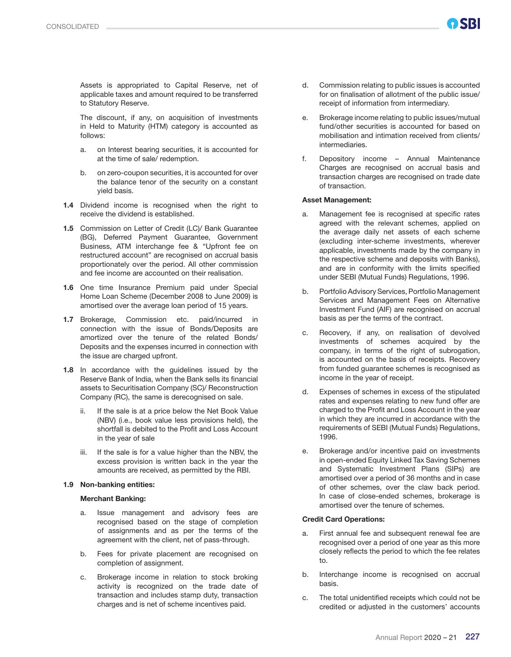Assets is appropriated to Capital Reserve, net of applicable taxes and amount required to be transferred to Statutory Reserve.

 The discount, if any, on acquisition of investments in Held to Maturity (HTM) category is accounted as follows:

- a. on Interest bearing securities, it is accounted for at the time of sale/ redemption.
- b. on zero-coupon securities, it is accounted for over the balance tenor of the security on a constant yield basis.
- 1.4 Dividend income is recognised when the right to receive the dividend is established.
- 1.5 Commission on Letter of Credit (LC)/ Bank Guarantee (BG), Deferred Payment Guarantee, Government Business, ATM interchange fee & "Upfront fee on restructured account" are recognised on accrual basis proportionately over the period. All other commission and fee income are accounted on their realisation.
- 1.6 One time Insurance Premium paid under Special Home Loan Scheme (December 2008 to June 2009) is amortised over the average loan period of 15 years.
- 1.7 Brokerage, Commission etc. paid/incurred in connection with the issue of Bonds/Deposits are amortized over the tenure of the related Bonds/ Deposits and the expenses incurred in connection with the issue are charged upfront.
- 1.8 In accordance with the guidelines issued by the Reserve Bank of India, when the Bank sells its financial assets to Securitisation Company (SC)/ Reconstruction Company (RC), the same is derecognised on sale.
	- ii. If the sale is at a price below the Net Book Value (NBV) (i.e., book value less provisions held), the shortfall is debited to the Profit and Loss Account in the year of sale
	- iii. If the sale is for a value higher than the NBV, the excess provision is written back in the year the amounts are received, as permitted by the RBI.

#### 1.9 Non-banking entities:

#### Merchant Banking:

- a. Issue management and advisory fees are recognised based on the stage of completion of assignments and as per the terms of the agreement with the client, net of pass-through.
- b. Fees for private placement are recognised on completion of assignment.
- c. Brokerage income in relation to stock broking activity is recognized on the trade date of transaction and includes stamp duty, transaction charges and is net of scheme incentives paid.
- d. Commission relating to public issues is accounted for on finalisation of allotment of the public issue/ receipt of information from intermediary.
- e. Brokerage income relating to public issues/mutual fund/other securities is accounted for based on mobilisation and intimation received from clients/ intermediaries.
- f. Depository income Annual Maintenance Charges are recognised on accrual basis and transaction charges are recognised on trade date of transaction.

#### Asset Management:

- a. Management fee is recognised at specific rates agreed with the relevant schemes, applied on the average daily net assets of each scheme (excluding inter-scheme investments, wherever applicable, investments made by the company in the respective scheme and deposits with Banks), and are in conformity with the limits specified under SEBI (Mutual Funds) Regulations, 1996.
- b. Portfolio Advisory Services, Portfolio Management Services and Management Fees on Alternative Investment Fund (AIF) are recognised on accrual basis as per the terms of the contract.
- c. Recovery, if any, on realisation of devolved investments of schemes acquired by the company, in terms of the right of subrogation, is accounted on the basis of receipts. Recovery from funded guarantee schemes is recognised as income in the year of receipt.
- d. Expenses of schemes in excess of the stipulated rates and expenses relating to new fund offer are charged to the Profit and Loss Account in the year in which they are incurred in accordance with the requirements of SEBI (Mutual Funds) Regulations, 1996.
- e. Brokerage and/or incentive paid on investments in open-ended Equity Linked Tax Saving Schemes and Systematic Investment Plans (SIPs) are amortised over a period of 36 months and in case of other schemes, over the claw back period. In case of close-ended schemes, brokerage is amortised over the tenure of schemes.

#### Credit Card Operations:

- a. First annual fee and subsequent renewal fee are recognised over a period of one year as this more closely reflects the period to which the fee relates to.
- b. Interchange income is recognised on accrual basis.
- c. The total unidentified receipts which could not be credited or adjusted in the customers' accounts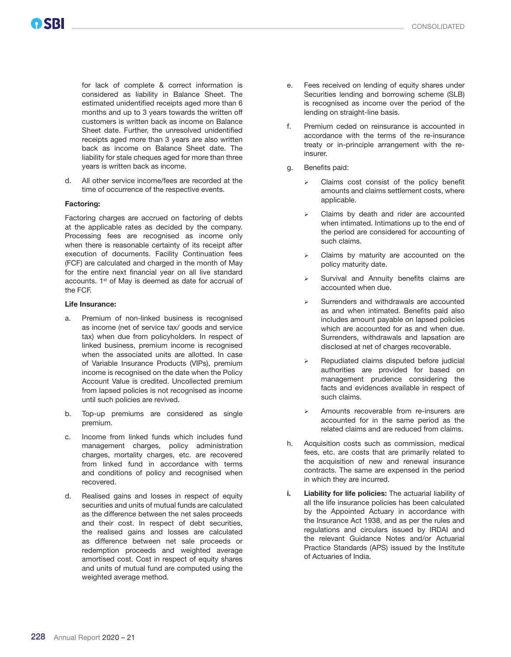for lack of complete & correct information is considered as liability in Balance Sheet. The estimated unidentified receipts aged more than 6 months and up to 3 years towards the written off customers is written back as income on Balance Sheet date. Further, the unresolved unidentified receipts aged more than 3 years are also written back as income on Balance Sheet date. The liability for stale cheques aged for more than three years is written back as income.

 d. All other service income/fees are recorded at the time of occurrence of the respective events.

#### Factoring:

 Factoring charges are accrued on factoring of debts at the applicable rates as decided by the company. Processing fees are recognised as income only when there is reasonable certainty of its receipt after execution of documents. Facility Continuation fees (FCF) are calculated and charged in the month of May for the entire next financial year on all live standard accounts. 1<sup>st</sup> of May is deemed as date for accrual of the FCF.

#### Life Insurance:

- a. Premium of non-linked business is recognised as income (net of service tax/ goods and service tax) when due from policyholders. In respect of linked business, premium income is recognised when the associated units are allotted. In case of Variable Insurance Products (VIPs), premium income is recognised on the date when the Policy Account Value is credited. Uncollected premium from lapsed policies is not recognised as income until such policies are revived.
- b. Top-up premiums are considered as single premium.
- c. Income from linked funds which includes fund management charges, policy administration charges, mortality charges, etc. are recovered from linked fund in accordance with terms and conditions of policy and recognised when recovered.
- d. Realised gains and losses in respect of equity securities and units of mutual funds are calculated as the difference between the net sales proceeds and their cost. In respect of debt securities, the realised gains and losses are calculated as difference between net sale proceeds or redemption proceeds and weighted average amortised cost. Cost in respect of equity shares and units of mutual fund are computed using the weighted average method.
- e. Fees received on lending of equity shares under Securities lending and borrowing scheme (SLB) is recognised as income over the period of the lending on straight-line basis.
- f. Premium ceded on reinsurance is accounted in accordance with the terms of the re-insurance treaty or in-principle arrangement with the reinsurer.
- g. Benefits paid:
	- $\triangleright$  Claims cost consist of the policy benefit amounts and claims settlement costs, where applicable.
	- Claims by death and rider are accounted when intimated. Intimations up to the end of the period are considered for accounting of such claims.
	- Claims by maturity are accounted on the policy maturity date.
	- Survival and Annuity benefits claims are accounted when due.
	- Surrenders and withdrawals are accounted as and when intimated. Benefits paid also includes amount payable on lapsed policies which are accounted for as and when due. Surrenders, withdrawals and lapsation are disclosed at net of charges recoverable.
	- Repudiated claims disputed before judicial authorities are provided for based on management prudence considering the facts and evidences available in respect of such claims.
	- Amounts recoverable from re-insurers are accounted for in the same period as the related claims and are reduced from claims.
- h. Acquisition costs such as commission, medical fees, etc. are costs that are primarily related to the acquisition of new and renewal insurance contracts. The same are expensed in the period in which they are incurred.
- i. Liability for life policies: The actuarial liability of all the life insurance policies has been calculated by the Appointed Actuary in accordance with the Insurance Act 1938, and as per the rules and regulations and circulars issued by IRDAI and the relevant Guidance Notes and/or Actuarial Practice Standards (APS) issued by the Institute of Actuaries of India.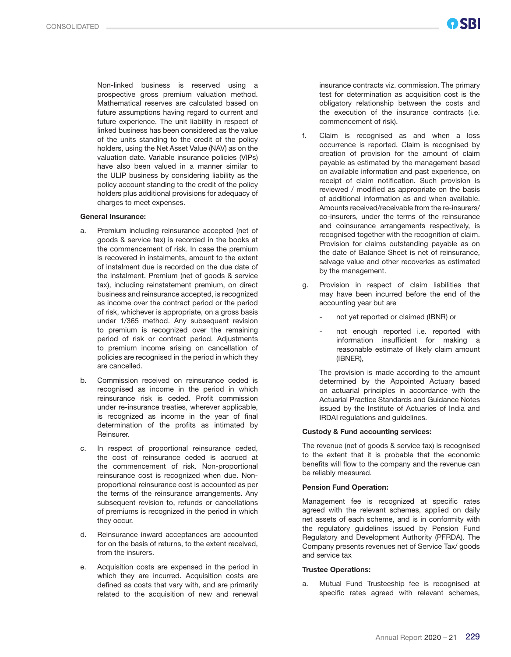Non-linked business is reserved using a prospective gross premium valuation method. Mathematical reserves are calculated based on future assumptions having regard to current and future experience. The unit liability in respect of linked business has been considered as the value of the units standing to the credit of the policy holders, using the Net Asset Value (NAV) as on the valuation date. Variable insurance policies (VIPs) have also been valued in a manner similar to the ULIP business by considering liability as the policy account standing to the credit of the policy holders plus additional provisions for adequacy of charges to meet expenses.

#### General Insurance:

- a. Premium including reinsurance accepted (net of goods & service tax) is recorded in the books at the commencement of risk. In case the premium is recovered in instalments, amount to the extent of instalment due is recorded on the due date of the instalment. Premium (net of goods & service tax), including reinstatement premium, on direct business and reinsurance accepted, is recognized as income over the contract period or the period of risk, whichever is appropriate, on a gross basis under 1/365 method. Any subsequent revision to premium is recognized over the remaining period of risk or contract period. Adjustments to premium income arising on cancellation of policies are recognised in the period in which they are cancelled.
- b. Commission received on reinsurance ceded is recognised as income in the period in which reinsurance risk is ceded. Profit commission under re-insurance treaties, wherever applicable, is recognized as income in the year of final determination of the profits as intimated by Reinsurer.
- c. In respect of proportional reinsurance ceded, the cost of reinsurance ceded is accrued at the commencement of risk. Non-proportional reinsurance cost is recognized when due. Nonproportional reinsurance cost is accounted as per the terms of the reinsurance arrangements. Any subsequent revision to, refunds or cancellations of premiums is recognized in the period in which they occur.
- d. Reinsurance inward acceptances are accounted for on the basis of returns, to the extent received, from the insurers.
- Acquisition costs are expensed in the period in which they are incurred. Acquisition costs are defined as costs that vary with, and are primarily related to the acquisition of new and renewal

insurance contracts viz. commission. The primary test for determination as acquisition cost is the obligatory relationship between the costs and the execution of the insurance contracts (i.e. commencement of risk).

- f. Claim is recognised as and when a loss occurrence is reported. Claim is recognised by creation of provision for the amount of claim payable as estimated by the management based on available information and past experience, on receipt of claim notification. Such provision is reviewed / modified as appropriate on the basis of additional information as and when available. Amounts received/receivable from the re-insurers/ co-insurers, under the terms of the reinsurance and coinsurance arrangements respectively, is recognised together with the recognition of claim. Provision for claims outstanding payable as on the date of Balance Sheet is net of reinsurance, salvage value and other recoveries as estimated by the management.
- g. Provision in respect of claim liabilities that may have been incurred before the end of the accounting year but are
	- not yet reported or claimed (IBNR) or
	- not enough reported i.e. reported with information insufficient for making a reasonable estimate of likely claim amount (IBNER),

 The provision is made according to the amount determined by the Appointed Actuary based on actuarial principles in accordance with the Actuarial Practice Standards and Guidance Notes issued by the Institute of Actuaries of India and IRDAI regulations and guidelines.

#### Custody & Fund accounting services:

 The revenue (net of goods & service tax) is recognised to the extent that it is probable that the economic benefits will flow to the company and the revenue can be reliably measured.

#### Pension Fund Operation:

 Management fee is recognized at specific rates agreed with the relevant schemes, applied on daily net assets of each scheme, and is in conformity with the regulatory guidelines issued by Pension Fund Regulatory and Development Authority (PFRDA). The Company presents revenues net of Service Tax/ goods and service tax

#### Trustee Operations:

 a. Mutual Fund Trusteeship fee is recognised at specific rates agreed with relevant schemes,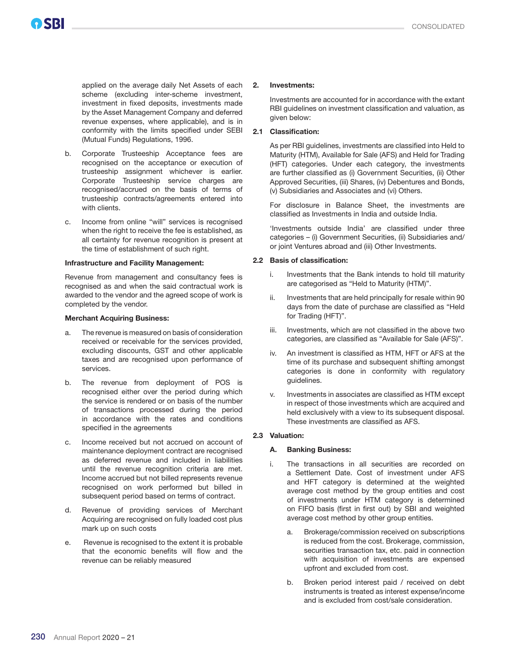applied on the average daily Net Assets of each scheme (excluding inter-scheme investment, investment in fixed deposits, investments made by the Asset Management Company and deferred revenue expenses, where applicable), and is in conformity with the limits specified under SEBI (Mutual Funds) Regulations, 1996.

- b. Corporate Trusteeship Acceptance fees are recognised on the acceptance or execution of trusteeship assignment whichever is earlier. Corporate Trusteeship service charges are recognised/accrued on the basis of terms of trusteeship contracts/agreements entered into with clients.
- c. Income from online "will" services is recognised when the right to receive the fee is established, as all certainty for revenue recognition is present at the time of establishment of such right.

#### Infrastructure and Facility Management:

 Revenue from management and consultancy fees is recognised as and when the said contractual work is awarded to the vendor and the agreed scope of work is completed by the vendor.

#### Merchant Acquiring Business:

- a. The revenue is measured on basis of consideration received or receivable for the services provided, excluding discounts, GST and other applicable taxes and are recognised upon performance of services.
- b. The revenue from deployment of POS is recognised either over the period during which the service is rendered or on basis of the number of transactions processed during the period in accordance with the rates and conditions specified in the agreements
- c. Income received but not accrued on account of maintenance deployment contract are recognised as deferred revenue and included in liabilities until the revenue recognition criteria are met. Income accrued but not billed represents revenue recognised on work performed but billed in subsequent period based on terms of contract.
- d. Revenue of providing services of Merchant Acquiring are recognised on fully loaded cost plus mark up on such costs
- e. Revenue is recognised to the extent it is probable that the economic benefits will flow and the revenue can be reliably measured

#### 2. Investments:

Investments are accounted for in accordance with the extant RBI guidelines on investment classification and valuation, as given below:

#### 2.1 Classification:

As per RBI guidelines, investments are classified into Held to Maturity (HTM), Available for Sale (AFS) and Held for Trading (HFT) categories. Under each category, the investments are further classified as (i) Government Securities, (ii) Other Approved Securities, (iii) Shares, (iv) Debentures and Bonds, (v) Subsidiaries and Associates and (vi) Others.

For disclosure in Balance Sheet, the investments are classified as Investments in India and outside India.

'Investments outside India' are classified under three categories – (i) Government Securities, (ii) Subsidiaries and/ or joint Ventures abroad and (iii) Other Investments.

#### 2.2 Basis of classification:

- i. Investments that the Bank intends to hold till maturity are categorised as "Held to Maturity (HTM)".
- ii. Investments that are held principally for resale within 90 days from the date of purchase are classified as "Held for Trading (HFT)".
- iii. Investments, which are not classified in the above two categories, are classified as "Available for Sale (AFS)".
- iv. An investment is classified as HTM, HFT or AFS at the time of its purchase and subsequent shifting amongst categories is done in conformity with regulatory guidelines.
- v. Investments in associates are classified as HTM except in respect of those investments which are acquired and held exclusively with a view to its subsequent disposal. These investments are classified as AFS.

#### 2.3 Valuation:

#### A. Banking Business:

- i. The transactions in all securities are recorded on a Settlement Date. Cost of investment under AFS and HFT category is determined at the weighted average cost method by the group entities and cost of investments under HTM category is determined on FIFO basis (first in first out) by SBI and weighted average cost method by other group entities.
	- a. Brokerage/commission received on subscriptions is reduced from the cost. Brokerage, commission, securities transaction tax, etc. paid in connection with acquisition of investments are expensed upfront and excluded from cost.
	- b. Broken period interest paid / received on debt instruments is treated as interest expense/income and is excluded from cost/sale consideration.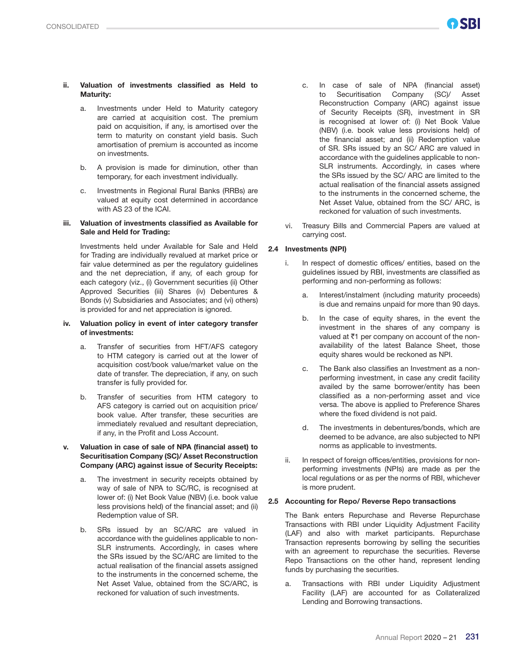#### ii. Valuation of investments classified as Held to Maturity:

- a. Investments under Held to Maturity category are carried at acquisition cost. The premium paid on acquisition, if any, is amortised over the term to maturity on constant yield basis. Such amortisation of premium is accounted as income on investments.
- b. A provision is made for diminution, other than temporary, for each investment individually.
- c. Investments in Regional Rural Banks (RRBs) are valued at equity cost determined in accordance with AS 23 of the ICAI.

#### iii. Valuation of investments classified as Available for Sale and Held for Trading:

 Investments held under Available for Sale and Held for Trading are individually revalued at market price or fair value determined as per the regulatory guidelines and the net depreciation, if any, of each group for each category (viz., (i) Government securities (ii) Other Approved Securities (iii) Shares (iv) Debentures & Bonds (v) Subsidiaries and Associates; and (vi) others) is provided for and net appreciation is ignored.

#### iv. Valuation policy in event of inter category transfer of investments:

- a. Transfer of securities from HFT/AFS category to HTM category is carried out at the lower of acquisition cost/book value/market value on the date of transfer. The depreciation, if any, on such transfer is fully provided for.
- b. Transfer of securities from HTM category to AFS category is carried out on acquisition price/ book value. After transfer, these securities are immediately revalued and resultant depreciation, if any, in the Profit and Loss Account.

#### v. Valuation in case of sale of NPA (financial asset) to Securitisation Company (SC)/ Asset Reconstruction Company (ARC) against issue of Security Receipts:

- a. The investment in security receipts obtained by way of sale of NPA to SC/RC, is recognised at lower of: (i) Net Book Value (NBV) (i.e. book value less provisions held) of the financial asset; and (ii) Redemption value of SR.
- b. SRs issued by an SC/ARC are valued in accordance with the guidelines applicable to non-SLR instruments. Accordingly, in cases where the SRs issued by the SC/ARC are limited to the actual realisation of the financial assets assigned to the instruments in the concerned scheme, the Net Asset Value, obtained from the SC/ARC, is reckoned for valuation of such investments.
- c. In case of sale of NPA (financial asset) to Securitisation Company (SC)/ Asset Reconstruction Company (ARC) against issue of Security Receipts (SR), investment in SR is recognised at lower of: (i) Net Book Value (NBV) (i.e. book value less provisions held) of the financial asset; and (ii) Redemption value of SR. SRs issued by an SC/ ARC are valued in accordance with the guidelines applicable to non-SLR instruments. Accordingly, in cases where the SRs issued by the SC/ ARC are limited to the actual realisation of the financial assets assigned to the instruments in the concerned scheme, the Net Asset Value, obtained from the SC/ ARC, is reckoned for valuation of such investments.
- vi. Treasury Bills and Commercial Papers are valued at carrying cost.

#### 2.4 Investments (NPI)

- i. In respect of domestic offices/ entities, based on the guidelines issued by RBI, investments are classified as performing and non-performing as follows:
	- a. Interest/instalment (including maturity proceeds) is due and remains unpaid for more than 90 days.
	- b. In the case of equity shares, in the event the investment in the shares of any company is valued at  $\bar{c}1$  per company on account of the nonavailability of the latest Balance Sheet, those equity shares would be reckoned as NPI.
	- c. The Bank also classifies an Investment as a nonperforming investment, in case any credit facility availed by the same borrower/entity has been classified as a non-performing asset and vice versa. The above is applied to Preference Shares where the fixed dividend is not paid.
	- d. The investments in debentures/bonds, which are deemed to be advance, are also subjected to NPI norms as applicable to investments.
- ii. In respect of foreign offices/entities, provisions for nonperforming investments (NPIs) are made as per the local regulations or as per the norms of RBI, whichever is more prudent.

#### 2.5 Accounting for Repo/ Reverse Repo transactions

The Bank enters Repurchase and Reverse Repurchase Transactions with RBI under Liquidity Adjustment Facility (LAF) and also with market participants. Repurchase Transaction represents borrowing by selling the securities with an agreement to repurchase the securities. Reverse Repo Transactions on the other hand, represent lending funds by purchasing the securities.

a. Transactions with RBI under Liquidity Adjustment Facility (LAF) are accounted for as Collateralized Lending and Borrowing transactions.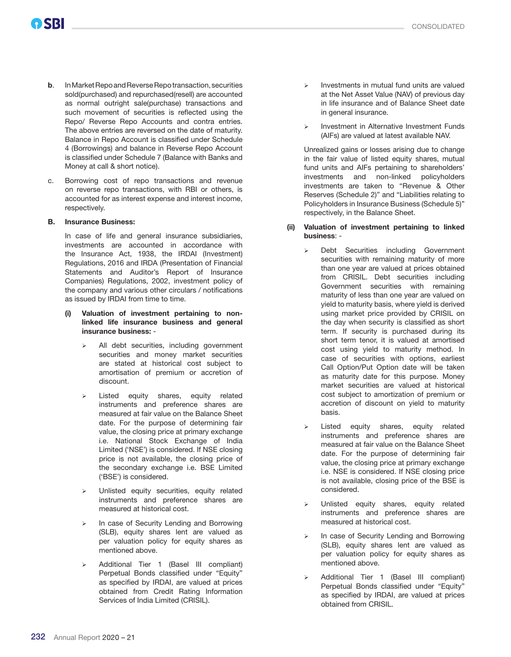- b. In Market Repo and Reverse Repo transaction, securities sold(purchased) and repurchased(resell) are accounted as normal outright sale(purchase) transactions and such movement of securities is reflected using the Repo/ Reverse Repo Accounts and contra entries. The above entries are reversed on the date of maturity. Balance in Repo Account is classified under Schedule 4 (Borrowings) and balance in Reverse Repo Account is classified under Schedule 7 (Balance with Banks and Money at call & short notice).
- c. Borrowing cost of repo transactions and revenue on reverse repo transactions, with RBI or others, is accounted for as interest expense and interest income, respectively.

#### B. Insurance Business:

 In case of life and general insurance subsidiaries, investments are accounted in accordance with the Insurance Act, 1938, the IRDAI (Investment) Regulations, 2016 and IRDA (Presentation of Financial Statements and Auditor's Report of Insurance Companies) Regulations, 2002, investment policy of the company and various other circulars / notifications as issued by IRDAI from time to time.

- (i) Valuation of investment pertaining to nonlinked life insurance business and general insurance business: -
	- All debt securities, including government securities and money market securities are stated at historical cost subject to amortisation of premium or accretion of discount.
	- Listed equity shares, equity related instruments and preference shares are measured at fair value on the Balance Sheet date. For the purpose of determining fair value, the closing price at primary exchange i.e. National Stock Exchange of India Limited ('NSE') is considered. If NSE closing price is not available, the closing price of the secondary exchange i.e. BSE Limited ('BSE') is considered.
	- Unlisted equity securities, equity related instruments and preference shares are measured at historical cost.
	- In case of Security Lending and Borrowing (SLB), equity shares lent are valued as per valuation policy for equity shares as mentioned above.
	- Additional Tier 1 (Basel III compliant) Perpetual Bonds classified under "Equity" as specified by IRDAI, are valued at prices obtained from Credit Rating Information Services of India Limited (CRISIL).
- Investments in mutual fund units are valued at the Net Asset Value (NAV) of previous day in life insurance and of Balance Sheet date in general insurance.
- $\triangleright$  Investment in Alternative Investment Funds (AIFs) are valued at latest available NAV.

 Unrealized gains or losses arising due to change in the fair value of listed equity shares, mutual fund units and AIFs pertaining to shareholders' investments and non-linked policyholders investments are taken to "Revenue & Other Reserves (Schedule 2)" and "Liabilities relating to Policyholders in Insurance Business (Schedule 5)" respectively, in the Balance Sheet.

- (ii) Valuation of investment pertaining to linked business: -
	- Debt Securities including Government securities with remaining maturity of more than one year are valued at prices obtained from CRISIL. Debt securities including Government securities with remaining maturity of less than one year are valued on yield to maturity basis, where yield is derived using market price provided by CRISIL on the day when security is classified as short term. If security is purchased during its short term tenor, it is valued at amortised cost using yield to maturity method. In case of securities with options, earliest Call Option/Put Option date will be taken as maturity date for this purpose. Money market securities are valued at historical cost subject to amortization of premium or accretion of discount on yield to maturity basis.
	- Listed equity shares, equity related instruments and preference shares are measured at fair value on the Balance Sheet date. For the purpose of determining fair value, the closing price at primary exchange i.e. NSE is considered. If NSE closing price is not available, closing price of the BSE is considered.
	- Unlisted equity shares, equity related instruments and preference shares are measured at historical cost.
	- $\triangleright$  In case of Security Lending and Borrowing (SLB), equity shares lent are valued as per valuation policy for equity shares as mentioned above.
	- Additional Tier 1 (Basel III compliant) Perpetual Bonds classified under "Equity" as specified by IRDAI, are valued at prices obtained from CRISIL.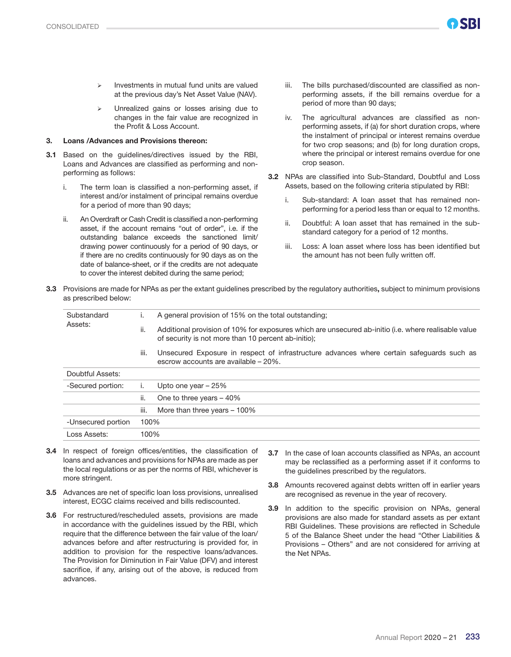- Investments in mutual fund units are valued at the previous day's Net Asset Value (NAV).
- Unrealized gains or losses arising due to changes in the fair value are recognized in the Profit & Loss Account.

#### 3. Loans /Advances and Provisions thereon:

- 3.1 Based on the guidelines/directives issued by the RBI, Loans and Advances are classified as performing and nonperforming as follows:
	- i. The term loan is classified a non-performing asset, if interest and/or instalment of principal remains overdue for a period of more than 90 days;
	- ii. An Overdraft or Cash Credit is classified a non-performing asset, if the account remains "out of order", i.e. if the outstanding balance exceeds the sanctioned limit/ drawing power continuously for a period of 90 days, or if there are no credits continuously for 90 days as on the date of balance-sheet, or if the credits are not adequate to cover the interest debited during the same period;
- iii. The bills purchased/discounted are classified as nonperforming assets, if the bill remains overdue for a period of more than 90 days;
- iv. The agricultural advances are classified as nonperforming assets, if (a) for short duration crops, where the instalment of principal or interest remains overdue for two crop seasons; and (b) for long duration crops, where the principal or interest remains overdue for one crop season.
- 3.2 NPAs are classified into Sub-Standard, Doubtful and Loss Assets, based on the following criteria stipulated by RBI:
	- i. Sub-standard: A loan asset that has remained nonperforming for a period less than or equal to 12 months.
	- ii. Doubtful: A loan asset that has remained in the substandard category for a period of 12 months.
	- iii. Loss: A loan asset where loss has been identified but the amount has not been fully written off.
- 3.3 Provisions are made for NPAs as per the extant guidelines prescribed by the regulatory authorities, subject to minimum provisions as prescribed below:

| Substandard        | ۱.   | A general provision of 15% on the total outstanding;                                                                                                        |
|--------------------|------|-------------------------------------------------------------------------------------------------------------------------------------------------------------|
| Assets:            | ii.  | Additional provision of 10% for exposures which are unsecured ab-initio (i.e. where realisable value<br>of security is not more than 10 percent ab-initio); |
|                    | III. | Unsecured Exposure in respect of infrastructure advances where certain safequards such as<br>escrow accounts are available - 20%.                           |
| Doubtful Assets:   |      |                                                                                                                                                             |
| -Secured portion:  |      | Upto one year $-25%$                                                                                                                                        |
|                    | ii.  | One to three years $-40\%$                                                                                                                                  |
|                    | iii. | More than three years $-100\%$                                                                                                                              |
| -Unsecured portion | 100% |                                                                                                                                                             |
| Loss Assets:       | 100% |                                                                                                                                                             |

- 3.4 In respect of foreign offices/entities, the classification of loans and advances and provisions for NPAs are made as per the local regulations or as per the norms of RBI, whichever is more stringent.
- 3.5 Advances are net of specific loan loss provisions, unrealised interest, ECGC claims received and bills rediscounted.
- 3.6 For restructured/rescheduled assets, provisions are made in accordance with the guidelines issued by the RBI, which require that the difference between the fair value of the loan/ advances before and after restructuring is provided for, in addition to provision for the respective loans/advances. The Provision for Diminution in Fair Value (DFV) and interest sacrifice, if any, arising out of the above, is reduced from advances.
- 3.7 In the case of loan accounts classified as NPAs, an account may be reclassified as a performing asset if it conforms to the guidelines prescribed by the regulators.
- 3.8 Amounts recovered against debts written off in earlier years are recognised as revenue in the year of recovery.
- 3.9 In addition to the specific provision on NPAs, general provisions are also made for standard assets as per extant RBI Guidelines. These provisions are reflected in Schedule 5 of the Balance Sheet under the head "Other Liabilities & Provisions – Others" and are not considered for arriving at the Net NPAs.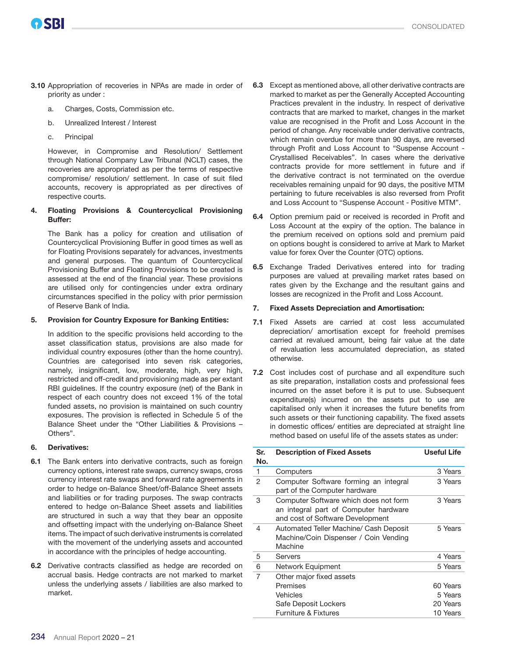- 3.10 Appropriation of recoveries in NPAs are made in order of priority as under :
	- a. Charges, Costs, Commission etc.
	- b. Unrealized Interest / Interest
	- c. Principal

OSBI

However, in Compromise and Resolution/ Settlement through National Company Law Tribunal (NCLT) cases, the recoveries are appropriated as per the terms of respective compromise/ resolution/ settlement. In case of suit filed accounts, recovery is appropriated as per directives of respective courts.

### 4. Floating Provisions & Countercyclical Provisioning Buffer:

The Bank has a policy for creation and utilisation of Countercyclical Provisioning Buffer in good times as well as for Floating Provisions separately for advances, investments and general purposes. The quantum of Countercyclical Provisioning Buffer and Floating Provisions to be created is assessed at the end of the financial year. These provisions are utilised only for contingencies under extra ordinary circumstances specified in the policy with prior permission of Reserve Bank of India.

### 5. Provision for Country Exposure for Banking Entities:

In addition to the specific provisions held according to the asset classification status, provisions are also made for individual country exposures (other than the home country). Countries are categorised into seven risk categories, namely, insignificant, low, moderate, high, very high, restricted and off-credit and provisioning made as per extant RBI guidelines. If the country exposure (net) of the Bank in respect of each country does not exceed 1% of the total funded assets, no provision is maintained on such country exposures. The provision is reflected in Schedule 5 of the Balance Sheet under the "Other Liabilities & Provisions – Others".

### 6. Derivatives:

- 6.1 The Bank enters into derivative contracts, such as foreign currency options, interest rate swaps, currency swaps, cross currency interest rate swaps and forward rate agreements in order to hedge on-Balance Sheet/off-Balance Sheet assets and liabilities or for trading purposes. The swap contracts entered to hedge on-Balance Sheet assets and liabilities are structured in such a way that they bear an opposite and offsetting impact with the underlying on-Balance Sheet items. The impact of such derivative instruments is correlated with the movement of the underlying assets and accounted in accordance with the principles of hedge accounting.
- 6.2 Derivative contracts classified as hedge are recorded on accrual basis. Hedge contracts are not marked to market unless the underlying assets / liabilities are also marked to market.
- 6.3 Except as mentioned above, all other derivative contracts are marked to market as per the Generally Accepted Accounting Practices prevalent in the industry. In respect of derivative contracts that are marked to market, changes in the market value are recognised in the Profit and Loss Account in the period of change. Any receivable under derivative contracts, which remain overdue for more than 90 days, are reversed through Profit and Loss Account to "Suspense Account - Crystallised Receivables". In cases where the derivative contracts provide for more settlement in future and if the derivative contract is not terminated on the overdue receivables remaining unpaid for 90 days, the positive MTM pertaining to future receivables is also reversed from Profit and Loss Account to "Suspense Account - Positive MTM".
- 6.4 Option premium paid or received is recorded in Profit and Loss Account at the expiry of the option. The balance in the premium received on options sold and premium paid on options bought is considered to arrive at Mark to Market value for forex Over the Counter (OTC) options.
- 6.5 Exchange Traded Derivatives entered into for trading purposes are valued at prevailing market rates based on rates given by the Exchange and the resultant gains and losses are recognized in the Profit and Loss Account.

### 7. Fixed Assets Depreciation and Amortisation:

- 7.1 Fixed Assets are carried at cost less accumulated depreciation/ amortisation except for freehold premises carried at revalued amount, being fair value at the date of revaluation less accumulated depreciation, as stated otherwise.
- 7.2 Cost includes cost of purchase and all expenditure such as site preparation, installation costs and professional fees incurred on the asset before it is put to use. Subsequent expenditure(s) incurred on the assets put to use are capitalised only when it increases the future benefits from such assets or their functioning capability. The fixed assets in domestic offices/ entities are depreciated at straight line method based on useful life of the assets states as under:

| Sr.<br>No. | <b>Description of Fixed Assets</b>                                                                                 | <b>Useful Life</b> |
|------------|--------------------------------------------------------------------------------------------------------------------|--------------------|
| 1          | Computers                                                                                                          | 3 Years            |
| 2          | Computer Software forming an integral<br>part of the Computer hardware                                             | 3 Years            |
| 3          | Computer Software which does not form<br>an integral part of Computer hardware<br>and cost of Software Development | 3 Years            |
| 4          | Automated Teller Machine/ Cash Deposit<br>Machine/Coin Dispenser / Coin Vending<br>Machine                         | 5 Years            |
| 5          | Servers                                                                                                            | 4 Years            |
| 6          | Network Equipment                                                                                                  | 5 Years            |
| 7          | Other major fixed assets                                                                                           |                    |
|            | Premises                                                                                                           | 60 Years           |
|            | Vehicles                                                                                                           | 5 Years            |
|            | Safe Deposit Lockers                                                                                               | 20 Years           |
|            | <b>Furniture &amp; Fixtures</b>                                                                                    | 10 Years           |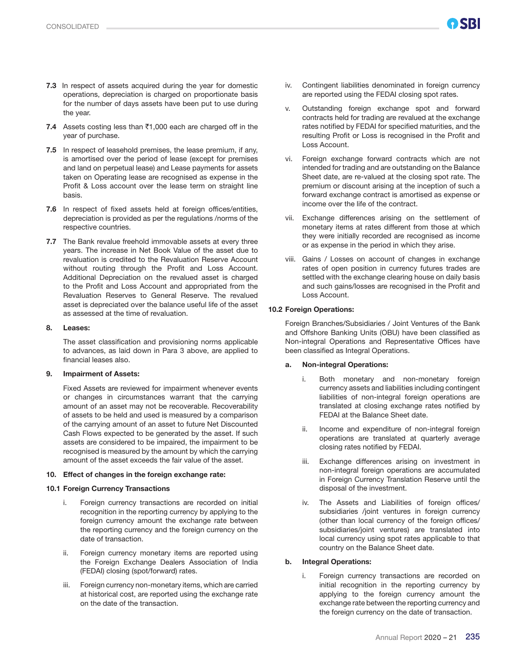- 7.3 In respect of assets acquired during the year for domestic operations, depreciation is charged on proportionate basis for the number of days assets have been put to use during the year.
- 7.4 Assets costing less than  $\bar{c}$ 1,000 each are charged off in the year of purchase.
- 7.5 In respect of leasehold premises, the lease premium, if any, is amortised over the period of lease (except for premises and land on perpetual lease) and Lease payments for assets taken on Operating lease are recognised as expense in the Profit & Loss account over the lease term on straight line basis.
- 7.6 In respect of fixed assets held at foreign offices/entities, depreciation is provided as per the regulations /norms of the respective countries.
- 7.7 The Bank revalue freehold immovable assets at every three years. The increase in Net Book Value of the asset due to revaluation is credited to the Revaluation Reserve Account without routing through the Profit and Loss Account. Additional Depreciation on the revalued asset is charged to the Profit and Loss Account and appropriated from the Revaluation Reserves to General Reserve. The revalued asset is depreciated over the balance useful life of the asset as assessed at the time of revaluation.

#### 8. Leases:

The asset classification and provisioning norms applicable to advances, as laid down in Para 3 above, are applied to financial leases also.

#### 9. Impairment of Assets:

Fixed Assets are reviewed for impairment whenever events or changes in circumstances warrant that the carrying amount of an asset may not be recoverable. Recoverability of assets to be held and used is measured by a comparison of the carrying amount of an asset to future Net Discounted Cash Flows expected to be generated by the asset. If such assets are considered to be impaired, the impairment to be recognised is measured by the amount by which the carrying amount of the asset exceeds the fair value of the asset.

#### 10. Effect of changes in the foreign exchange rate:

#### 10.1 Foreign Currency Transactions

- i. Foreign currency transactions are recorded on initial recognition in the reporting currency by applying to the foreign currency amount the exchange rate between the reporting currency and the foreign currency on the date of transaction.
- ii. Foreign currency monetary items are reported using the Foreign Exchange Dealers Association of India (FEDAI) closing (spot/forward) rates.
- iii. Foreign currency non-monetary items, which are carried at historical cost, are reported using the exchange rate on the date of the transaction.
- iv. Contingent liabilities denominated in foreign currency are reported using the FEDAI closing spot rates.
- v. Outstanding foreign exchange spot and forward contracts held for trading are revalued at the exchange rates notified by FEDAI for specified maturities, and the resulting Profit or Loss is recognised in the Profit and Loss Account.
- vi. Foreign exchange forward contracts which are not intended for trading and are outstanding on the Balance Sheet date, are re-valued at the closing spot rate. The premium or discount arising at the inception of such a forward exchange contract is amortised as expense or income over the life of the contract.
- vii. Exchange differences arising on the settlement of monetary items at rates different from those at which they were initially recorded are recognised as income or as expense in the period in which they arise.
- viii. Gains / Losses on account of changes in exchange rates of open position in currency futures trades are settled with the exchange clearing house on daily basis and such gains/losses are recognised in the Profit and Loss Account.

#### 10.2 Foreign Operations:

Foreign Branches/Subsidiaries / Joint Ventures of the Bank and Offshore Banking Units (OBU) have been classified as Non-integral Operations and Representative Offices have been classified as Integral Operations.

#### a. Non-integral Operations:

- Both monetary and non-monetary foreign currency assets and liabilities including contingent liabilities of non-integral foreign operations are translated at closing exchange rates notified by FEDAI at the Balance Sheet date.
- ii. Income and expenditure of non-integral foreign operations are translated at quarterly average closing rates notified by FEDAI.
- iii. Exchange differences arising on investment in non-integral foreign operations are accumulated in Foreign Currency Translation Reserve until the disposal of the investment.
- iv. The Assets and Liabilities of foreign offices/ subsidiaries /joint ventures in foreign currency (other than local currency of the foreign offices/ subsidiaries/joint ventures) are translated into local currency using spot rates applicable to that country on the Balance Sheet date.

#### b. Integral Operations:

Foreign currency transactions are recorded on initial recognition in the reporting currency by applying to the foreign currency amount the exchange rate between the reporting currency and the foreign currency on the date of transaction.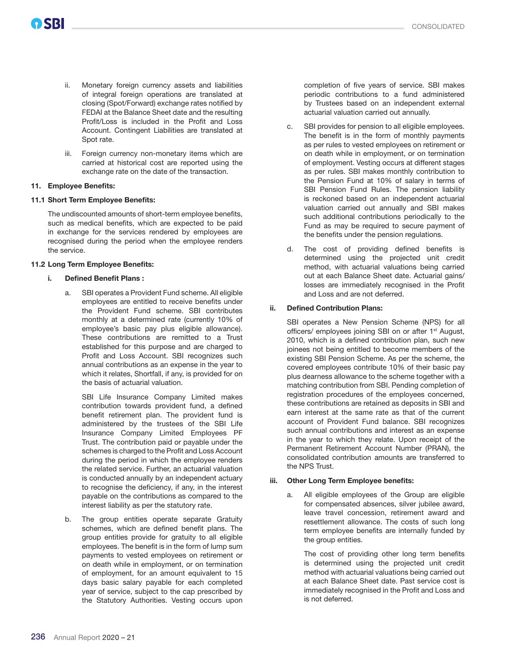- ii. Monetary foreign currency assets and liabilities of integral foreign operations are translated at closing (Spot/Forward) exchange rates notified by FEDAI at the Balance Sheet date and the resulting Profit/Loss is included in the Profit and Loss Account. Contingent Liabilities are translated at Spot rate.
- iii. Foreign currency non-monetary items which are carried at historical cost are reported using the exchange rate on the date of the transaction.

#### 11. Employee Benefits:

#### 11.1 Short Term Employee Benefits:

The undiscounted amounts of short-term employee benefits, such as medical benefits, which are expected to be paid in exchange for the services rendered by employees are recognised during the period when the employee renders the service.

#### 11.2 Long Term Employee Benefits:

#### i. Defined Benefit Plans :

 a. SBI operates a Provident Fund scheme. All eligible employees are entitled to receive benefits under the Provident Fund scheme. SBI contributes monthly at a determined rate (currently 10% of employee's basic pay plus eligible allowance). These contributions are remitted to a Trust established for this purpose and are charged to Profit and Loss Account. SBI recognizes such annual contributions as an expense in the year to which it relates, Shortfall, if any, is provided for on the basis of actuarial valuation.

 SBI Life Insurance Company Limited makes contribution towards provident fund, a defined benefit retirement plan. The provident fund is administered by the trustees of the SBI Life Insurance Company Limited Employees PF Trust. The contribution paid or payable under the schemes is charged to the Profit and Loss Account during the period in which the employee renders the related service. Further, an actuarial valuation is conducted annually by an independent actuary to recognise the deficiency, if any, in the interest payable on the contributions as compared to the interest liability as per the statutory rate.

 b. The group entities operate separate Gratuity schemes, which are defined benefit plans. The group entities provide for gratuity to all eligible employees. The benefit is in the form of lump sum payments to vested employees on retirement or on death while in employment, or on termination of employment, for an amount equivalent to 15 days basic salary payable for each completed year of service, subject to the cap prescribed by the Statutory Authorities. Vesting occurs upon

completion of five years of service. SBI makes periodic contributions to a fund administered by Trustees based on an independent external actuarial valuation carried out annually.

- c. SBI provides for pension to all eligible employees. The benefit is in the form of monthly payments as per rules to vested employees on retirement or on death while in employment, or on termination of employment. Vesting occurs at different stages as per rules. SBI makes monthly contribution to the Pension Fund at 10% of salary in terms of SBI Pension Fund Rules. The pension liability is reckoned based on an independent actuarial valuation carried out annually and SBI makes such additional contributions periodically to the Fund as may be required to secure payment of the benefits under the pension regulations.
- d. The cost of providing defined benefits is determined using the projected unit credit method, with actuarial valuations being carried out at each Balance Sheet date. Actuarial gains/ losses are immediately recognised in the Profit and Loss and are not deferred.

#### ii. Defined Contribution Plans:

 SBI operates a New Pension Scheme (NPS) for all officers/ employees joining SBI on or after 1<sup>st</sup> August, 2010, which is a defined contribution plan, such new joinees not being entitled to become members of the existing SBI Pension Scheme. As per the scheme, the covered employees contribute 10% of their basic pay plus dearness allowance to the scheme together with a matching contribution from SBI. Pending completion of registration procedures of the employees concerned, these contributions are retained as deposits in SBI and earn interest at the same rate as that of the current account of Provident Fund balance. SBI recognizes such annual contributions and interest as an expense in the year to which they relate. Upon receipt of the Permanent Retirement Account Number (PRAN), the consolidated contribution amounts are transferred to the NPS Trust.

#### iii. Other Long Term Employee benefits:

 a. All eligible employees of the Group are eligible for compensated absences, silver jubilee award, leave travel concession, retirement award and resettlement allowance. The costs of such long term employee benefits are internally funded by the group entities.

 The cost of providing other long term benefits is determined using the projected unit credit method with actuarial valuations being carried out at each Balance Sheet date. Past service cost is immediately recognised in the Profit and Loss and is not deferred.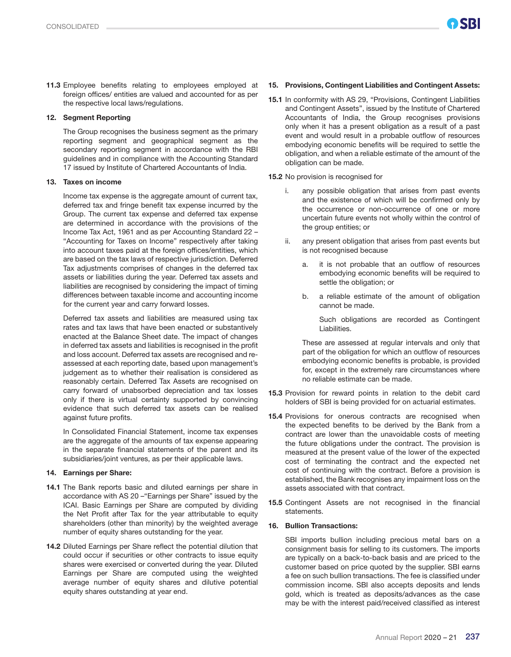11.3 Employee benefits relating to employees employed at foreign offices/ entities are valued and accounted for as per the respective local laws/regulations.

#### 12. Segment Reporting

The Group recognises the business segment as the primary reporting segment and geographical segment as the secondary reporting segment in accordance with the RBI guidelines and in compliance with the Accounting Standard 17 issued by Institute of Chartered Accountants of India.

#### 13. Taxes on income

Income tax expense is the aggregate amount of current tax, deferred tax and fringe benefit tax expense incurred by the Group. The current tax expense and deferred tax expense are determined in accordance with the provisions of the Income Tax Act, 1961 and as per Accounting Standard 22 – "Accounting for Taxes on Income" respectively after taking into account taxes paid at the foreign offices/entities, which are based on the tax laws of respective jurisdiction. Deferred Tax adjustments comprises of changes in the deferred tax assets or liabilities during the year. Deferred tax assets and liabilities are recognised by considering the impact of timing differences between taxable income and accounting income for the current year and carry forward losses.

Deferred tax assets and liabilities are measured using tax rates and tax laws that have been enacted or substantively enacted at the Balance Sheet date. The impact of changes in deferred tax assets and liabilities is recognised in the profit and loss account. Deferred tax assets are recognised and reassessed at each reporting date, based upon management's judgement as to whether their realisation is considered as reasonably certain. Deferred Tax Assets are recognised on carry forward of unabsorbed depreciation and tax losses only if there is virtual certainty supported by convincing evidence that such deferred tax assets can be realised against future profits.

In Consolidated Financial Statement, income tax expenses are the aggregate of the amounts of tax expense appearing in the separate financial statements of the parent and its subsidiaries/joint ventures, as per their applicable laws.

#### 14. Earnings per Share:

- 14.1 The Bank reports basic and diluted earnings per share in accordance with AS 20 –"Earnings per Share" issued by the ICAI. Basic Earnings per Share are computed by dividing the Net Profit after Tax for the year attributable to equity shareholders (other than minority) by the weighted average number of equity shares outstanding for the year.
- 14.2 Diluted Earnings per Share reflect the potential dilution that could occur if securities or other contracts to issue equity shares were exercised or converted during the year. Diluted Earnings per Share are computed using the weighted average number of equity shares and dilutive potential equity shares outstanding at year end.

### 15. Provisions, Contingent Liabilities and Contingent Assets:

- 15.1 In conformity with AS 29, "Provisions, Contingent Liabilities and Contingent Assets", issued by the Institute of Chartered Accountants of India, the Group recognises provisions only when it has a present obligation as a result of a past event and would result in a probable outflow of resources embodying economic benefits will be required to settle the obligation, and when a reliable estimate of the amount of the obligation can be made.
- 15.2 No provision is recognised for
	- i. any possible obligation that arises from past events and the existence of which will be confirmed only by the occurrence or non-occurrence of one or more uncertain future events not wholly within the control of the group entities; or
	- ii. any present obligation that arises from past events but is not recognised because
		- a. it is not probable that an outflow of resources embodying economic benefits will be required to settle the obligation; or
		- b. a reliable estimate of the amount of obligation cannot be made.

 Such obligations are recorded as Contingent Liabilities.

 These are assessed at regular intervals and only that part of the obligation for which an outflow of resources embodying economic benefits is probable, is provided for, except in the extremely rare circumstances where no reliable estimate can be made.

- 15.3 Provision for reward points in relation to the debit card holders of SBI is being provided for on actuarial estimates.
- 15.4 Provisions for onerous contracts are recognised when the expected benefits to be derived by the Bank from a contract are lower than the unavoidable costs of meeting the future obligations under the contract. The provision is measured at the present value of the lower of the expected cost of terminating the contract and the expected net cost of continuing with the contract. Before a provision is established, the Bank recognises any impairment loss on the assets associated with that contract.
- 15.5 Contingent Assets are not recognised in the financial statements.

#### 16. Bullion Transactions:

SBI imports bullion including precious metal bars on a consignment basis for selling to its customers. The imports are typically on a back-to-back basis and are priced to the customer based on price quoted by the supplier. SBI earns a fee on such bullion transactions. The fee is classified under commission income. SBI also accepts deposits and lends gold, which is treated as deposits/advances as the case may be with the interest paid/received classified as interest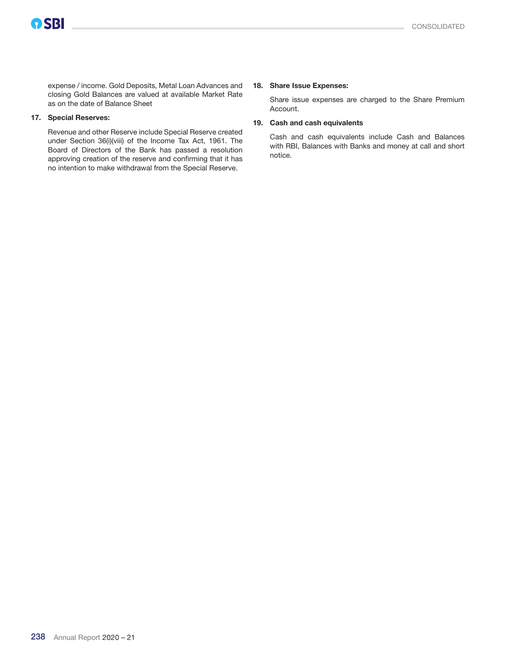expense / income. Gold Deposits, Metal Loan Advances and closing Gold Balances are valued at available Market Rate as on the date of Balance Sheet

#### 17. Special Reserves:

Revenue and other Reserve include Special Reserve created under Section 36(i)(viii) of the Income Tax Act, 1961. The Board of Directors of the Bank has passed a resolution approving creation of the reserve and confirming that it has no intention to make withdrawal from the Special Reserve.

#### 18. Share Issue Expenses:

Share issue expenses are charged to the Share Premium Account.

#### 19. Cash and cash equivalents

Cash and cash equivalents include Cash and Balances with RBI, Balances with Banks and money at call and short notice.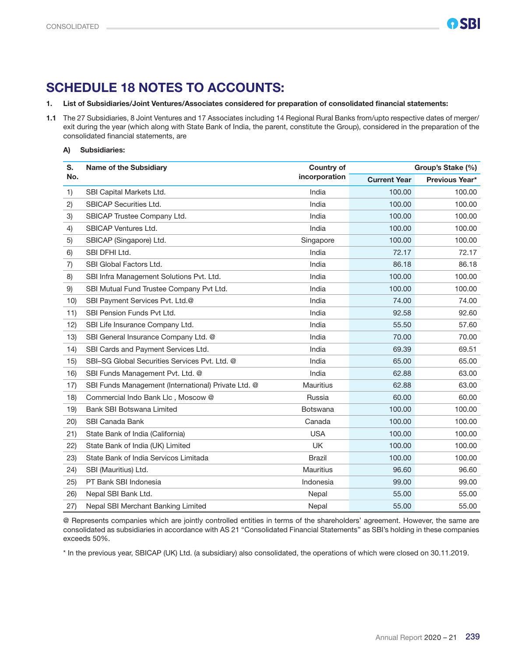### SCHEDULE 18 NOTES TO ACCOUNTS:

### 1. List of Subsidiaries/Joint Ventures/Associates considered for preparation of consolidated financial statements:

1.1 The 27 Subsidiaries, 8 Joint Ventures and 17 Associates including 14 Regional Rural Banks from/upto respective dates of merger/ exit during the year (which along with State Bank of India, the parent, constitute the Group), considered in the preparation of the consolidated financial statements, are

#### A) Subsidiaries:

| S.   | <b>Name of the Subsidiary</b>                       | <b>Country of</b> | Group's Stake (%)   |                |  |
|------|-----------------------------------------------------|-------------------|---------------------|----------------|--|
| No.  |                                                     | incorporation     | <b>Current Year</b> | Previous Year* |  |
| 1)   | SBI Capital Markets Ltd.                            | India             | 100.00              | 100.00         |  |
| 2)   | <b>SBICAP Securities Ltd.</b>                       | India             | 100.00              | 100.00         |  |
| 3)   | SBICAP Trustee Company Ltd.                         | India             | 100.00              | 100.00         |  |
| 4)   | SBICAP Ventures Ltd.                                | India             | 100.00              | 100.00         |  |
| 5)   | SBICAP (Singapore) Ltd.                             | Singapore         | 100.00              | 100.00         |  |
| 6)   | SBI DFHI Ltd.                                       | India             | 72.17               | 72.17          |  |
| 7)   | SBI Global Factors Ltd.                             | India             | 86.18               | 86.18          |  |
| 8)   | SBI Infra Management Solutions Pvt. Ltd.            | India             | 100.00              | 100.00         |  |
| 9)   | SBI Mutual Fund Trustee Company Pvt Ltd.            | India             | 100.00              | 100.00         |  |
| 10)  | SBI Payment Services Pvt. Ltd.@                     | India             | 74.00               | 74.00          |  |
| 11)  | SBI Pension Funds Pvt Ltd.                          | India             | 92.58               | 92.60          |  |
| 12)  | SBI Life Insurance Company Ltd.                     | India             | 55.50               | 57.60          |  |
| 13)  | SBI General Insurance Company Ltd. @                | India             | 70.00               | 70.00          |  |
| 14)  | SBI Cards and Payment Services Ltd.                 | India             | 69.39               | 69.51          |  |
| 15)  | SBI-SG Global Securities Services Pvt. Ltd. @       | India             | 65.00               | 65.00          |  |
| 16)  | SBI Funds Management Pvt. Ltd. @                    | India             | 62.88               | 63.00          |  |
| 17)  | SBI Funds Management (International) Private Ltd. @ | <b>Mauritius</b>  | 62.88               | 63.00          |  |
| 18)  | Commercial Indo Bank Llc, Moscow @                  | Russia            | 60.00               | 60.00          |  |
| 19)  | Bank SBI Botswana Limited                           | <b>Botswana</b>   | 100.00              | 100.00         |  |
| (20) | <b>SBI Canada Bank</b>                              | Canada            | 100.00              | 100.00         |  |
| 21)  | State Bank of India (California)                    | <b>USA</b>        | 100.00              | 100.00         |  |
| 22)  | State Bank of India (UK) Limited                    | <b>UK</b>         | 100.00              | 100.00         |  |
| 23)  | State Bank of India Servicos Limitada               | <b>Brazil</b>     | 100.00              | 100.00         |  |
| (24) | SBI (Mauritius) Ltd.                                | <b>Mauritius</b>  | 96.60               | 96.60          |  |
| 25)  | PT Bank SBI Indonesia                               | Indonesia         | 99.00               | 99.00          |  |
| 26)  | Nepal SBI Bank Ltd.                                 | Nepal             | 55.00               | 55.00          |  |
| 27)  | Nepal SBI Merchant Banking Limited                  | Nepal             | 55.00               | 55.00          |  |

@ Represents companies which are jointly controlled entities in terms of the shareholders' agreement. However, the same are consolidated as subsidiaries in accordance with AS 21 "Consolidated Financial Statements" as SBI's holding in these companies exceeds 50%.

\* In the previous year, SBICAP (UK) Ltd. (a subsidiary) also consolidated, the operations of which were closed on 30.11.2019.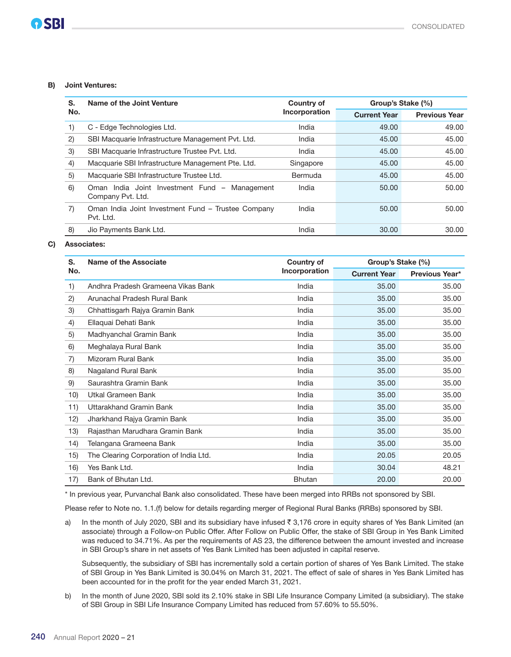#### B) Joint Ventures:

| S.  | Name of the Joint Venture                                          | <b>Country of</b> | Group's Stake (%)   |                      |
|-----|--------------------------------------------------------------------|-------------------|---------------------|----------------------|
| No. |                                                                    | Incorporation     | <b>Current Year</b> | <b>Previous Year</b> |
| 1)  | C - Edge Technologies Ltd.                                         | India             | 49.00               | 49.00                |
| (2) | SBI Macquarie Infrastructure Management Pvt. Ltd.                  | India             | 45.00               | 45.00                |
| 3)  | SBI Macquarie Infrastructure Trustee Pvt. Ltd.                     | India             | 45.00               | 45.00                |
| 4)  | Macquarie SBI Infrastructure Management Pte. Ltd.                  | Singapore         | 45.00               | 45.00                |
| 5)  | Macquarie SBI Infrastructure Trustee Ltd.                          | Bermuda           | 45.00               | 45.00                |
| 6)  | Oman India Joint Investment Fund – Management<br>Company Pyt. Ltd. | India             | 50.00               | 50.00                |
| 7)  | Oman India Joint Investment Fund - Trustee Company<br>Pvt. Ltd.    | India             | 50.00               | 50.00                |
| 8)  | Jio Payments Bank Ltd.                                             | India             | 30.00               | 30.00                |

#### C) Associates:

| S.  | Name of the Associate                  | Country of    | Group's Stake (%)   |                |
|-----|----------------------------------------|---------------|---------------------|----------------|
| No. |                                        | Incorporation | <b>Current Year</b> | Previous Year* |
| 1)  | Andhra Pradesh Grameena Vikas Bank     | India         | 35.00               | 35.00          |
| 2)  | Arunachal Pradesh Rural Bank           | India         | 35.00               | 35.00          |
| 3)  | Chhattisgarh Rajya Gramin Bank         | India         | 35.00               | 35.00          |
| 4)  | Ellaquai Dehati Bank                   | India         | 35.00               | 35.00          |
| 5)  | Madhyanchal Gramin Bank                | India         | 35.00               | 35.00          |
| 6)  | Meghalaya Rural Bank                   | India         | 35.00               | 35.00          |
| 7)  | Mizoram Rural Bank                     | India         | 35.00               | 35.00          |
| 8)  | Nagaland Rural Bank                    | India         | 35.00               | 35.00          |
| 9)  | Saurashtra Gramin Bank                 | India         | 35.00               | 35.00          |
| 10) | Utkal Grameen Bank                     | India         | 35.00               | 35.00          |
| 11) | Uttarakhand Gramin Bank                | India         | 35.00               | 35.00          |
| 12) | Jharkhand Rajya Gramin Bank            | India         | 35.00               | 35.00          |
| 13) | Rajasthan Marudhara Gramin Bank        | India         | 35.00               | 35.00          |
| 14) | Telangana Grameena Bank                | India         | 35.00               | 35.00          |
| 15) | The Clearing Corporation of India Ltd. | India         | 20.05               | 20.05          |
| 16) | Yes Bank Ltd.                          | India         | 30.04               | 48.21          |
| 17) | Bank of Bhutan Ltd.                    | <b>Bhutan</b> | 20.00               | 20.00          |

\* In previous year, Purvanchal Bank also consolidated. These have been merged into RRBs not sponsored by SBI.

Please refer to Note no. 1.1.(f) below for details regarding merger of Regional Rural Banks (RRBs) sponsored by SBI.

a) In the month of July 2020, SBI and its subsidiary have infused  $\bar{z}$  3,176 crore in equity shares of Yes Bank Limited (an associate) through a Follow-on Public Offer. After Follow on Public Offer, the stake of SBI Group in Yes Bank Limited was reduced to 34.71%. As per the requirements of AS 23, the difference between the amount invested and increase in SBI Group's share in net assets of Yes Bank Limited has been adjusted in capital reserve.

 Subsequently, the subsidiary of SBI has incrementally sold a certain portion of shares of Yes Bank Limited. The stake of SBI Group in Yes Bank Limited is 30.04% on March 31, 2021. The effect of sale of shares in Yes Bank Limited has been accounted for in the profit for the year ended March 31, 2021.

b) In the month of June 2020, SBI sold its 2.10% stake in SBI Life Insurance Company Limited (a subsidiary). The stake of SBI Group in SBI Life Insurance Company Limited has reduced from 57.60% to 55.50%.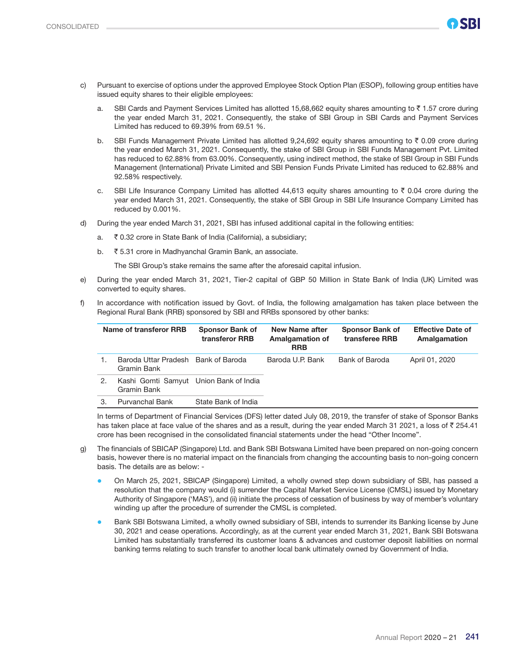

- c) Pursuant to exercise of options under the approved Employee Stock Option Plan (ESOP), following group entities have issued equity shares to their eligible employees:
	- a. SBI Cards and Payment Services Limited has allotted 15,68,662 equity shares amounting to  $\bar{\tau}$  1.57 crore during the year ended March 31, 2021. Consequently, the stake of SBI Group in SBI Cards and Payment Services Limited has reduced to 69.39% from 69.51 %.
	- b. SBI Funds Management Private Limited has allotted 9,24,692 equity shares amounting to  $\bar{\tau}$  0.09 crore during the year ended March 31, 2021. Consequently, the stake of SBI Group in SBI Funds Management Pvt. Limited has reduced to 62.88% from 63.00%. Consequently, using indirect method, the stake of SBI Group in SBI Funds Management (International) Private Limited and SBI Pension Funds Private Limited has reduced to 62.88% and 92.58% respectively.
	- c. SBI Life Insurance Company Limited has allotted 44,613 equity shares amounting to  $\bar{\tau}$  0.04 crore during the year ended March 31, 2021. Consequently, the stake of SBI Group in SBI Life Insurance Company Limited has reduced by 0.001%.
- d) During the year ended March 31, 2021, SBI has infused additional capital in the following entities:
	- a. ₹ 0.32 crore in State Bank of India (California), a subsidiary;
	- b. ` 5.31 crore in Madhyanchal Gramin Bank, an associate.

The SBI Group's stake remains the same after the aforesaid capital infusion.

- e) During the year ended March 31, 2021, Tier-2 capital of GBP 50 Million in State Bank of India (UK) Limited was converted to equity shares.
- f) In accordance with notification issued by Govt. of India, the following amalgamation has taken place between the Regional Rural Bank (RRB) sponsored by SBI and RRBs sponsored by other banks:

| Name of transferor RRB |                                                       | <b>Sponsor Bank of</b><br>transferor RRB | New Name after<br><b>Amalgamation of</b><br><b>RRB</b> | <b>Sponsor Bank of</b><br>transferee RRB | <b>Effective Date of</b><br>Amalgamation |
|------------------------|-------------------------------------------------------|------------------------------------------|--------------------------------------------------------|------------------------------------------|------------------------------------------|
|                        | Baroda Uttar Pradesh Bank of Baroda<br>Gramin Bank    |                                          | Baroda U.P. Bank                                       | Bank of Baroda                           | April 01, 2020                           |
| 2.                     | Kashi Gomti Samyut Union Bank of India<br>Gramin Bank |                                          |                                                        |                                          |                                          |
| 3.                     | <b>Purvanchal Bank</b>                                | State Bank of India                      |                                                        |                                          |                                          |

 In terms of Department of Financial Services (DFS) letter dated July 08, 2019, the transfer of stake of Sponsor Banks has taken place at face value of the shares and as a result, during the year ended March 31 2021, a loss of  $\bar{z}$  254.41 crore has been recognised in the consolidated financial statements under the head "Other Income".

- g) The financials of SBICAP (Singapore) Ltd. and Bank SBI Botswana Limited have been prepared on non-going concern basis, however there is no material impact on the financials from changing the accounting basis to non-going concern basis. The details are as below: -
	- On March 25, 2021, SBICAP (Singapore) Limited, a wholly owned step down subsidiary of SBI, has passed a resolution that the company would (i) surrender the Capital Market Service License (CMSL) issued by Monetary Authority of Singapore ('MAS'), and (ii) initiate the process of cessation of business by way of member's voluntary winding up after the procedure of surrender the CMSL is completed.
	- Bank SBI Botswana Limited, a wholly owned subsidiary of SBI, intends to surrender its Banking license by June 30, 2021 and cease operations. Accordingly, as at the current year ended March 31, 2021, Bank SBI Botswana Limited has substantially transferred its customer loans & advances and customer deposit liabilities on normal banking terms relating to such transfer to another local bank ultimately owned by Government of India.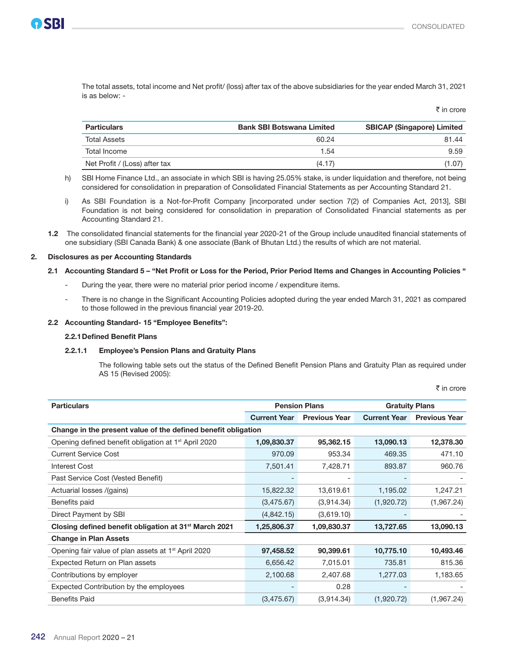$\bar{\tau}$  in crore

 The total assets, total income and Net profit/ (loss) after tax of the above subsidiaries for the year ended March 31, 2021 is as below: -

| <b>Particulars</b>            | <b>Bank SBI Botswana Limited</b> | <b>SBICAP (Singapore) Limited</b> |
|-------------------------------|----------------------------------|-----------------------------------|
| <b>Total Assets</b>           | 60.24                            | 81.44                             |
| Total Income                  | 1.54                             | 9.59                              |
| Net Profit / (Loss) after tax | (4.17)                           | (1.07)                            |

- h) SBI Home Finance Ltd., an associate in which SBI is having 25.05% stake, is under liquidation and therefore, not being considered for consolidation in preparation of Consolidated Financial Statements as per Accounting Standard 21.
- i) As SBI Foundation is a Not-for-Profit Company [incorporated under section 7(2) of Companies Act, 2013], SBI Foundation is not being considered for consolidation in preparation of Consolidated Financial statements as per Accounting Standard 21.
- 1.2 The consolidated financial statements for the financial year 2020-21 of the Group include unaudited financial statements of one subsidiary (SBI Canada Bank) & one associate (Bank of Bhutan Ltd.) the results of which are not material.

#### 2. Disclosures as per Accounting Standards

#### 2.1 Accounting Standard 5 – "Net Profit or Loss for the Period, Prior Period Items and Changes in Accounting Policies "

- During the year, there were no material prior period income / expenditure items.
- There is no change in the Significant Accounting Policies adopted during the year ended March 31, 2021 as compared to those followed in the previous financial year 2019-20.

#### 2.2 Accounting Standard- 15 "Employee Benefits":

#### 2.2.1Defined Benefit Plans

#### 2.2.1.1 Employee's Pension Plans and Gratuity Plans

 The following table sets out the status of the Defined Benefit Pension Plans and Gratuity Plan as required under AS 15 (Revised 2005):

₹ in crore

| <b>Particulars</b>                                                | <b>Pension Plans</b> |                      | <b>Gratuity Plans</b> |                      |  |
|-------------------------------------------------------------------|----------------------|----------------------|-----------------------|----------------------|--|
|                                                                   | <b>Current Year</b>  | <b>Previous Year</b> | <b>Current Year</b>   | <b>Previous Year</b> |  |
| Change in the present value of the defined benefit obligation     |                      |                      |                       |                      |  |
| Opening defined benefit obligation at 1 <sup>st</sup> April 2020  | 1,09,830.37          | 95,362.15            | 13,090.13             | 12,378.30            |  |
| <b>Current Service Cost</b>                                       | 970.09               | 953.34               | 469.35                | 471.10               |  |
| Interest Cost                                                     | 7,501.41             | 7.428.71             | 893.87                | 960.76               |  |
| Past Service Cost (Vested Benefit)                                |                      |                      |                       |                      |  |
| Actuarial losses /(gains)                                         | 15,822.32            | 13,619.61            | 1,195.02              | 1,247.21             |  |
| Benefits paid                                                     | (3,475.67)           | (3,914.34)           | (1,920.72)            | (1,967.24)           |  |
| Direct Payment by SBI                                             | (4,842.15)           | (3,619.10)           |                       |                      |  |
| Closing defined benefit obligation at 31 <sup>st</sup> March 2021 | 1,25,806.37          | 1,09,830.37          | 13,727.65             | 13,090.13            |  |
| <b>Change in Plan Assets</b>                                      |                      |                      |                       |                      |  |
| Opening fair value of plan assets at 1 <sup>st</sup> April 2020   | 97,458.52            | 90,399.61            | 10,775.10             | 10,493.46            |  |
| Expected Return on Plan assets                                    | 6,656.42             | 7,015.01             | 735.81                | 815.36               |  |
| Contributions by employer                                         | 2,100.68             | 2,407.68             | 1,277.03              | 1,183.65             |  |
| Expected Contribution by the employees                            |                      | 0.28                 |                       |                      |  |
| <b>Benefits Paid</b>                                              | (3,475.67)           | (3,914.34)           | (1,920.72)            | (1,967.24)           |  |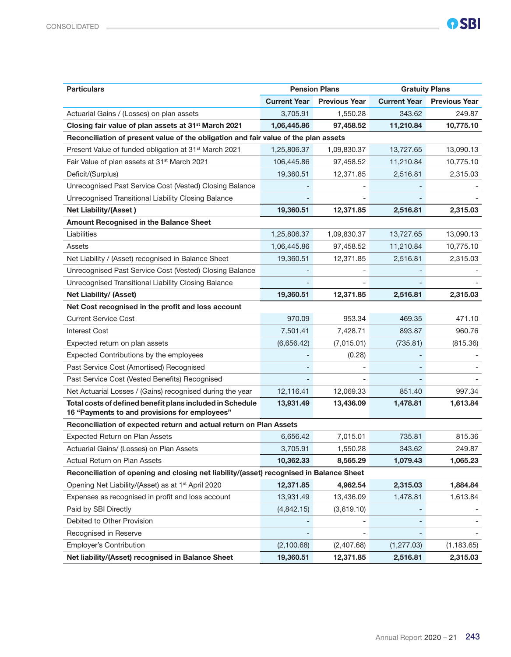| <b>Particulars</b>                                                                                         | <b>Pension Plans</b> |                      | <b>Gratuity Plans</b> |                      |
|------------------------------------------------------------------------------------------------------------|----------------------|----------------------|-----------------------|----------------------|
|                                                                                                            | <b>Current Year</b>  | <b>Previous Year</b> | <b>Current Year</b>   | <b>Previous Year</b> |
| Actuarial Gains / (Losses) on plan assets                                                                  | 3,705.91             | 1,550.28             | 343.62                | 249.87               |
| Closing fair value of plan assets at 31 <sup>st</sup> March 2021                                           | 1,06,445.86          | 97,458.52            | 11,210.84             | 10,775.10            |
| Reconciliation of present value of the obligation and fair value of the plan assets                        |                      |                      |                       |                      |
| Present Value of funded obligation at 31 <sup>st</sup> March 2021                                          | 1,25,806.37          | 1,09,830.37          | 13,727.65             | 13,090.13            |
| Fair Value of plan assets at 31 <sup>st</sup> March 2021                                                   | 106,445.86           | 97,458.52            | 11,210.84             | 10,775.10            |
| Deficit/(Surplus)                                                                                          | 19,360.51            | 12,371.85            | 2,516.81              | 2,315.03             |
| Unrecognised Past Service Cost (Vested) Closing Balance                                                    |                      |                      |                       |                      |
| Unrecognised Transitional Liability Closing Balance                                                        |                      |                      |                       |                      |
| <b>Net Liability/(Asset)</b>                                                                               | 19,360.51            | 12,371.85            | 2,516.81              | 2,315.03             |
| Amount Recognised in the Balance Sheet                                                                     |                      |                      |                       |                      |
| Liabilities                                                                                                | 1,25,806.37          | 1,09,830.37          | 13,727.65             | 13,090.13            |
| Assets                                                                                                     | 1,06,445.86          | 97,458.52            | 11,210.84             | 10,775.10            |
| Net Liability / (Asset) recognised in Balance Sheet                                                        | 19,360.51            | 12,371.85            | 2,516.81              | 2,315.03             |
| Unrecognised Past Service Cost (Vested) Closing Balance                                                    |                      |                      |                       |                      |
| Unrecognised Transitional Liability Closing Balance                                                        |                      |                      |                       |                      |
| Net Liability/ (Asset)                                                                                     | 19,360.51            | 12,371.85            | 2,516.81              | 2,315.03             |
| Net Cost recognised in the profit and loss account                                                         |                      |                      |                       |                      |
| <b>Current Service Cost</b>                                                                                | 970.09               | 953.34               | 469.35                | 471.10               |
| <b>Interest Cost</b>                                                                                       | 7,501.41             | 7,428.71             | 893.87                | 960.76               |
| Expected return on plan assets                                                                             | (6,656.42)           | (7,015.01)           | (735.81)              | (815.36)             |
| Expected Contributions by the employees                                                                    |                      | (0.28)               |                       |                      |
| Past Service Cost (Amortised) Recognised                                                                   |                      |                      |                       |                      |
| Past Service Cost (Vested Benefits) Recognised                                                             |                      |                      |                       |                      |
| Net Actuarial Losses / (Gains) recognised during the year                                                  | 12,116.41            | 12,069.33            | 851.40                | 997.34               |
| Total costs of defined benefit plans included in Schedule<br>16 "Payments to and provisions for employees" | 13,931.49            | 13,436.09            | 1,478.81              | 1,613.84             |
| Reconciliation of expected return and actual return on Plan Assets                                         |                      |                      |                       |                      |
| Expected Return on Plan Assets                                                                             | 6,656.42             | 7,015.01             | 735.81                | 815.36               |
| Actuarial Gains/ (Losses) on Plan Assets                                                                   | 3,705.91             | 1,550.28             | 343.62                | 249.87               |
| Actual Return on Plan Assets                                                                               | 10,362.33            | 8,565.29             | 1,079.43              | 1,065.23             |
| Reconciliation of opening and closing net liability/(asset) recognised in Balance Sheet                    |                      |                      |                       |                      |
| Opening Net Liability/(Asset) as at 1 <sup>st</sup> April 2020                                             | 12,371.85            | 4,962.54             | 2,315.03              | 1,884.84             |
| Expenses as recognised in profit and loss account                                                          | 13,931.49            | 13,436.09            | 1,478.81              | 1,613.84             |
| Paid by SBI Directly                                                                                       | (4,842.15)           | (3,619.10)           |                       |                      |
| Debited to Other Provision                                                                                 |                      |                      |                       |                      |
| Recognised in Reserve                                                                                      |                      |                      |                       |                      |
| Employer's Contribution                                                                                    | (2,100.68)           | (2,407.68)           | (1, 277.03)           | (1, 183.65)          |
| Net liability/(Asset) recognised in Balance Sheet                                                          | 19,360.51            | 12,371.85            | 2,516.81              | 2,315.03             |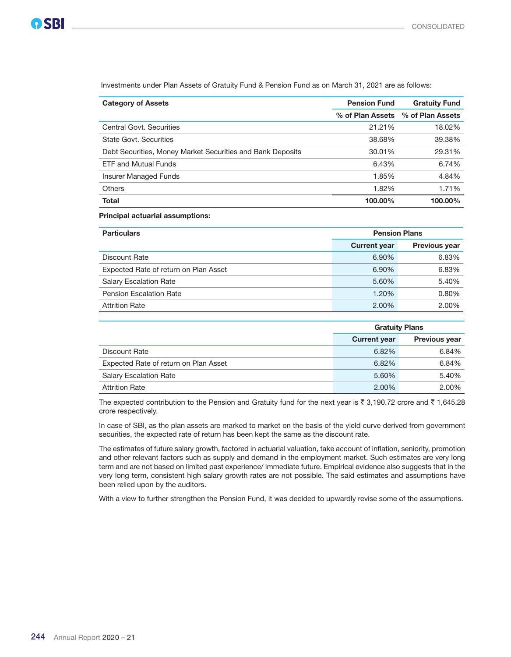| <b>Category of Assets</b>                                  | <b>Pension Fund</b> | <b>Gratuity Fund</b> |
|------------------------------------------------------------|---------------------|----------------------|
|                                                            | % of Plan Assets    | % of Plan Assets     |
| Central Govt. Securities                                   | 21.21%              | 18.02%               |
| <b>State Govt. Securities</b>                              | 38.68%              | 39.38%               |
| Debt Securities, Money Market Securities and Bank Deposits | 30.01%              | 29.31%               |
| <b>ETF and Mutual Funds</b>                                | 6.43%               | 6.74%                |
| <b>Insurer Managed Funds</b>                               | 1.85%               | 4.84%                |
| <b>Others</b>                                              | 1.82%               | 1.71%                |
| <b>Total</b>                                               | 100.00%             | 100.00%              |

Investments under Plan Assets of Gratuity Fund & Pension Fund as on March 31, 2021 are as follows:

Principal actuarial assumptions:

| <b>Particulars</b>                    | <b>Pension Plans</b> |                      |
|---------------------------------------|----------------------|----------------------|
|                                       | <b>Current year</b>  | <b>Previous year</b> |
| Discount Rate                         | 6.90%                | 6.83%                |
| Expected Rate of return on Plan Asset | 6.90%                | 6.83%                |
| <b>Salary Escalation Rate</b>         | 5.60%                | 5.40%                |
| <b>Pension Escalation Rate</b>        | 1.20%                | 0.80%                |
| <b>Attrition Rate</b>                 | 2.00%                | 2.00%                |

|                                       | <b>Gratuity Plans</b> |                      |
|---------------------------------------|-----------------------|----------------------|
|                                       | <b>Current year</b>   | <b>Previous year</b> |
| Discount Rate                         | 6.82%                 | 6.84%                |
| Expected Rate of return on Plan Asset | 6.82%                 | 6.84%                |
| <b>Salary Escalation Rate</b>         | 5.60%                 | 5.40%                |
| <b>Attrition Rate</b>                 | 2.00%                 | 2.00%                |

The expected contribution to the Pension and Gratuity fund for the next year is  $\bar{\tau}$  3,190.72 crore and  $\bar{\tau}$  1,645.28 crore respectively.

 In case of SBI, as the plan assets are marked to market on the basis of the yield curve derived from government securities, the expected rate of return has been kept the same as the discount rate.

 The estimates of future salary growth, factored in actuarial valuation, take account of inflation, seniority, promotion and other relevant factors such as supply and demand in the employment market. Such estimates are very long term and are not based on limited past experience/ immediate future. Empirical evidence also suggests that in the very long term, consistent high salary growth rates are not possible. The said estimates and assumptions have been relied upon by the auditors.

With a view to further strengthen the Pension Fund, it was decided to upwardly revise some of the assumptions.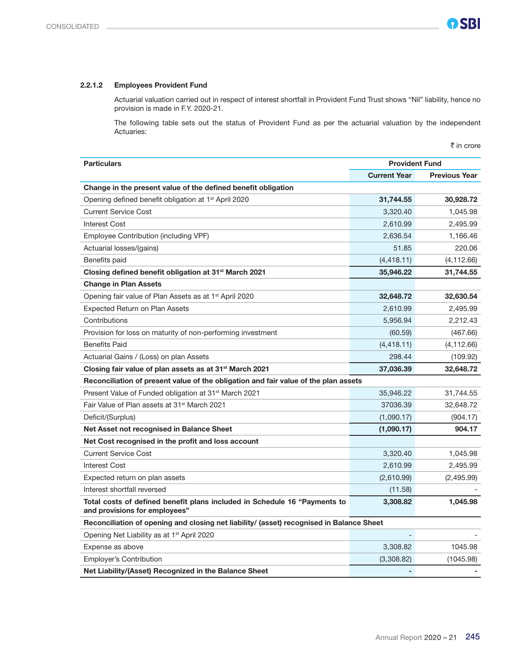$\bar{\tau}$  in crore

### 2.2.1.2 Employees Provident Fund

 Actuarial valuation carried out in respect of interest shortfall in Provident Fund Trust shows "Nil" liability, hence no provision is made in F.Y. 2020-21.

 The following table sets out the status of Provident Fund as per the actuarial valuation by the independent Actuaries:

| <b>Particulars</b>                                                                       | <b>Provident Fund</b> |                      |  |
|------------------------------------------------------------------------------------------|-----------------------|----------------------|--|
|                                                                                          | <b>Current Year</b>   | <b>Previous Year</b> |  |
| Change in the present value of the defined benefit obligation                            |                       |                      |  |
| Opening defined benefit obligation at 1 <sup>st</sup> April 2020                         | 31,744.55             | 30,928.72            |  |
| <b>Current Service Cost</b>                                                              | 3,320.40              | 1,045.98             |  |
| <b>Interest Cost</b>                                                                     | 2,610.99              | 2,495.99             |  |
| Employee Contribution (including VPF)                                                    | 2,636.54              | 1,166.46             |  |
| Actuarial losses/(gains)                                                                 | 51.85                 | 220.06               |  |
| Benefits paid                                                                            | (4, 418.11)           | (4, 112.66)          |  |
| Closing defined benefit obligation at 31 <sup>st</sup> March 2021                        | 35,946.22             | 31,744.55            |  |
| <b>Change in Plan Assets</b>                                                             |                       |                      |  |
| Opening fair value of Plan Assets as at 1 <sup>st</sup> April 2020                       | 32,648.72             | 32,630.54            |  |
| Expected Return on Plan Assets                                                           | 2,610.99              | 2,495.99             |  |
| Contributions                                                                            | 5,956.94              | 2,212.43             |  |
| Provision for loss on maturity of non-performing investment                              | (60.59)               | (467.66)             |  |
| <b>Benefits Paid</b>                                                                     | (4, 418.11)           | (4, 112.66)          |  |
| Actuarial Gains / (Loss) on plan Assets                                                  | 298.44                | (109.92)             |  |
| Closing fair value of plan assets as at 31 <sup>st</sup> March 2021                      | 37,036.39             | 32,648.72            |  |
| Reconciliation of present value of the obligation and fair value of the plan assets      |                       |                      |  |
| Present Value of Funded obligation at 31 <sup>st</sup> March 2021                        | 35,946.22             | 31,744.55            |  |
| Fair Value of Plan assets at 31 <sup>st</sup> March 2021                                 | 37036.39              | 32,648.72            |  |
| Deficit/(Surplus)                                                                        | (1,090.17)            | (904.17)             |  |
| Net Asset not recognised in Balance Sheet                                                | (1,090.17)            | 904.17               |  |
| Net Cost recognised in the profit and loss account                                       |                       |                      |  |
| <b>Current Service Cost</b>                                                              | 3,320.40              | 1,045.98             |  |
| <b>Interest Cost</b>                                                                     | 2,610.99              | 2,495.99             |  |
| Expected return on plan assets                                                           | (2,610.99)            | (2,495.99)           |  |
| Interest shortfall reversed                                                              | (11.58)               |                      |  |
| Total costs of defined benefit plans included in Schedule 16 "Payments to                | 3,308.82              | 1,045.98             |  |
| and provisions for employees"                                                            |                       |                      |  |
| Reconciliation of opening and closing net liability/ (asset) recognised in Balance Sheet |                       |                      |  |
| Opening Net Liability as at 1 <sup>st</sup> April 2020                                   |                       |                      |  |
| Expense as above                                                                         | 3,308.82              | 1045.98              |  |
| <b>Employer's Contribution</b>                                                           | (3,308.82)            | (1045.98)            |  |
| Net Liability/(Asset) Recognized in the Balance Sheet                                    |                       |                      |  |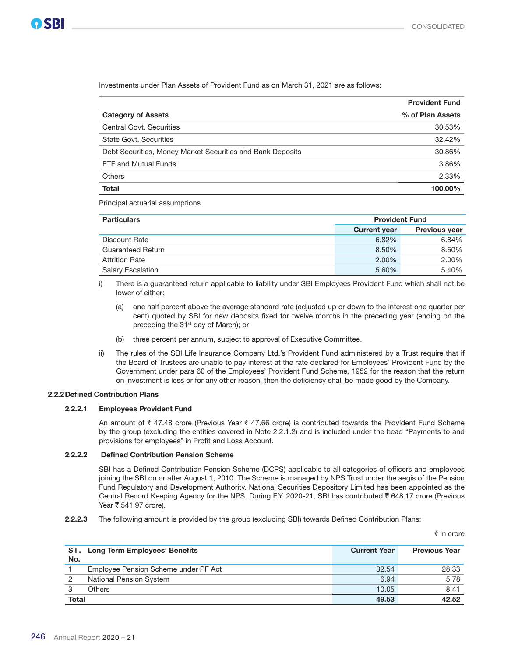₹ in crore

Investments under Plan Assets of Provident Fund as on March 31, 2021 are as follows:

|                                                            | <b>Provident Fund</b> |
|------------------------------------------------------------|-----------------------|
| <b>Category of Assets</b>                                  | % of Plan Assets      |
| Central Govt. Securities                                   | 30.53%                |
| State Govt, Securities                                     | 32.42%                |
| Debt Securities, Money Market Securities and Bank Deposits | 30.86%                |
| <b>ETF and Mutual Funds</b>                                | 3.86%                 |
| <b>Others</b>                                              | 2.33%                 |
| <b>Total</b>                                               | 100.00%               |

Principal actuarial assumptions

| <b>Particulars</b>       | <b>Provident Fund</b> |                      |
|--------------------------|-----------------------|----------------------|
|                          | <b>Current year</b>   | <b>Previous year</b> |
| Discount Rate            | 6.82%                 | 6.84%                |
| Guaranteed Return        | 8.50%                 | 8.50%                |
| <b>Attrition Rate</b>    | 2.00%                 | 2.00%                |
| <b>Salary Escalation</b> | 5.60%                 | 5.40%                |

 i) There is a guaranteed return applicable to liability under SBI Employees Provident Fund which shall not be lower of either:

- (a) one half percent above the average standard rate (adjusted up or down to the interest one quarter per cent) quoted by SBI for new deposits fixed for twelve months in the preceding year (ending on the preceding the 31<sup>st</sup> day of March); or
- (b) three percent per annum, subject to approval of Executive Committee.
- ii) The rules of the SBI Life Insurance Company Ltd.'s Provident Fund administered by a Trust require that if the Board of Trustees are unable to pay interest at the rate declared for Employees' Provident Fund by the Government under para 60 of the Employees' Provident Fund Scheme, 1952 for the reason that the return on investment is less or for any other reason, then the deficiency shall be made good by the Company.

#### 2.2.2Defined Contribution Plans

#### 2.2.2.1 Employees Provident Fund

An amount of  $\bar{\tau}$  47.48 crore (Previous Year  $\bar{\tau}$  47.66 crore) is contributed towards the Provident Fund Scheme by the group (excluding the entities covered in Note 2.2.1.2) and is included under the head "Payments to and provisions for employees" in Profit and Loss Account.

#### 2.2.2.2 Defined Contribution Pension Scheme

 SBI has a Defined Contribution Pension Scheme (DCPS) applicable to all categories of officers and employees joining the SBI on or after August 1, 2010. The Scheme is managed by NPS Trust under the aegis of the Pension Fund Regulatory and Development Authority. National Securities Depository Limited has been appointed as the Central Record Keeping Agency for the NPS. During F.Y. 2020-21, SBI has contributed ` 648.17 crore (Previous Year  $\bar{z}$  541.97 crore).

2.2.2.3 The following amount is provided by the group (excluding SBI) towards Defined Contribution Plans:

|       | SI. Long Term Employees' Benefits    | <b>Current Year</b> | <b>Previous Year</b> |
|-------|--------------------------------------|---------------------|----------------------|
| No.   |                                      |                     |                      |
|       | Employee Pension Scheme under PF Act | 32.54               | 28.33                |
| 2     | National Pension System              | 6.94                | 5.78                 |
|       | <b>Others</b>                        | 10.05               | 8.41                 |
| Total |                                      | 49.53               | 42.52                |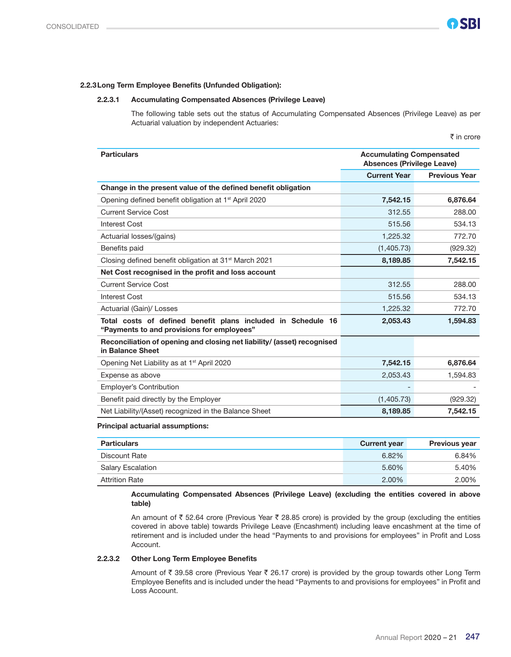#### 2.2.3Long Term Employee Benefits (Unfunded Obligation):

#### 2.2.3.1 Accumulating Compensated Absences (Privilege Leave)

 The following table sets out the status of Accumulating Compensated Absences (Privilege Leave) as per Actuarial valuation by independent Actuaries:

 $\bar{\bar{\tau}}$  in crore

| <b>Particulars</b>                                                                                         | <b>Accumulating Compensated</b><br><b>Absences (Privilege Leave)</b> |                      |  |
|------------------------------------------------------------------------------------------------------------|----------------------------------------------------------------------|----------------------|--|
|                                                                                                            | <b>Current Year</b>                                                  | <b>Previous Year</b> |  |
| Change in the present value of the defined benefit obligation                                              |                                                                      |                      |  |
| Opening defined benefit obligation at 1 <sup>st</sup> April 2020                                           | 7.542.15                                                             | 6,876.64             |  |
| <b>Current Service Cost</b>                                                                                | 312.55                                                               | 288.00               |  |
| <b>Interest Cost</b>                                                                                       | 515.56                                                               | 534.13               |  |
| Actuarial losses/(gains)                                                                                   | 1,225.32                                                             | 772.70               |  |
| Benefits paid                                                                                              | (1,405.73)                                                           | (929.32)             |  |
| Closing defined benefit obligation at 31 <sup>st</sup> March 2021                                          | 8,189.85                                                             | 7,542.15             |  |
| Net Cost recognised in the profit and loss account                                                         |                                                                      |                      |  |
| Current Service Cost                                                                                       | 312.55                                                               | 288.00               |  |
| Interest Cost                                                                                              | 515.56                                                               | 534.13               |  |
| Actuarial (Gain)/ Losses                                                                                   | 1,225.32                                                             | 772.70               |  |
| Total costs of defined benefit plans included in Schedule 16<br>"Payments to and provisions for employees" | 2,053.43                                                             | 1,594.83             |  |
| Reconciliation of opening and closing net liability/ (asset) recognised<br>in Balance Sheet                |                                                                      |                      |  |
| Opening Net Liability as at 1 <sup>st</sup> April 2020                                                     | 7,542.15                                                             | 6,876.64             |  |
| Expense as above                                                                                           | 2,053.43                                                             | 1.594.83             |  |
| <b>Employer's Contribution</b>                                                                             |                                                                      |                      |  |
| Benefit paid directly by the Employer                                                                      | (1,405.73)                                                           | (929.32)             |  |
| Net Liability/(Asset) recognized in the Balance Sheet                                                      | 8,189.85                                                             | 7,542.15             |  |

#### Principal actuarial assumptions:

| <b>Particulars</b>       | <b>Current year</b> | <b>Previous year</b> |
|--------------------------|---------------------|----------------------|
| Discount Rate            | 6.82%               | 6.84%                |
| <b>Salary Escalation</b> | 5.60%               | 5.40%                |
| <b>Attrition Rate</b>    | 2.00%               | 2.00%                |

 Accumulating Compensated Absences (Privilege Leave) (excluding the entities covered in above table)

An amount of  $\bar{\tau}$  52.64 crore (Previous Year  $\bar{\tau}$  28.85 crore) is provided by the group (excluding the entities covered in above table) towards Privilege Leave (Encashment) including leave encashment at the time of retirement and is included under the head "Payments to and provisions for employees" in Profit and Loss Account.

#### 2.2.3.2 Other Long Term Employee Benefits

Amount of  $\bar{\tau}$  39.58 crore (Previous Year  $\bar{\tau}$  26.17 crore) is provided by the group towards other Long Term Employee Benefits and is included under the head "Payments to and provisions for employees" in Profit and Loss Account.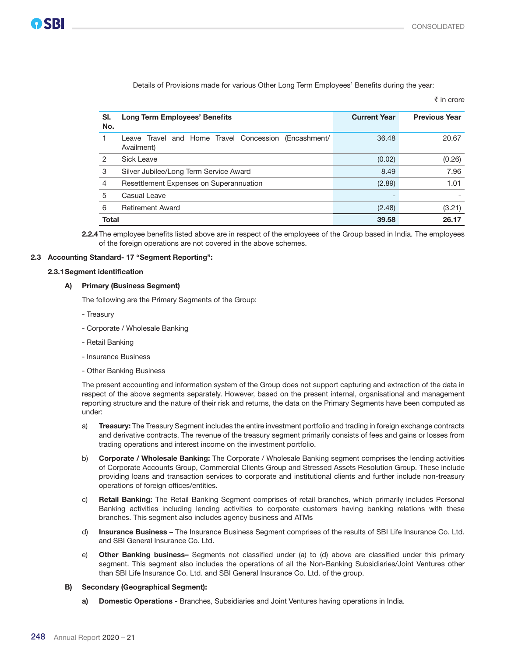|                |                                                                    |                          | ₹ in crore           |
|----------------|--------------------------------------------------------------------|--------------------------|----------------------|
| SI.<br>No.     | <b>Long Term Employees' Benefits</b>                               | <b>Current Year</b>      | <b>Previous Year</b> |
|                | Leave Travel and Home Travel Concession (Encashment/<br>Availment) | 36.48                    | 20.67                |
| 2              | Sick Leave                                                         | (0.02)                   | (0.26)               |
| 3              | Silver Jubilee/Long Term Service Award                             | 8.49                     | 7.96                 |
| $\overline{4}$ | Resettlement Expenses on Superannuation                            | (2.89)                   | 1.01                 |
| 5              | Casual Leave                                                       | $\overline{\phantom{0}}$ |                      |
| 6              | <b>Retirement Award</b>                                            | (2.48)                   | (3.21)               |
| <b>Total</b>   |                                                                    | 39.58                    | 26.17                |

Details of Provisions made for various Other Long Term Employees' Benefits during the year:

2.2.4 The employee benefits listed above are in respect of the employees of the Group based in India. The employees of the foreign operations are not covered in the above schemes.

#### 2.3 Accounting Standard- 17 "Segment Reporting":

#### 2.3.1Segment identification

#### A) Primary (Business Segment)

The following are the Primary Segments of the Group:

- Treasury
- Corporate / Wholesale Banking
- Retail Banking
- Insurance Business
- Other Banking Business

 The present accounting and information system of the Group does not support capturing and extraction of the data in respect of the above segments separately. However, based on the present internal, organisational and management reporting structure and the nature of their risk and returns, the data on the Primary Segments have been computed as under:

- a) Treasury: The Treasury Segment includes the entire investment portfolio and trading in foreign exchange contracts and derivative contracts. The revenue of the treasury segment primarily consists of fees and gains or losses from trading operations and interest income on the investment portfolio.
- b) Corporate / Wholesale Banking: The Corporate / Wholesale Banking segment comprises the lending activities of Corporate Accounts Group, Commercial Clients Group and Stressed Assets Resolution Group. These include providing loans and transaction services to corporate and institutional clients and further include non-treasury operations of foreign offices/entities.
- c) Retail Banking: The Retail Banking Segment comprises of retail branches, which primarily includes Personal Banking activities including lending activities to corporate customers having banking relations with these branches. This segment also includes agency business and ATMs
- d) Insurance Business The Insurance Business Segment comprises of the results of SBI Life Insurance Co. Ltd. and SBI General Insurance Co. Ltd.
- e) Other Banking business- Segments not classified under (a) to (d) above are classified under this primary segment. This segment also includes the operations of all the Non-Banking Subsidiaries/Joint Ventures other than SBI Life Insurance Co. Ltd. and SBI General Insurance Co. Ltd. of the group.

#### B) Secondary (Geographical Segment):

a) Domestic Operations - Branches, Subsidiaries and Joint Ventures having operations in India.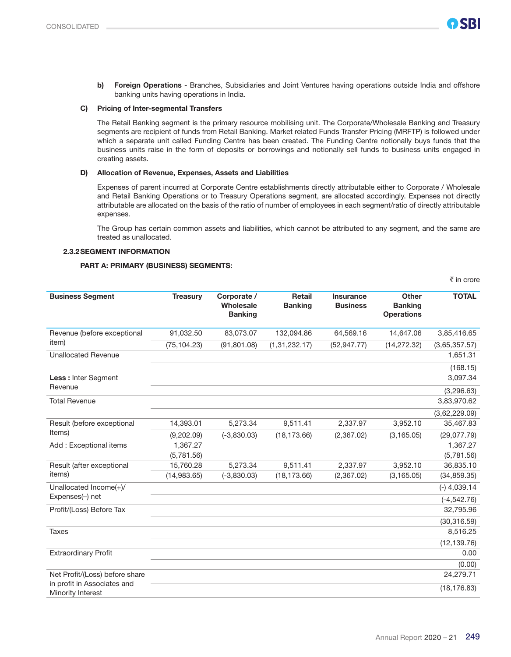b) Foreign Operations - Branches, Subsidiaries and Joint Ventures having operations outside India and offshore banking units having operations in India.

#### C) Pricing of Inter-segmental Transfers

 The Retail Banking segment is the primary resource mobilising unit. The Corporate/Wholesale Banking and Treasury segments are recipient of funds from Retail Banking. Market related Funds Transfer Pricing (MRFTP) is followed under which a separate unit called Funding Centre has been created. The Funding Centre notionally buys funds that the business units raise in the form of deposits or borrowings and notionally sell funds to business units engaged in creating assets.

#### D) Allocation of Revenue, Expenses, Assets and Liabilities

 Expenses of parent incurred at Corporate Centre establishments directly attributable either to Corporate / Wholesale and Retail Banking Operations or to Treasury Operations segment, are allocated accordingly. Expenses not directly attributable are allocated on the basis of the ratio of number of employees in each segment/ratio of directly attributable expenses.

 The Group has certain common assets and liabilities, which cannot be attributed to any segment, and the same are treated as unallocated.

#### 2.3.2SEGMENT INFORMATION

#### PART A: PRIMARY (BUSINESS) SEGMENTS:

|                                                               |                 |                                            |                                 |                                     |                                              | ₹ in crore     |
|---------------------------------------------------------------|-----------------|--------------------------------------------|---------------------------------|-------------------------------------|----------------------------------------------|----------------|
| <b>Business Segment</b>                                       | <b>Treasury</b> | Corporate /<br>Wholesale<br><b>Banking</b> | <b>Retail</b><br><b>Banking</b> | <b>Insurance</b><br><b>Business</b> | Other<br><b>Banking</b><br><b>Operations</b> | <b>TOTAL</b>   |
| Revenue (before exceptional                                   | 91,032.50       | 83,073.07                                  | 132,094.86                      | 64,569.16                           | 14,647.06                                    | 3,85,416.65    |
| item)                                                         | (75, 104.23)    | (91, 801.08)                               | (1,31,232.17)                   | (52, 947.77)                        | (14, 272.32)                                 | (3,65,357.57)  |
| <b>Unallocated Revenue</b>                                    |                 |                                            |                                 |                                     |                                              | 1,651.31       |
|                                                               |                 |                                            |                                 |                                     |                                              | (168.15)       |
| Less : Inter Segment                                          |                 |                                            |                                 |                                     |                                              | 3,097.34       |
| Revenue                                                       |                 |                                            |                                 |                                     |                                              | (3,296.63)     |
| <b>Total Revenue</b>                                          |                 |                                            |                                 |                                     |                                              | 3,83,970.62    |
|                                                               |                 |                                            |                                 |                                     |                                              | (3,62,229.09)  |
| Result (before exceptional                                    | 14,393.01       | 5,273.34                                   | 9,511.41                        | 2,337.97                            | 3,952.10                                     | 35,467.83      |
| Items)                                                        | (9,202.09)      | $(-3,830.03)$                              | (18, 173.66)                    | (2,367.02)                          | (3, 165.05)                                  | (29,077.79)    |
| Add: Exceptional items                                        | 1,367.27        |                                            |                                 |                                     |                                              | 1,367.27       |
|                                                               | (5,781.56)      |                                            |                                 |                                     |                                              | (5,781.56)     |
| Result (after exceptional                                     | 15,760.28       | 5,273.34                                   | 9,511.41                        | 2,337.97                            | 3,952.10                                     | 36,835.10      |
| items)                                                        | (14,983.65)     | $(-3,830.03)$                              | (18, 173.66)                    | (2,367.02)                          | (3, 165.05)                                  | (34, 859.35)   |
| Unallocated Income(+)/                                        |                 |                                            |                                 |                                     |                                              | $(-)$ 4,039.14 |
| Expenses(-) net                                               |                 |                                            |                                 |                                     |                                              | $(-4, 542.76)$ |
| Profit/(Loss) Before Tax                                      |                 |                                            |                                 |                                     |                                              | 32,795.96      |
|                                                               |                 |                                            |                                 |                                     |                                              | (30, 316.59)   |
| Taxes                                                         |                 |                                            |                                 |                                     |                                              | 8,516.25       |
|                                                               |                 |                                            |                                 |                                     |                                              | (12, 139.76)   |
| <b>Extraordinary Profit</b>                                   |                 |                                            |                                 |                                     |                                              | 0.00           |
|                                                               |                 |                                            |                                 |                                     |                                              | (0.00)         |
| Net Profit/(Loss) before share<br>in profit in Associates and |                 |                                            |                                 |                                     |                                              | 24,279.71      |
| Minority Interest                                             |                 |                                            |                                 |                                     |                                              | (18, 176.83)   |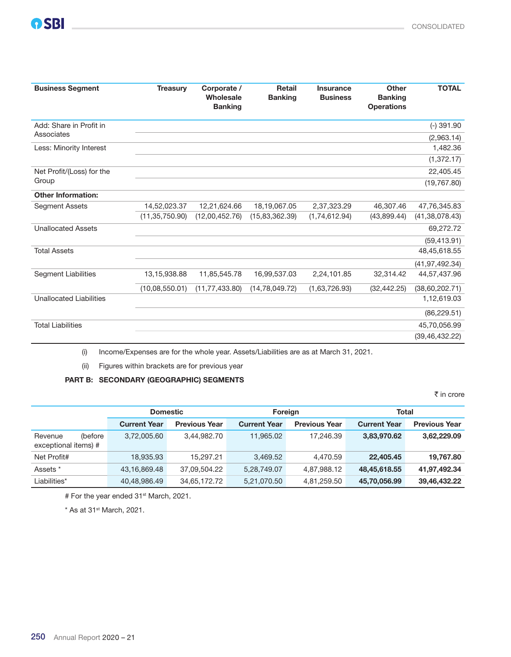| <b>Business Segment</b>               | <b>Treasury</b>  | Corporate /<br>Wholesale<br><b>Banking</b> | <b>Retail</b><br><b>Banking</b> | <b>Insurance</b><br><b>Business</b> | Other<br><b>Banking</b><br><b>Operations</b> | <b>TOTAL</b>     |
|---------------------------------------|------------------|--------------------------------------------|---------------------------------|-------------------------------------|----------------------------------------------|------------------|
| Add: Share in Profit in<br>Associates |                  |                                            |                                 |                                     |                                              | $(-)$ 391.90     |
|                                       |                  |                                            |                                 |                                     |                                              | (2,963.14)       |
| Less: Minority Interest               |                  |                                            |                                 |                                     |                                              | 1,482.36         |
|                                       |                  |                                            |                                 |                                     |                                              | (1, 372.17)      |
| Net Profit/(Loss) for the             |                  |                                            |                                 |                                     |                                              | 22,405.45        |
| Group                                 |                  |                                            |                                 |                                     |                                              | (19, 767.80)     |
| <b>Other Information:</b>             |                  |                                            |                                 |                                     |                                              |                  |
| <b>Segment Assets</b>                 | 14,52,023.37     | 12,21,624.66                               | 18,19,067.05                    | 2,37,323.29                         | 46.307.46                                    | 47,76,345.83     |
|                                       | (11, 35, 750.90) | (12,00,452.76)                             | (15,83,362.39)                  | (1,74,612.94)                       | (43,899.44)                                  | (41, 38, 078.43) |
| <b>Unallocated Assets</b>             |                  |                                            |                                 |                                     |                                              | 69,272.72        |
|                                       |                  |                                            |                                 |                                     |                                              | (59, 413.91)     |
| <b>Total Assets</b>                   |                  |                                            |                                 |                                     |                                              | 48,45,618.55     |
|                                       |                  |                                            |                                 |                                     |                                              | (41, 97, 492.34) |
| <b>Segment Liabilities</b>            | 13, 15, 938.88   | 11,85,545.78                               | 16,99,537.03                    | 2,24,101.85                         | 32,314.42                                    | 44,57,437.96     |
|                                       | (10,08,550.01)   | (11, 77, 433.80)                           | (14, 78, 049, 72)               | (1,63,726.93)                       | (32, 442.25)                                 | (38,60,202.71)   |
| <b>Unallocated Liabilities</b>        |                  |                                            |                                 |                                     |                                              | 1,12,619.03      |
|                                       |                  |                                            |                                 |                                     |                                              | (86, 229.51)     |
| <b>Total Liabilities</b>              |                  |                                            |                                 |                                     |                                              | 45,70,056.99     |
|                                       |                  |                                            |                                 |                                     |                                              | (39, 46, 432.22) |

(i) Income/Expenses are for the whole year. Assets/Liabilities are as at March 31, 2021.

(ii) Figures within brackets are for previous year

### PART B: SECONDARY (GEOGRAPHIC) SEGMENTS

 $\bar{\tau}$  in crore

|                                            | <b>Domestic</b>     |                      |                     | Foreign              |                     | <b>Total</b>         |  |
|--------------------------------------------|---------------------|----------------------|---------------------|----------------------|---------------------|----------------------|--|
|                                            | <b>Current Year</b> | <b>Previous Year</b> | <b>Current Year</b> | <b>Previous Year</b> | <b>Current Year</b> | <b>Previous Year</b> |  |
| (before<br>Revenue<br>exceptional items) # | 3.72.005.60         | 3.44.982.70          | 11.965.02           | 17.246.39            | 3,83,970.62         | 3,62,229.09          |  |
| Net Profit#                                | 18,935.93           | 15.297.21            | 3.469.52            | 4.470.59             | 22.405.45           | 19,767.80            |  |
| Assets *                                   | 43,16,869.48        | 37.09.504.22         | 5,28,749.07         | 4,87,988.12          | 48,45,618.55        | 41,97,492.34         |  |
| Liabilities*                               | 40,48,986.49        | 34,65,172.72         | 5,21,070.50         | 4,81,259.50          | 45,70,056.99        | 39,46,432.22         |  |

# For the year ended 31<sup>st</sup> March, 2021.

 $*$  As at 31 $st$  March, 2021.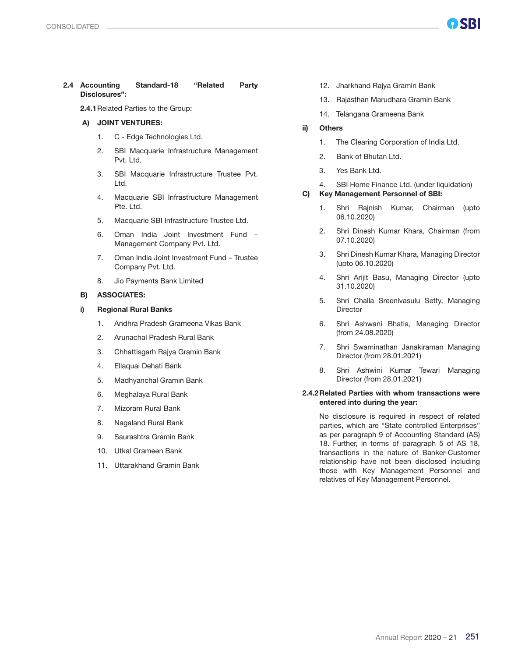#### 2.4 Accounting Standard-18 "Related Party Disclosures":

2.4.1Related Parties to the Group:

#### A) JOINT VENTURES:

- 1. C Edge Technologies Ltd.
- 2. SBI Macquarie Infrastructure Management Pvt. Ltd.
- 3. SBI Macquarie Infrastructure Trustee Pvt. Ltd.
- 4. Macquarie SBI Infrastructure Management Pte. Ltd.
- 5. Macquarie SBI Infrastructure Trustee Ltd.
- 6. Oman India Joint Investment Fund Management Company Pvt. Ltd.
- 7. Oman India Joint Investment Fund Trustee Company Pvt. Ltd.
- 8. Jio Payments Bank Limited

#### B) ASSOCIATES:

#### i) Regional Rural Banks

- 1. Andhra Pradesh Grameena Vikas Bank
- 2. Arunachal Pradesh Rural Bank
- 3. Chhattisgarh Rajya Gramin Bank
- 4. Ellaquai Dehati Bank
- 5. Madhyanchal Gramin Bank
- 6. Meghalaya Rural Bank
- 7. Mizoram Rural Bank
- 8. Nagaland Rural Bank
- 9. Saurashtra Gramin Bank
- 10. Utkal Grameen Bank
- 11. Uttarakhand Gramin Bank
- 12. Jharkhand Rajya Gramin Bank
- 13. Rajasthan Marudhara Gramin Bank
- 14. Telangana Grameena Bank
- ii) Others
	- 1. The Clearing Corporation of India Ltd.
	- 2. Bank of Bhutan Ltd.
	- 3. Yes Bank Ltd.
	- 4. SBI Home Finance Ltd. (under liquidation)
- C) Key Management Personnel of SBI:
	- 1. Shri Rajnish Kumar, Chairman (upto 06.10.2020)
	- 2. Shri Dinesh Kumar Khara, Chairman (from 07.10.2020)
	- 3. Shri Dinesh Kumar Khara, Managing Director (upto 06.10.2020)
	- 4. Shri Arijit Basu, Managing Director (upto 31.10.2020)
	- 5. Shri Challa Sreenivasulu Setty, Managing **Director**
	- 6. Shri Ashwani Bhatia, Managing Director (from 24.08.2020)
	- 7. Shri Swaminathan Janakiraman Managing Director (from 28.01.2021)
	- 8. Shri Ashwini Kumar Tewari Managing Director (from 28.01.2021)

#### 2.4.2 Related Parties with whom transactions were entered into during the year:

 No disclosure is required in respect of related parties, which are "State controlled Enterprises" as per paragraph 9 of Accounting Standard (AS) 18. Further, in terms of paragraph 5 of AS 18, transactions in the nature of Banker-Customer relationship have not been disclosed including those with Key Management Personnel and relatives of Key Management Personnel.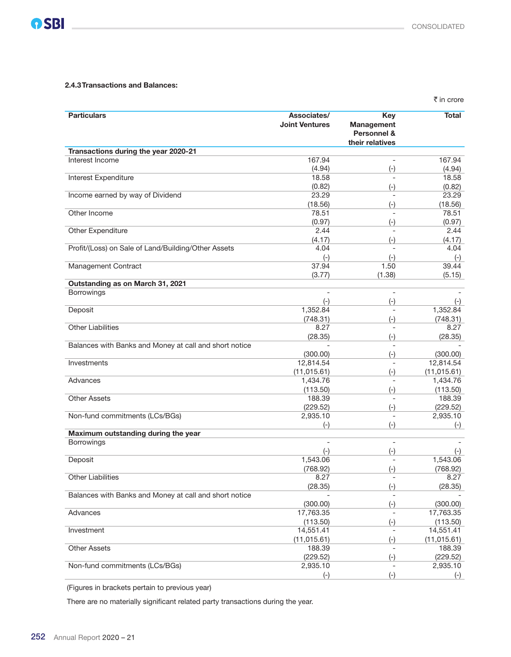#### 2.4.3Transactions and Balances:

|                                                        |                                      |                                                                   | ₹ in crore        |
|--------------------------------------------------------|--------------------------------------|-------------------------------------------------------------------|-------------------|
| <b>Particulars</b>                                     | Associates/<br><b>Joint Ventures</b> | <b>Key</b><br><b>Management</b><br>Personnel &<br>their relatives | <b>Total</b>      |
| Transactions during the year 2020-21                   |                                      |                                                                   |                   |
| Interest Income                                        | 167.94                               |                                                                   | 167.94            |
|                                                        | (4.94)                               | $(-)$                                                             | (4.94)            |
| Interest Expenditure                                   | 18.58                                |                                                                   | 18.58             |
|                                                        | (0.82)                               | $(-)$                                                             | (0.82)            |
| Income earned by way of Dividend                       | 23.29                                |                                                                   | 23.29             |
| Other Income                                           | (18.56)<br>78.51                     | $(-)$                                                             | (18.56)<br>78.51  |
|                                                        | (0.97)                               | $(-)$                                                             | (0.97)            |
| Other Expenditure                                      | 2.44                                 |                                                                   | 2.44              |
|                                                        | (4.17)                               | $(-)$                                                             | (4.17)            |
| Profit/(Loss) on Sale of Land/Building/Other Assets    | 4.04                                 |                                                                   | 4.04              |
|                                                        | $(-)$                                | $(-)$                                                             | $(-)$             |
| Management Contract                                    | 37.94                                | 1.50                                                              | 39.44             |
|                                                        | (3.77)                               | (1.38)                                                            | (5.15)            |
| Outstanding as on March 31, 2021                       |                                      |                                                                   |                   |
| <b>Borrowings</b>                                      | $\overline{\phantom{a}}$             | $\overline{\phantom{a}}$                                          |                   |
|                                                        | $(-)$                                | $(-)$                                                             | $(-)$             |
| Deposit                                                | 1,352.84                             |                                                                   | 1,352.84          |
|                                                        | (748.31)                             | $(-)$                                                             | (748.31)          |
| <b>Other Liabilities</b>                               | 8.27                                 |                                                                   | 8.27              |
|                                                        | (28.35)                              | $(-)$                                                             | (28.35)           |
| Balances with Banks and Money at call and short notice | (300.00)                             | $(-)$                                                             | (300.00)          |
| Investments                                            | 12,814.54                            |                                                                   | 12,814.54         |
|                                                        | (11, 015.61)                         | $(-)$                                                             | (11, 015.61)      |
| Advances                                               | 1,434.76                             |                                                                   | 1,434.76          |
|                                                        | (113.50)                             | $(-)$                                                             | (113.50)          |
| <b>Other Assets</b>                                    | 188.39                               |                                                                   | 188.39            |
|                                                        | (229.52)                             | $(-)$                                                             | (229.52)          |
| Non-fund commitments (LCs/BGs)                         | 2,935.10                             |                                                                   | 2,935.10          |
|                                                        | $(-)$                                | $(-)$                                                             | $(-)$             |
| Maximum outstanding during the year                    |                                      |                                                                   |                   |
| <b>Borrowings</b>                                      | $\overline{\phantom{0}}$             | $\overline{\phantom{a}}$                                          |                   |
| Deposit                                                | $(-)$<br>1,543.06                    | $(\textnormal{-})$                                                | $(-)$<br>1,543.06 |
|                                                        | (768.92)                             | $(-)$                                                             | (768.92)          |
| <b>Other Liabilities</b>                               | 8.27                                 |                                                                   | 8.27              |
|                                                        | (28.35)                              | $(-)$                                                             | (28.35)           |
| Balances with Banks and Money at call and short notice |                                      |                                                                   |                   |
|                                                        | (300.00)                             | $(-)$                                                             | (300.00)          |
| Advances                                               | 17,763.35                            | $\overline{\phantom{a}}$                                          | 17,763.35         |
|                                                        | (113.50)                             | $(-)$                                                             | (113.50)          |
| Investment                                             | 14,551.41                            | $\overline{\phantom{a}}$                                          | 14,551.41         |
|                                                        | (11, 015.61)                         | $(-)$                                                             | (11, 015.61)      |
| <b>Other Assets</b>                                    | 188.39                               |                                                                   | 188.39            |
|                                                        | (229.52)                             | $(-)$                                                             | (229.52)          |
| Non-fund commitments (LCs/BGs)                         | 2,935.10                             |                                                                   | 2,935.10          |
|                                                        | $(-)$                                | $(-)$                                                             | $(-)$             |

(Figures in brackets pertain to previous year)

There are no materially significant related party transactions during the year.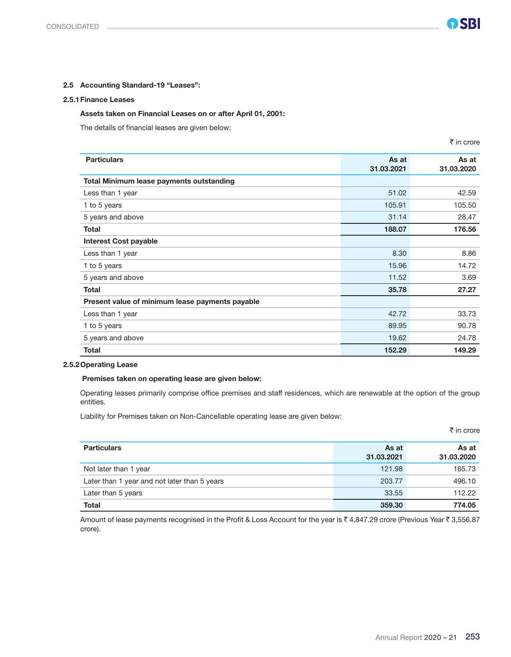#### 2.5 Accounting Standard-19 "Leases":

#### 2.5.1Finance Leases

#### Assets taken on Financial Leases on or after April 01, 2001:

The details of financial leases are given below:

|                                                 |                     | ₹ in crore          |
|-------------------------------------------------|---------------------|---------------------|
| <b>Particulars</b>                              | As at<br>31.03.2021 | As at<br>31.03.2020 |
| Total Minimum lease payments outstanding        |                     |                     |
| Less than 1 year                                | 51.02               | 42.59               |
| 1 to 5 years                                    | 105.91              | 105.50              |
| 5 years and above                               | 31.14               | 28.47               |
| <b>Total</b>                                    | 188.07              | 176.56              |
| <b>Interest Cost payable</b>                    |                     |                     |
| Less than 1 year                                | 8.30                | 8.86                |
| 1 to 5 years                                    | 15.96               | 14.72               |
| 5 years and above                               | 11.52               | 3.69                |
| <b>Total</b>                                    | 35.78               | 27.27               |
| Present value of minimum lease payments payable |                     |                     |
| Less than 1 year                                | 42.72               | 33.73               |
| 1 to 5 years                                    | 89.95               | 90.78               |
| 5 years and above                               | 19.62               | 24.78               |
| <b>Total</b>                                    | 152.29              | 149.29              |

#### 2.5.2Operating Lease

#### Premises taken on operating lease are given below:

 Operating leases primarily comprise office premises and staff residences, which are renewable at the option of the group entities.

Liability for Premises taken on Non-Cancellable operating lease are given below:

|                                              |                     | ₹ in crore          |
|----------------------------------------------|---------------------|---------------------|
| <b>Particulars</b>                           | As at<br>31.03.2021 | As at<br>31.03.2020 |
| Not later than 1 year                        | 121.98              | 165.73              |
| Later than 1 year and not later than 5 years | 203.77              | 496.10              |
| Later than 5 years                           | 33.55               | 112.22              |
| <b>Total</b>                                 | 359.30              | 774.05              |

Amount of lease payments recognised in the Profit & Loss Account for the year is ₹ 4,847.29 crore (Previous Year ₹ 3,556.87 crore).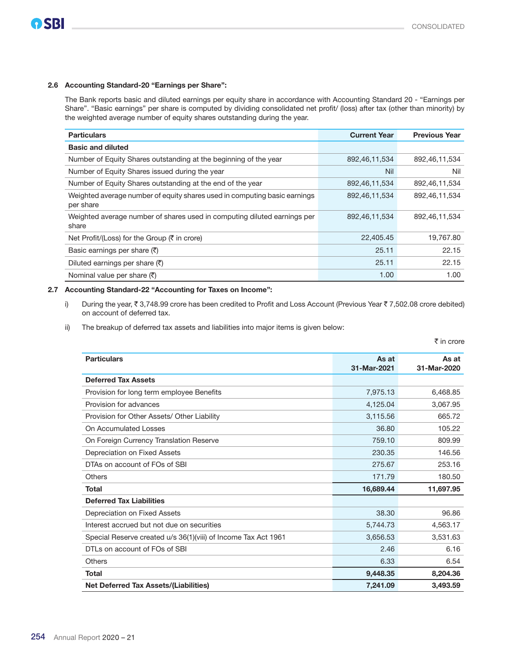#### 2.6 Accounting Standard-20 "Earnings per Share":

 The Bank reports basic and diluted earnings per equity share in accordance with Accounting Standard 20 - "Earnings per Share". "Basic earnings" per share is computed by dividing consolidated net profit/ (loss) after tax (other than minority) by the weighted average number of equity shares outstanding during the year.

| <b>Particulars</b>                                                                     | <b>Current Year</b> | <b>Previous Year</b> |
|----------------------------------------------------------------------------------------|---------------------|----------------------|
| <b>Basic and diluted</b>                                                               |                     |                      |
| Number of Equity Shares outstanding at the beginning of the year                       | 892,46,11,534       | 892,46,11,534        |
| Number of Equity Shares issued during the year                                         | <b>Nil</b>          | Nil                  |
| Number of Equity Shares outstanding at the end of the year                             | 892,46,11,534       | 892,46,11,534        |
| Weighted average number of equity shares used in computing basic earnings<br>per share | 892,46,11,534       | 892,46,11,534        |
| Weighted average number of shares used in computing diluted earnings per<br>share      | 892,46,11,534       | 892,46,11,534        |
| Net Profit/(Loss) for the Group $(\bar{\tau})$ in crore)                               | 22,405.45           | 19,767.80            |
| Basic earnings per share $(\overline{\zeta})$                                          | 25.11               | 22.15                |
| Diluted earnings per share $(\overline{\zeta})$                                        | 25.11               | 22.15                |
| Nominal value per share $(\overline{\tau})$                                            | 1.00                | 1.00                 |

#### 2.7 Accounting Standard-22 "Accounting for Taxes on Income":

i) During the year,  $\bar{\tau}$  3,748.99 crore has been credited to Profit and Loss Account (Previous Year  $\bar{\tau}$  7,502.08 crore debited) on account of deferred tax.

ii) The breakup of deferred tax assets and liabilities into major items is given below:

|                                                                |                      | ₹ in crore           |
|----------------------------------------------------------------|----------------------|----------------------|
| <b>Particulars</b>                                             | As at<br>31-Mar-2021 | As at<br>31-Mar-2020 |
| <b>Deferred Tax Assets</b>                                     |                      |                      |
| Provision for long term employee Benefits                      | 7,975.13             | 6,468.85             |
| Provision for advances                                         | 4,125.04             | 3,067.95             |
| Provision for Other Assets/ Other Liability                    | 3,115.56             | 665.72               |
| On Accumulated Losses                                          | 36.80                | 105.22               |
| On Foreign Currency Translation Reserve                        | 759.10               | 809.99               |
| Depreciation on Fixed Assets                                   | 230.35               | 146.56               |
| DTAs on account of FOs of SBI                                  | 275.67               | 253.16               |
| <b>Others</b>                                                  | 171.79               | 180.50               |
| <b>Total</b>                                                   | 16,689.44            | 11,697.95            |
| <b>Deferred Tax Liabilities</b>                                |                      |                      |
| Depreciation on Fixed Assets                                   | 38.30                | 96.86                |
| Interest accrued but not due on securities                     | 5,744.73             | 4,563.17             |
| Special Reserve created u/s 36(1)(viii) of Income Tax Act 1961 | 3,656.53             | 3.531.63             |
| DTLs on account of FOs of SBI                                  | 2.46                 | 6.16                 |
| Others                                                         | 6.33                 | 6.54                 |
| <b>Total</b>                                                   | 9.448.35             | 8,204.36             |
| <b>Net Deferred Tax Assets/(Liabilities)</b>                   | 7,241.09             | 3.493.59             |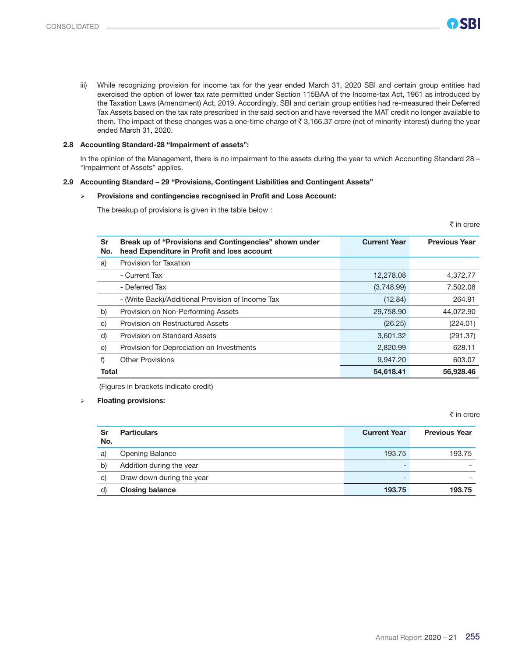iii) While recognizing provision for income tax for the year ended March 31, 2020 SBI and certain group entities had exercised the option of lower tax rate permitted under Section 115BAA of the Income-tax Act, 1961 as introduced by the Taxation Laws (Amendment) Act, 2019. Accordingly, SBI and certain group entities had re-measured their Deferred Tax Assets based on the tax rate prescribed in the said section and have reversed the MAT credit no longer available to them. The impact of these changes was a one-time charge of  $\overline{z}$  3,166.37 crore (net of minority interest) during the year ended March 31, 2020.

#### 2.8 Accounting Standard-28 "Impairment of assets":

 In the opinion of the Management, there is no impairment to the assets during the year to which Accounting Standard 28 – "Impairment of Assets" applies.

#### 2.9 Accounting Standard – 29 "Provisions, Contingent Liabilities and Contingent Assets"

#### Provisions and contingencies recognised in Profit and Loss Account:

The breakup of provisions is given in the table below :

 $\bar{\tau}$  in crore

| Sr<br>No.    | Break up of "Provisions and Contingencies" shown under<br>head Expenditure in Profit and loss account | <b>Current Year</b> | <b>Previous Year</b> |
|--------------|-------------------------------------------------------------------------------------------------------|---------------------|----------------------|
| a)           | Provision for Taxation                                                                                |                     |                      |
|              | - Current Tax                                                                                         | 12,278.08           | 4,372.77             |
|              | - Deferred Tax                                                                                        | (3,748.99)          | 7,502.08             |
|              | - (Write Back)/Additional Provision of Income Tax                                                     | (12.84)             | 264.91               |
| b)           | Provision on Non-Performing Assets                                                                    | 29,758.90           | 44,072.90            |
| $\vert$ c)   | Provision on Restructured Assets                                                                      | (26.25)             | (224.01)             |
| d)           | Provision on Standard Assets                                                                          | 3,601.32            | (291.37)             |
| $\epsilon$   | Provision for Depreciation on Investments                                                             | 2,820.99            | 628.11               |
| f)           | <b>Other Provisions</b>                                                                               | 9,947.20            | 603.07               |
| <b>Total</b> |                                                                                                       | 54,618.41           | 56,928.46            |

(Figures in brackets indicate credit)

#### Floating provisions:

₹ in crore

| Sr<br>No. | <b>Particulars</b>        | <b>Current Year</b> | <b>Previous Year</b> |
|-----------|---------------------------|---------------------|----------------------|
| a)        | <b>Opening Balance</b>    | 193.75              | 193.75               |
| b)        | Addition during the year  |                     |                      |
| C)        | Draw down during the year |                     |                      |
| d)        | <b>Closing balance</b>    | 193.75              | 193.75               |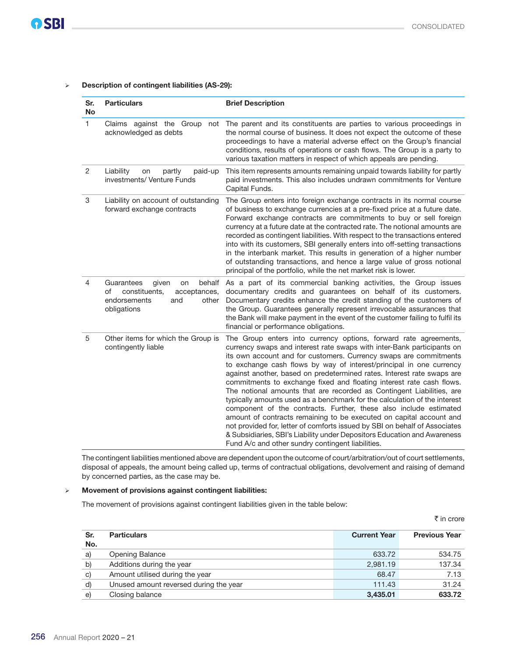#### Description of contingent liabilities (AS-29):

| Sr.<br>No | <b>Particulars</b>                                                                                                        | <b>Brief Description</b>                                                                                                                                                                                                                                                                                                                                                                                                                                                                                                                                                                                                                                                                                                                                                                                                                                                                                                                                  |
|-----------|---------------------------------------------------------------------------------------------------------------------------|-----------------------------------------------------------------------------------------------------------------------------------------------------------------------------------------------------------------------------------------------------------------------------------------------------------------------------------------------------------------------------------------------------------------------------------------------------------------------------------------------------------------------------------------------------------------------------------------------------------------------------------------------------------------------------------------------------------------------------------------------------------------------------------------------------------------------------------------------------------------------------------------------------------------------------------------------------------|
| 1         | Claims against the Group<br>not<br>acknowledged as debts                                                                  | The parent and its constituents are parties to various proceedings in<br>the normal course of business. It does not expect the outcome of these<br>proceedings to have a material adverse effect on the Group's financial<br>conditions, results of operations or cash flows. The Group is a party to<br>various taxation matters in respect of which appeals are pending.                                                                                                                                                                                                                                                                                                                                                                                                                                                                                                                                                                                |
| 2         | Liability<br>partly<br>paid-up<br>on<br>investments/ Venture Funds                                                        | This item represents amounts remaining unpaid towards liability for partly<br>paid investments. This also includes undrawn commitments for Venture<br>Capital Funds.                                                                                                                                                                                                                                                                                                                                                                                                                                                                                                                                                                                                                                                                                                                                                                                      |
| 3         | Liability on account of outstanding<br>forward exchange contracts                                                         | The Group enters into foreign exchange contracts in its normal course<br>of business to exchange currencies at a pre-fixed price at a future date.<br>Forward exchange contracts are commitments to buy or sell foreign<br>currency at a future date at the contracted rate. The notional amounts are<br>recorded as contingent liabilities. With respect to the transactions entered<br>into with its customers, SBI generally enters into off-setting transactions<br>in the interbank market. This results in generation of a higher number<br>of outstanding transactions, and hence a large value of gross notional<br>principal of the portfolio, while the net market risk is lower.                                                                                                                                                                                                                                                               |
| 4         | Guarantees<br>given<br>behalf<br>on<br>constituents,<br>of<br>acceptances,<br>endorsements<br>other<br>and<br>obligations | As a part of its commercial banking activities, the Group issues<br>documentary credits and guarantees on behalf of its customers.<br>Documentary credits enhance the credit standing of the customers of<br>the Group. Guarantees generally represent irrevocable assurances that<br>the Bank will make payment in the event of the customer failing to fulfil its<br>financial or performance obligations.                                                                                                                                                                                                                                                                                                                                                                                                                                                                                                                                              |
| 5         | Other items for which the Group is<br>contingently liable                                                                 | The Group enters into currency options, forward rate agreements,<br>currency swaps and interest rate swaps with inter-Bank participants on<br>its own account and for customers. Currency swaps are commitments<br>to exchange cash flows by way of interest/principal in one currency<br>against another, based on predetermined rates. Interest rate swaps are<br>commitments to exchange fixed and floating interest rate cash flows.<br>The notional amounts that are recorded as Contingent Liabilities, are<br>typically amounts used as a benchmark for the calculation of the interest<br>component of the contracts. Further, these also include estimated<br>amount of contracts remaining to be executed on capital account and<br>not provided for, letter of comforts issued by SBI on behalf of Associates<br>& Subsidiaries, SBI's Liability under Depositors Education and Awareness<br>Fund A/c and other sundry contingent liabilities. |

 The contingent liabilities mentioned above are dependent upon the outcome of court/arbitration/out of court settlements, disposal of appeals, the amount being called up, terms of contractual obligations, devolvement and raising of demand by concerned parties, as the case may be.

#### Movement of provisions against contingent liabilities:

The movement of provisions against contingent liabilities given in the table below:

|            |                                        |                     | ₹ in crore           |
|------------|----------------------------------------|---------------------|----------------------|
| Sr.<br>No. | <b>Particulars</b>                     | <b>Current Year</b> | <b>Previous Year</b> |
| a)         | Opening Balance                        | 633.72              | 534.75               |
| b)         | Additions during the year              | 2,981.19            | 137.34               |
| c)         | Amount utilised during the year        | 68.47               | 7.13                 |
| d)         | Unused amount reversed during the year | 111.43              | 31.24                |
| e)         | Closing balance                        | 3,435.01            | 633.72               |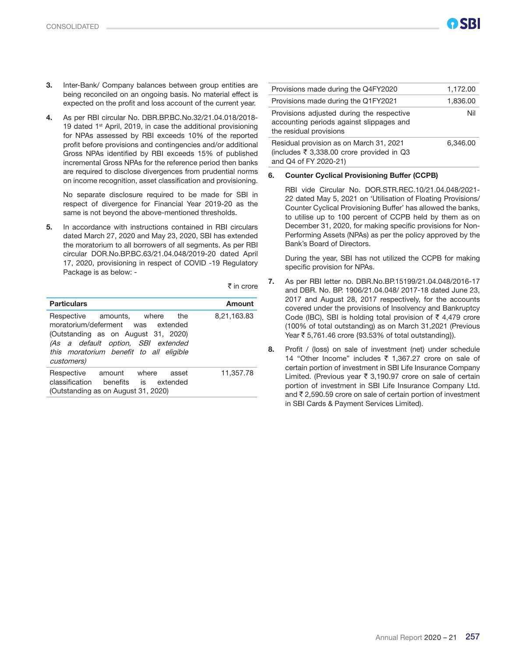- 3. Inter-Bank/ Company balances between group entities are being reconciled on an ongoing basis. No material effect is expected on the profit and loss account of the current year.
- 4. As per RBI circular No. DBR.BP.BC.No.32/21.04.018/2018- 19 dated 1<sup>st</sup> April, 2019, in case the additional provisioning for NPAs assessed by RBI exceeds 10% of the reported profit before provisions and contingencies and/or additional Gross NPAs identified by RBI exceeds 15% of published incremental Gross NPAs for the reference period then banks are required to disclose divergences from prudential norms on income recognition, asset classification and provisioning.

No separate disclosure required to be made for SBI in respect of divergence for Financial Year 2019-20 as the same is not beyond the above-mentioned thresholds.

5. In accordance with instructions contained in RBI circulars dated March 27, 2020 and May 23, 2020, SBI has extended the moratorium to all borrowers of all segments. As per RBI circular DOR.No.BP.BC.63/21.04.048/2019-20 dated April 17, 2020, provisioning in respect of COVID -19 Regulatory Package is as below: -

 $\bar{\tau}$  in crore

| <b>Particulars</b>                                                                                                                                                                                       | Amount      |
|----------------------------------------------------------------------------------------------------------------------------------------------------------------------------------------------------------|-------------|
| Respective amounts, where the<br>moratorium/deferment was extended<br>(Outstanding as on August 31, 2020)<br>(As a default option, SBI extended<br>this moratorium benefit to all eligible<br>customers) | 8,21,163.83 |
| Respective amount where<br>asset<br>classification<br>benefits is extended<br>(Outstanding as on August 31, 2020)                                                                                        | 11,357.78   |

| Provisions made during the Q4FY2020                                                                              | 1,172.00 |
|------------------------------------------------------------------------------------------------------------------|----------|
| Provisions made during the Q1FY2021                                                                              | 1,836.00 |
| Provisions adjusted during the respective<br>accounting periods against slippages and<br>the residual provisions | Nil      |
| Residual provision as on March 31, 2021<br>(includes ₹ 3,338.00 crore provided in Q3<br>and Q4 of FY 2020-21)    | 6,346.00 |

#### 6. Counter Cyclical Provisioning Buffer (CCPB)

RBI vide Circular No. DOR.STR.REC.10/21.04.048/2021- 22 dated May 5, 2021 on 'Utilisation of Floating Provisions/ Counter Cyclical Provisioning Buffer' has allowed the banks, to utilise up to 100 percent of CCPB held by them as on December 31, 2020, for making specific provisions for Non-Performing Assets (NPAs) as per the policy approved by the Bank's Board of Directors.

During the year, SBI has not utilized the CCPB for making specific provision for NPAs.

- 7. As per RBI letter no. DBR.No.BP.15199/21.04.048/2016-17 and DBR. No. BP. 1906/21.04.048/ 2017-18 dated June 23, 2017 and August 28, 2017 respectively, for the accounts covered under the provisions of Insolvency and Bankruptcy Code (IBC), SBI is holding total provision of  $\bar{\tau}$  4,479 crore (100% of total outstanding) as on March 31,2021 (Previous Year ₹ 5,761.46 crore {93.53% of total outstanding}).
- 8. Profit / (loss) on sale of investment (net) under schedule 14 "Other Income" includes ₹ 1,367.27 crore on sale of certain portion of investment in SBI Life Insurance Company Limited. (Previous year  $\bar{\tau}$  3,190.97 crore on sale of certain portion of investment in SBI Life Insurance Company Ltd. and  $\bar{\tau}$  2,590.59 crore on sale of certain portion of investment in SBI Cards & Payment Services Limited).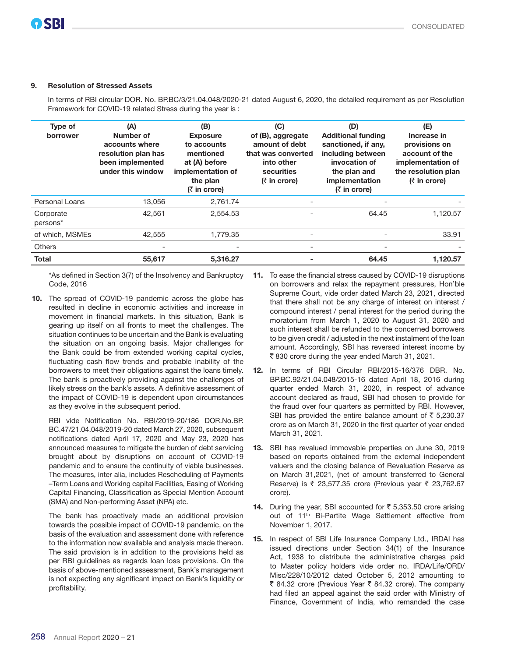#### 9. Resolution of Stressed Assets

In terms of RBI circular DOR. No. BP.BC/3/21.04.048/2020-21 dated August 6, 2020, the detailed requirement as per Resolution Framework for COVID-19 related Stress during the year is :

| Type of<br>borrower   | (A)<br>Number of<br>accounts where<br>resolution plan has<br>been implemented<br>under this window | (B)<br><b>Exposure</b><br>to accounts<br>mentioned<br>at (A) before<br>implementation of<br>the plan<br>$(5 \infty)$ in crore) | (C)<br>of (B), aggregate<br>amount of debt<br>that was converted<br>into other<br>securities<br><b>(₹ in crore)</b> | (D)<br><b>Additional funding</b><br>sanctioned, if any,<br>including between<br>invocation of<br>the plan and<br>implementation<br>$(5 \infty)$ in crore) | (E)<br>Increase in<br>provisions on<br>account of the<br>implementation of<br>the resolution plan<br>$(5 \infty)$ in crore) |
|-----------------------|----------------------------------------------------------------------------------------------------|--------------------------------------------------------------------------------------------------------------------------------|---------------------------------------------------------------------------------------------------------------------|-----------------------------------------------------------------------------------------------------------------------------------------------------------|-----------------------------------------------------------------------------------------------------------------------------|
| Personal Loans        | 13.056                                                                                             | 2.761.74                                                                                                                       |                                                                                                                     |                                                                                                                                                           |                                                                                                                             |
| Corporate<br>persons* | 42.561                                                                                             | 2.554.53                                                                                                                       |                                                                                                                     | 64.45                                                                                                                                                     | 1,120.57                                                                                                                    |
| of which, MSMEs       | 42,555                                                                                             | 1,779.35                                                                                                                       | $\qquad \qquad$                                                                                                     |                                                                                                                                                           | 33.91                                                                                                                       |
| <b>Others</b>         |                                                                                                    |                                                                                                                                | $\qquad \qquad$                                                                                                     |                                                                                                                                                           |                                                                                                                             |
| <b>Total</b>          | 55,617                                                                                             | 5,316.27                                                                                                                       |                                                                                                                     | 64.45                                                                                                                                                     | 1,120.57                                                                                                                    |

\*As defined in Section 3(7) of the Insolvency and Bankruptcy Code, 2016

10. The spread of COVID-19 pandemic across the globe has resulted in decline in economic activities and increase in movement in financial markets. In this situation, Bank is gearing up itself on all fronts to meet the challenges. The situation continues to be uncertain and the Bank is evaluating the situation on an ongoing basis. Major challenges for the Bank could be from extended working capital cycles, fluctuating cash flow trends and probable inability of the borrowers to meet their obligations against the loans timely. The bank is proactively providing against the challenges of likely stress on the bank's assets. A definitive assessment of the impact of COVID-19 is dependent upon circumstances as they evolve in the subsequent period.

RBI vide Notification No. RBI/2019-20/186 DOR.No.BP. BC.47/21.04.048/2019-20 dated March 27, 2020, subsequent notifications dated April 17, 2020 and May 23, 2020 has announced measures to mitigate the burden of debt servicing brought about by disruptions on account of COVID-19 pandemic and to ensure the continuity of viable businesses. The measures, inter alia, includes Rescheduling of Payments –Term Loans and Working capital Facilities, Easing of Working Capital Financing, Classification as Special Mention Account (SMA) and Non-performing Asset (NPA) etc.

The bank has proactively made an additional provision towards the possible impact of COVID-19 pandemic, on the basis of the evaluation and assessment done with reference to the information now available and analysis made thereon. The said provision is in addition to the provisions held as per RBI guidelines as regards loan loss provisions. On the basis of above-mentioned assessment, Bank's management is not expecting any significant impact on Bank's liquidity or profitability.

- 11. To ease the financial stress caused by COVID-19 disruptions on borrowers and relax the repayment pressures, Hon'ble Supreme Court, vide order dated March 23, 2021, directed that there shall not be any charge of interest on interest / compound interest / penal interest for the period during the moratorium from March 1, 2020 to August 31, 2020 and such interest shall be refunded to the concerned borrowers to be given credit / adjusted in the next instalment of the loan amount. Accordingly, SBI has reversed interest income by ` 830 crore during the year ended March 31, 2021.
- 12. In terms of RBI Circular RBI/2015-16/376 DBR. No. BP.BC.92/21.04.048/2015-16 dated April 18, 2016 during quarter ended March 31, 2020, in respect of advance account declared as fraud, SBI had chosen to provide for the fraud over four quarters as permitted by RBI. However, SBI has provided the entire balance amount of  $\bar{\tau}$  5,230.37 crore as on March 31, 2020 in the first quarter of year ended March 31, 2021.
- 13. SBI has revalued immovable properties on June 30, 2019 based on reports obtained from the external independent valuers and the closing balance of Revaluation Reserve as on March 31,2021, (net of amount transferred to General Reserve) is ₹ 23,577.35 crore (Previous year ₹ 23,762.67 crore).
- 14. During the year, SBI accounted for  $\bar{\tau}$  5,353.50 crore arising out of 11<sup>th</sup> Bi-Partite Wage Settlement effective from November 1, 2017.
- 15. In respect of SBI Life Insurance Company Ltd., IRDAI has issued directions under Section 34(1) of the Insurance Act, 1938 to distribute the administrative charges paid to Master policy holders vide order no. IRDA/Life/ORD/ Misc/228/10/2012 dated October 5, 2012 amounting to ₹ 84.32 crore (Previous Year ₹ 84.32 crore). The company had filed an appeal against the said order with Ministry of Finance, Government of India, who remanded the case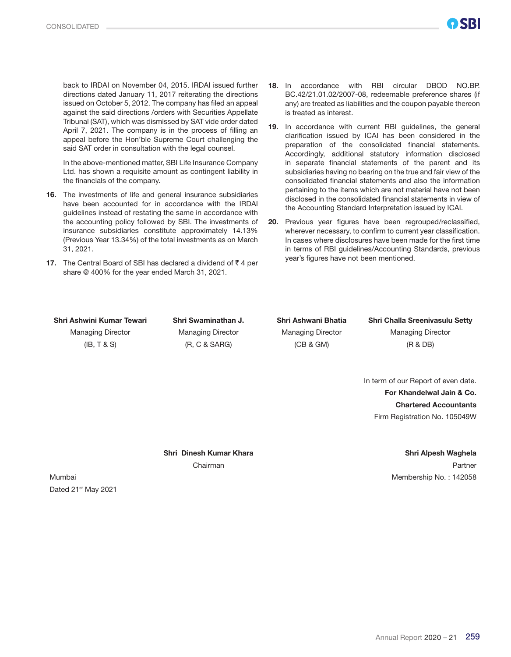back to IRDAI on November 04, 2015. IRDAI issued further directions dated January 11, 2017 reiterating the directions issued on October 5, 2012. The company has filed an appeal against the said directions /orders with Securities Appellate Tribunal (SAT), which was dismissed by SAT vide order dated April 7, 2021. The company is in the process of filling an appeal before the Hon'ble Supreme Court challenging the said SAT order in consultation with the legal counsel.

In the above-mentioned matter, SBI Life Insurance Company Ltd. has shown a requisite amount as contingent liability in the financials of the company.

- 16. The investments of life and general insurance subsidiaries have been accounted for in accordance with the IRDAI guidelines instead of restating the same in accordance with the accounting policy followed by SBI. The investments of insurance subsidiaries constitute approximately 14.13% (Previous Year 13.34%) of the total investments as on March 31, 2021.
- 17. The Central Board of SBI has declared a dividend of  $\bar{z}$  4 per share @ 400% for the year ended March 31, 2021.

NGRI

- 19. In accordance with current RBI guidelines, the general clarification issued by ICAI has been considered in the preparation of the consolidated financial statements. Accordingly, additional statutory information disclosed in separate financial statements of the parent and its subsidiaries having no bearing on the true and fair view of the consolidated financial statements and also the information pertaining to the items which are not material have not been disclosed in the consolidated financial statements in view of the Accounting Standard Interpretation issued by ICAI.
- 20. Previous year figures have been regrouped/reclassified, wherever necessary, to confirm to current year classification. In cases where disclosures have been made for the first time in terms of RBI guidelines/Accounting Standards, previous year's figures have not been mentioned.

Managing Director Managing Director Managing Director Managing Director

(IB, T & S) (R, C & SARG) (CB & GM) (R & DB)

Shri Ashwini Kumar Tewari Shri Swaminathan J. Shri Ashwani Bhatia Shri Challa Sreenivasulu Setty

In term of our Report of even date. For Khandelwal Jain & Co. Chartered Accountants Firm Registration No. 105049W

Shri Dinesh Kumar Khara Shri Alpesh Waghela Chairman **Partner** Partner and Chairman **Partner** Partner and Chairman **Partner** 

Mumbai Mumbai Mumbai Membership No. : 142058 Dated 21st May 2021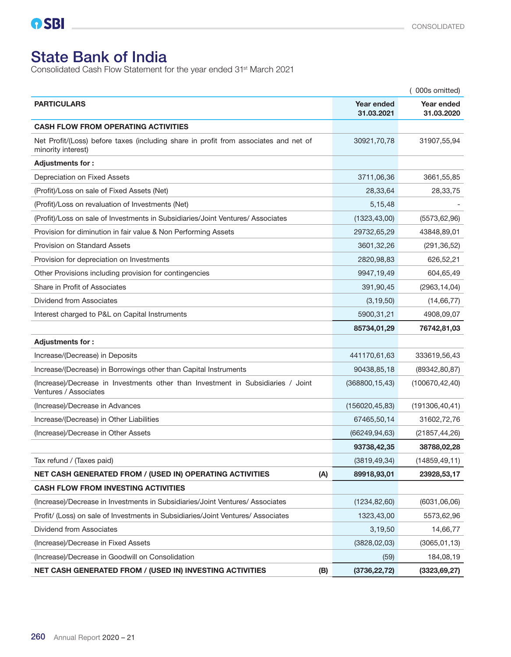# State Bank of India

Consolidated Cash Flow Statement for the year ended 31st March 2021

| 000s omitted)                                                                                              |                                 |                          |
|------------------------------------------------------------------------------------------------------------|---------------------------------|--------------------------|
| <b>PARTICULARS</b>                                                                                         | <b>Year ended</b><br>31.03.2021 | Year ended<br>31.03.2020 |
| <b>CASH FLOW FROM OPERATING ACTIVITIES</b>                                                                 |                                 |                          |
| Net Profit/(Loss) before taxes (including share in profit from associates and net of<br>minority interest) | 30921,70,78                     | 31907,55,94              |
| Adjustments for:                                                                                           |                                 |                          |
| Depreciation on Fixed Assets                                                                               | 3711,06,36                      | 3661,55,85               |
| (Profit)/Loss on sale of Fixed Assets (Net)                                                                | 28,33,64                        | 28,33,75                 |
| (Profit)/Loss on revaluation of Investments (Net)                                                          | 5,15,48                         |                          |
| (Profit)/Loss on sale of Investments in Subsidiaries/Joint Ventures/ Associates                            | (1323, 43, 00)                  | (5573, 62, 96)           |
| Provision for diminution in fair value & Non Performing Assets                                             | 29732,65,29                     | 43848,89,01              |
| <b>Provision on Standard Assets</b>                                                                        | 3601,32,26                      | (291, 36, 52)            |
| Provision for depreciation on Investments                                                                  | 2820,98,83                      | 626,52,21                |
| Other Provisions including provision for contingencies                                                     | 9947,19,49                      | 604,65,49                |
| Share in Profit of Associates                                                                              | 391,90,45                       | (2963, 14, 04)           |
| Dividend from Associates                                                                                   | (3, 19, 50)                     | (14, 66, 77)             |
| Interest charged to P&L on Capital Instruments                                                             | 5900,31,21                      | 4908,09,07               |
|                                                                                                            | 85734,01,29                     | 76742,81,03              |
| Adjustments for:                                                                                           |                                 |                          |
| Increase/(Decrease) in Deposits                                                                            | 441170,61,63                    | 333619,56,43             |
| Increase/(Decrease) in Borrowings other than Capital Instruments                                           | 90438,85,18                     | (89342, 80, 87)          |
| (Increase)/Decrease in Investments other than Investment in Subsidiaries / Joint<br>Ventures / Associates  | (368800, 15, 43)                | (100670, 42, 40)         |
| (Increase)/Decrease in Advances                                                                            | (156020, 45, 83)                | (191306, 40, 41)         |
| Increase/(Decrease) in Other Liabilities                                                                   | 67465,50,14                     | 31602,72,76              |
| (Increase)/Decrease in Other Assets                                                                        | (66249, 94, 63)                 | (21857, 44, 26)          |
|                                                                                                            | 93738,42,35                     | 38788,02,28              |
| Tax refund / (Taxes paid)                                                                                  | (3819, 49, 34)                  | (14859, 49, 11)          |
| NET CASH GENERATED FROM / (USED IN) OPERATING ACTIVITIES<br>(A)                                            | 89918,93,01                     | 23928,53,17              |
| <b>CASH FLOW FROM INVESTING ACTIVITIES</b>                                                                 |                                 |                          |
| (Increase)/Decrease in Investments in Subsidiaries/Joint Ventures/ Associates                              | (1234, 82, 60)                  | (6031,06,06)             |
| Profit/ (Loss) on sale of Investments in Subsidiaries/Joint Ventures/ Associates                           | 1323,43,00                      | 5573,62,96               |
| Dividend from Associates                                                                                   | 3,19,50                         | 14,66,77                 |
| (Increase)/Decrease in Fixed Assets                                                                        | (3828, 02, 03)                  | (3065, 01, 13)           |
| (Increase)/Decrease in Goodwill on Consolidation                                                           | (59)                            | 184,08,19                |
| NET CASH GENERATED FROM / (USED IN) INVESTING ACTIVITIES<br>(B)                                            | (3736, 22, 72)                  | (3323, 69, 27)           |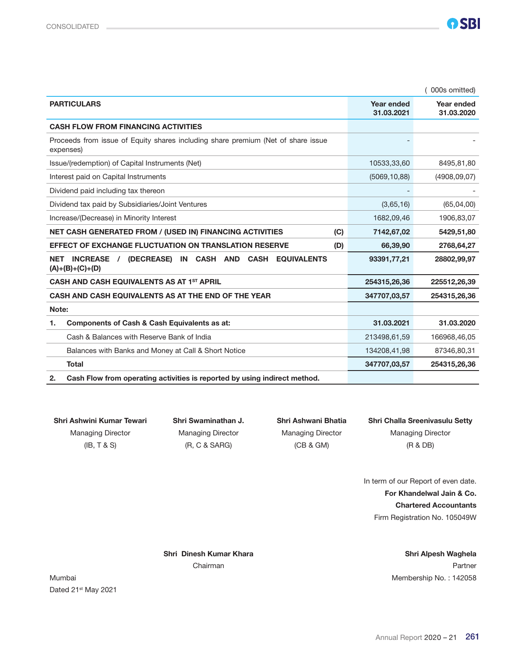|                                                                                                                                     |                          | 000s omitted)            |
|-------------------------------------------------------------------------------------------------------------------------------------|--------------------------|--------------------------|
| <b>PARTICULARS</b>                                                                                                                  | Year ended<br>31.03.2021 | Year ended<br>31.03.2020 |
| <b>CASH FLOW FROM FINANCING ACTIVITIES</b>                                                                                          |                          |                          |
| Proceeds from issue of Equity shares including share premium (Net of share issue<br>expenses)                                       |                          |                          |
| Issue/(redemption) of Capital Instruments (Net)                                                                                     | 10533,33,60              | 8495,81,80               |
| Interest paid on Capital Instruments                                                                                                | (5069, 10, 88)           | (4908, 09, 07)           |
| Dividend paid including tax thereon                                                                                                 |                          |                          |
| Dividend tax paid by Subsidiaries/Joint Ventures                                                                                    | (3,65,16)                | (65,04,00)               |
| Increase/(Decrease) in Minority Interest                                                                                            | 1682,09,46               | 1906,83,07               |
| <b>NET CASH GENERATED FROM / (USED IN) FINANCING ACTIVITIES</b><br>(C)                                                              | 7142,67,02               | 5429,51,80               |
| <b>EFFECT OF EXCHANGE FLUCTUATION ON TRANSLATION RESERVE</b><br>(D)                                                                 | 66,39,90                 | 2768,64,27               |
| <b>INCREASE</b><br>(DECREASE)<br><b>CASH AND</b><br><b>CASH</b><br>IN<br><b>EQUIVALENTS</b><br>NET<br>$\prime$<br>$(A)+(B)+(C)+(D)$ | 93391,77,21              | 28802,99,97              |
| CASH AND CASH EQUIVALENTS AS AT 1ST APRIL                                                                                           | 254315,26,36             | 225512,26,39             |
| CASH AND CASH EQUIVALENTS AS AT THE END OF THE YEAR                                                                                 | 347707,03,57             | 254315,26,36             |
| Note:                                                                                                                               |                          |                          |
| Components of Cash & Cash Equivalents as at:<br>1.                                                                                  | 31.03.2021               | 31.03.2020               |
| Cash & Balances with Reserve Bank of India                                                                                          | 213498,61,59             | 166968,46,05             |
| Balances with Banks and Money at Call & Short Notice                                                                                | 134208,41,98             | 87346,80,31              |
| <b>Total</b>                                                                                                                        | 347707,03,57             | 254315,26,36             |
| Cash Flow from operating activities is reported by using indirect method.<br>2.                                                     |                          |                          |

(IB, T & S) (R, C & SARG) (CB & GM) (R & DB)

Shri Ashwini Kumar Tewari Shri Swaminathan J. Shri Ashwani Bhatia Shri Challa Sreenivasulu Setty Managing Director Managing Director Managing Director Managing Director

> In term of our Report of even date. For Khandelwal Jain & Co. Chartered Accountants Firm Registration No. 105049W

Shri Dinesh Kumar Khara Shri Alpesh Waghela Chairman **Partner Partner Partner Partner Partner** 

Mumbai Membership No. : 142058 Dated 21st May 2021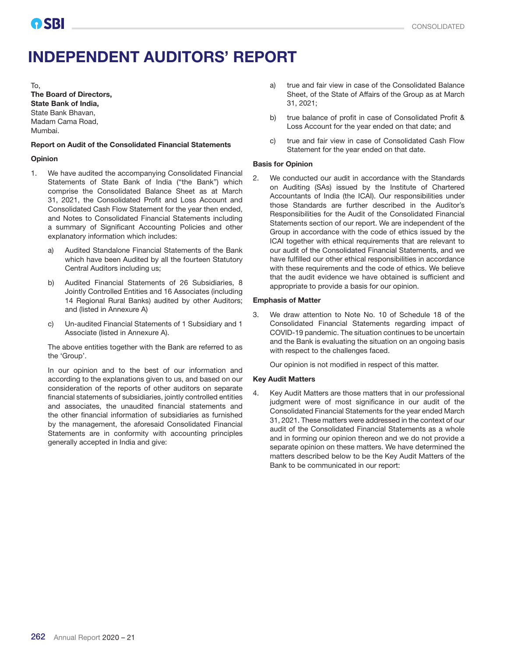# INDEPENDENT AUDITORS' REPORT

To,

The Board of Directors, State Bank of India, State Bank Bhavan, Madam Cama Road, Mumbai.

#### Report on Audit of the Consolidated Financial Statements

#### Opinion

- 1. We have audited the accompanying Consolidated Financial Statements of State Bank of India ("the Bank") which comprise the Consolidated Balance Sheet as at March 31, 2021, the Consolidated Profit and Loss Account and Consolidated Cash Flow Statement for the year then ended, and Notes to Consolidated Financial Statements including a summary of Significant Accounting Policies and other explanatory information which includes:
	- a) Audited Standalone Financial Statements of the Bank which have been Audited by all the fourteen Statutory Central Auditors including us;
	- b) Audited Financial Statements of 26 Subsidiaries, 8 Jointly Controlled Entities and 16 Associates (including 14 Regional Rural Banks) audited by other Auditors; and (listed in Annexure A)
	- c) Un-audited Financial Statements of 1 Subsidiary and 1 Associate (listed in Annexure A).

The above entities together with the Bank are referred to as the 'Group'.

In our opinion and to the best of our information and according to the explanations given to us, and based on our consideration of the reports of other auditors on separate financial statements of subsidiaries, jointly controlled entities and associates, the unaudited financial statements and the other financial information of subsidiaries as furnished by the management, the aforesaid Consolidated Financial Statements are in conformity with accounting principles generally accepted in India and give:

- a) true and fair view in case of the Consolidated Balance Sheet, of the State of Affairs of the Group as at March 31, 2021;
- b) true balance of profit in case of Consolidated Profit & Loss Account for the year ended on that date; and
- c) true and fair view in case of Consolidated Cash Flow Statement for the year ended on that date.

#### Basis for Opinion

2. We conducted our audit in accordance with the Standards on Auditing (SAs) issued by the Institute of Chartered Accountants of India (the ICAI). Our responsibilities under those Standards are further described in the Auditor's Responsibilities for the Audit of the Consolidated Financial Statements section of our report. We are independent of the Group in accordance with the code of ethics issued by the ICAI together with ethical requirements that are relevant to our audit of the Consolidated Financial Statements, and we have fulfilled our other ethical responsibilities in accordance with these requirements and the code of ethics. We believe that the audit evidence we have obtained is sufficient and appropriate to provide a basis for our opinion.

#### Emphasis of Matter

3. We draw attention to Note No. 10 of Schedule 18 of the Consolidated Financial Statements regarding impact of COVID-19 pandemic. The situation continues to be uncertain and the Bank is evaluating the situation on an ongoing basis with respect to the challenges faced.

Our opinion is not modified in respect of this matter.

#### Key Audit Matters

4. Key Audit Matters are those matters that in our professional judgment were of most significance in our audit of the Consolidated Financial Statements for the year ended March 31, 2021. These matters were addressed in the context of our audit of the Consolidated Financial Statements as a whole and in forming our opinion thereon and we do not provide a separate opinion on these matters. We have determined the matters described below to be the Key Audit Matters of the Bank to be communicated in our report: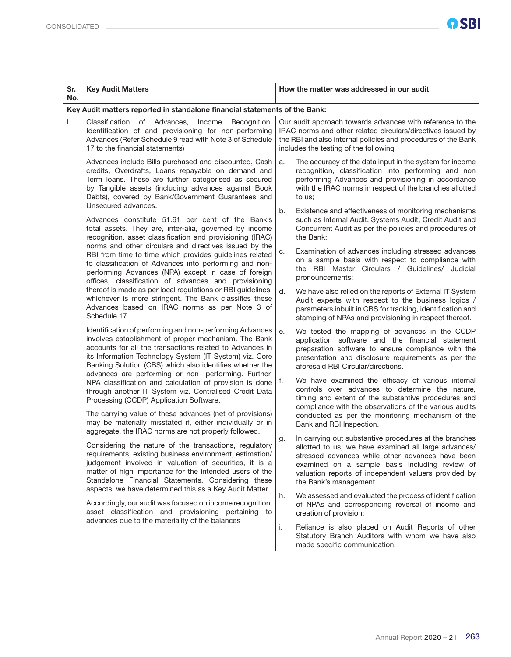| Sr.<br>No. | <b>Key Audit Matters</b>                                                                                                                                                                                                                                                                                                                                    | How the matter was addressed in our audit                                                                                                                                                                                                                  |  |  |  |
|------------|-------------------------------------------------------------------------------------------------------------------------------------------------------------------------------------------------------------------------------------------------------------------------------------------------------------------------------------------------------------|------------------------------------------------------------------------------------------------------------------------------------------------------------------------------------------------------------------------------------------------------------|--|--|--|
|            | Key Audit matters reported in standalone financial statements of the Bank:                                                                                                                                                                                                                                                                                  |                                                                                                                                                                                                                                                            |  |  |  |
|            | Classification of Advances,<br>Income<br>Recognition,<br>Identification of and provisioning for non-performing<br>Advances (Refer Schedule 9 read with Note 3 of Schedule<br>17 to the financial statements)                                                                                                                                                | Our audit approach towards advances with reference to the<br>IRAC norms and other related circulars/directives issued by<br>the RBI and also internal policies and procedures of the Bank<br>includes the testing of the following                         |  |  |  |
|            | Advances include Bills purchased and discounted, Cash<br>credits, Overdrafts, Loans repayable on demand and<br>Term loans. These are further categorised as secured<br>by Tangible assets (including advances against Book<br>Debts), covered by Bank/Government Guarantees and                                                                             | The accuracy of the data input in the system for income<br>a.<br>recognition, classification into performing and non<br>performing Advances and provisioning in accordance<br>with the IRAC norms in respect of the branches allotted<br>to us;            |  |  |  |
|            | Unsecured advances.<br>Advances constitute 51.61 per cent of the Bank's<br>total assets. They are, inter-alia, governed by income<br>recognition, asset classification and provisioning (IRAC)<br>norms and other circulars and directives issued by the                                                                                                    | b.<br>Existence and effectiveness of monitoring mechanisms<br>such as Internal Audit, Systems Audit, Credit Audit and<br>Concurrent Audit as per the policies and procedures of<br>the Bank;                                                               |  |  |  |
|            | RBI from time to time which provides guidelines related<br>to classification of Advances into performing and non-<br>performing Advances (NPA) except in case of foreign<br>offices, classification of advances and provisioning                                                                                                                            | Examination of advances including stressed advances<br>c.<br>on a sample basis with respect to compliance with<br>the RBI Master Circulars / Guidelines/ Judicial<br>pronouncements;                                                                       |  |  |  |
|            | thereof is made as per local regulations or RBI guidelines,<br>whichever is more stringent. The Bank classifies these<br>Advances based on IRAC norms as per Note 3 of<br>Schedule 17.                                                                                                                                                                      | d.<br>We have also relied on the reports of External IT System<br>Audit experts with respect to the business logics /<br>parameters inbuilt in CBS for tracking, identification and<br>stamping of NPAs and provisioning in respect thereof.               |  |  |  |
|            | Identification of performing and non-performing Advances<br>involves establishment of proper mechanism. The Bank<br>accounts for all the transactions related to Advances in<br>its Information Technology System (IT System) viz. Core<br>Banking Solution (CBS) which also identifies whether the<br>advances are performing or non- performing. Further, | We tested the mapping of advances in the CCDP<br>е.<br>application software and the financial statement<br>preparation software to ensure compliance with the<br>presentation and disclosure requirements as per the<br>aforesaid RBI Circular/directions. |  |  |  |
|            | NPA classification and calculation of provision is done<br>through another IT System viz. Centralised Credit Data<br>Processing (CCDP) Application Software.                                                                                                                                                                                                | We have examined the efficacy of various internal<br>f.<br>controls over advances to determine the nature,<br>timing and extent of the substantive procedures and<br>compliance with the observations of the various audits                                |  |  |  |
|            | The carrying value of these advances (net of provisions)<br>may be materially misstated if, either individually or in<br>aggregate, the IRAC norms are not properly followed.                                                                                                                                                                               | conducted as per the monitoring mechanism of the<br>Bank and RBI Inspection.<br>In carrying out substantive procedures at the branches<br>g.                                                                                                               |  |  |  |
|            | Considering the nature of the transactions, regulatory<br>requirements, existing business environment, estimation/<br>judgement involved in valuation of securities, it is a<br>matter of high importance for the intended users of the<br>Standalone Financial Statements. Considering these<br>aspects, we have determined this as a Key Audit Matter.    | allotted to us, we have examined all large advances/<br>stressed advances while other advances have been<br>examined on a sample basis including review of<br>valuation reports of independent valuers provided by<br>the Bank's management.               |  |  |  |
|            | Accordingly, our audit was focused on income recognition,<br>asset classification and provisioning pertaining to<br>advances due to the materiality of the balances                                                                                                                                                                                         | We assessed and evaluated the process of identification<br>h.<br>of NPAs and corresponding reversal of income and<br>creation of provision;                                                                                                                |  |  |  |
|            |                                                                                                                                                                                                                                                                                                                                                             | Reliance is also placed on Audit Reports of other<br>i.<br>Statutory Branch Auditors with whom we have also<br>made specific communication.                                                                                                                |  |  |  |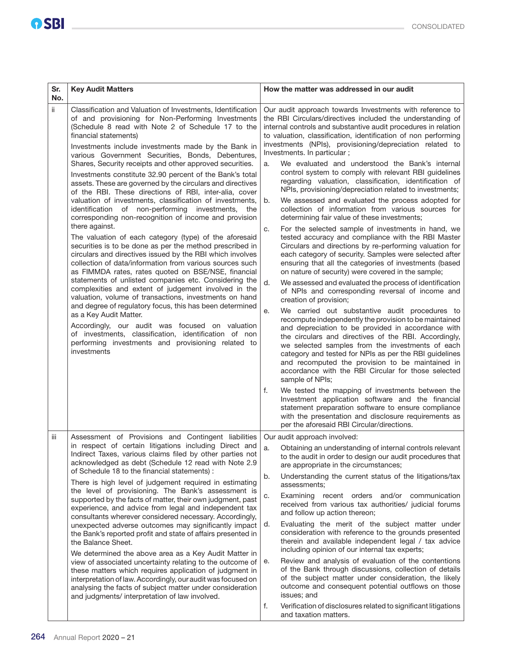| Sr.<br>No. | <b>Key Audit Matters</b>                                                                                                                                                                                                                                                                                                                                                                                                                                                                                                                                                                                                                                                                                                                                                                                                                                                                                                                                                                                                                                                                                                                                                                                                                                                                                                                                                                                                                                                                                         | How the matter was addressed in our audit                                                                                                                                                                                                                                                                                                                                                                                                                                                                                                                                                                                                                                                                                                                                                                                                                                                                                                                                                                                                                                                                                                                                                                                                                                                                                                                                                                                                                                                                                                                                                                                                                                                                                                                                                                                                                                                                                                                                                                                    |
|------------|------------------------------------------------------------------------------------------------------------------------------------------------------------------------------------------------------------------------------------------------------------------------------------------------------------------------------------------------------------------------------------------------------------------------------------------------------------------------------------------------------------------------------------------------------------------------------------------------------------------------------------------------------------------------------------------------------------------------------------------------------------------------------------------------------------------------------------------------------------------------------------------------------------------------------------------------------------------------------------------------------------------------------------------------------------------------------------------------------------------------------------------------------------------------------------------------------------------------------------------------------------------------------------------------------------------------------------------------------------------------------------------------------------------------------------------------------------------------------------------------------------------|------------------------------------------------------------------------------------------------------------------------------------------------------------------------------------------------------------------------------------------------------------------------------------------------------------------------------------------------------------------------------------------------------------------------------------------------------------------------------------------------------------------------------------------------------------------------------------------------------------------------------------------------------------------------------------------------------------------------------------------------------------------------------------------------------------------------------------------------------------------------------------------------------------------------------------------------------------------------------------------------------------------------------------------------------------------------------------------------------------------------------------------------------------------------------------------------------------------------------------------------------------------------------------------------------------------------------------------------------------------------------------------------------------------------------------------------------------------------------------------------------------------------------------------------------------------------------------------------------------------------------------------------------------------------------------------------------------------------------------------------------------------------------------------------------------------------------------------------------------------------------------------------------------------------------------------------------------------------------------------------------------------------------|
| ii.        | Classification and Valuation of Investments, Identification<br>of and provisioning for Non-Performing Investments<br>(Schedule 8 read with Note 2 of Schedule 17 to the<br>financial statements)<br>Investments include investments made by the Bank in<br>various Government Securities, Bonds, Debentures,<br>Shares, Security receipts and other approved securities.<br>Investments constitute 32.90 percent of the Bank's total<br>assets. These are governed by the circulars and directives<br>of the RBI. These directions of RBI, inter-alia, cover<br>valuation of investments, classification of investments,<br>identification of non-performing investments, the<br>corresponding non-recognition of income and provision<br>there against.<br>The valuation of each category (type) of the aforesaid<br>securities is to be done as per the method prescribed in<br>circulars and directives issued by the RBI which involves<br>collection of data/information from various sources such<br>as FIMMDA rates, rates quoted on BSE/NSE, financial<br>statements of unlisted companies etc. Considering the<br>complexities and extent of judgement involved in the<br>valuation, volume of transactions, investments on hand<br>and degree of regulatory focus, this has been determined<br>as a Key Audit Matter.<br>Accordingly, our audit was focused on valuation<br>of investments, classification, identification of non<br>performing investments and provisioning related to<br>investments | Our audit approach towards Investments with reference to<br>the RBI Circulars/directives included the understanding of<br>internal controls and substantive audit procedures in relation<br>to valuation, classification, identification of non performing<br>investments (NPIs), provisioning/depreciation related to<br>Investments. In particular;<br>We evaluated and understood the Bank's internal<br>a.<br>control system to comply with relevant RBI guidelines<br>regarding valuation, classification, identification of<br>NPIs, provisioning/depreciation related to investments;<br>We assessed and evaluated the process adopted for<br>b.<br>collection of information from various sources for<br>determining fair value of these investments;<br>For the selected sample of investments in hand, we<br>c.<br>tested accuracy and compliance with the RBI Master<br>Circulars and directions by re-performing valuation for<br>each category of security. Samples were selected after<br>ensuring that all the categories of investments (based<br>on nature of security) were covered in the sample;<br>d.<br>We assessed and evaluated the process of identification<br>of NPIs and corresponding reversal of income and<br>creation of provision;<br>We carried out substantive audit procedures to<br>е.<br>recompute independently the provision to be maintained<br>and depreciation to be provided in accordance with<br>the circulars and directives of the RBI. Accordingly,<br>we selected samples from the investments of each<br>category and tested for NPIs as per the RBI guidelines<br>and recomputed the provision to be maintained in<br>accordance with the RBI Circular for those selected<br>sample of NPIs;<br>f.<br>We tested the mapping of investments between the<br>Investment application software and the financial<br>statement preparation software to ensure compliance<br>with the presentation and disclosure requirements as<br>per the aforesaid RBI Circular/directions. |
| iіі        | Assessment of Provisions and Contingent liabilities<br>in respect of certain litigations including Direct and<br>Indirect Taxes, various claims filed by other parties not<br>acknowledged as debt (Schedule 12 read with Note 2.9<br>of Schedule 18 to the financial statements):<br>There is high level of judgement required in estimating<br>the level of provisioning. The Bank's assessment is<br>supported by the facts of matter, their own judgment, past<br>experience, and advice from legal and independent tax<br>consultants wherever considered necessary. Accordingly,<br>unexpected adverse outcomes may significantly impact<br>the Bank's reported profit and state of affairs presented in<br>the Balance Sheet.<br>We determined the above area as a Key Audit Matter in<br>view of associated uncertainty relating to the outcome of<br>these matters which requires application of judgment in<br>interpretation of law. Accordingly, our audit was focused on<br>analysing the facts of subject matter under consideration<br>and judgments/ interpretation of law involved.                                                                                                                                                                                                                                                                                                                                                                                                             | Our audit approach involved:<br>Obtaining an understanding of internal controls relevant<br>a.<br>to the audit in order to design our audit procedures that<br>are appropriate in the circumstances;<br>Understanding the current status of the litigations/tax<br>b.<br>assessments;<br>Examining recent orders and/or communication<br>c.<br>received from various tax authorities/ judicial forums<br>and follow up action thereon;<br>Evaluating the merit of the subject matter under<br>d.<br>consideration with reference to the grounds presented<br>therein and available independent legal / tax advice<br>including opinion of our internal tax experts;<br>Review and analysis of evaluation of the contentions<br>е.<br>of the Bank through discussions, collection of details<br>of the subject matter under consideration, the likely<br>outcome and consequent potential outflows on those<br>issues; and<br>f.<br>Verification of disclosures related to significant litigations<br>and taxation matters.                                                                                                                                                                                                                                                                                                                                                                                                                                                                                                                                                                                                                                                                                                                                                                                                                                                                                                                                                                                                   |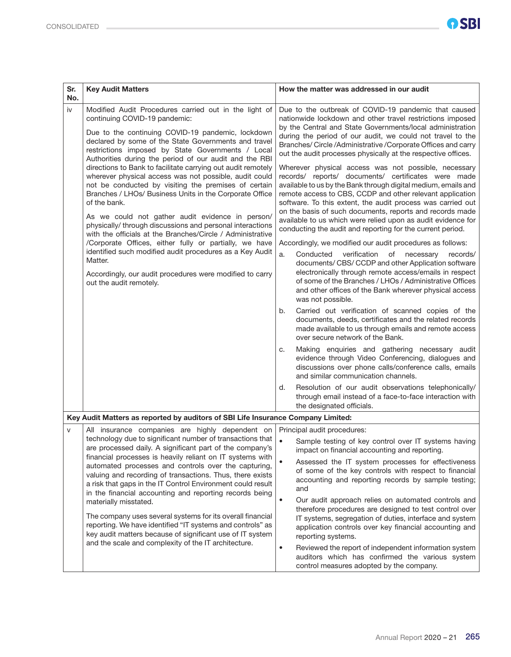| Sr.<br>No. | <b>Key Audit Matters</b>                                                                                                                                                                                                                                                                                                                                                                                                                                                                                                                                                                                                                                                                                                                                                                                                                                                                                                                                                               | How the matter was addressed in our audit                                                                                                                                                                                                                                                                                                                                                                                                                                                                                                                                                                                                                                                                                                                                                                                                                                                                                                                                                                                                                                                                                                                                                                                                                                                                                                                                                                                                                                                                                                                                                                                                                                                                                                                                                                                                                         |
|------------|----------------------------------------------------------------------------------------------------------------------------------------------------------------------------------------------------------------------------------------------------------------------------------------------------------------------------------------------------------------------------------------------------------------------------------------------------------------------------------------------------------------------------------------------------------------------------------------------------------------------------------------------------------------------------------------------------------------------------------------------------------------------------------------------------------------------------------------------------------------------------------------------------------------------------------------------------------------------------------------|-------------------------------------------------------------------------------------------------------------------------------------------------------------------------------------------------------------------------------------------------------------------------------------------------------------------------------------------------------------------------------------------------------------------------------------------------------------------------------------------------------------------------------------------------------------------------------------------------------------------------------------------------------------------------------------------------------------------------------------------------------------------------------------------------------------------------------------------------------------------------------------------------------------------------------------------------------------------------------------------------------------------------------------------------------------------------------------------------------------------------------------------------------------------------------------------------------------------------------------------------------------------------------------------------------------------------------------------------------------------------------------------------------------------------------------------------------------------------------------------------------------------------------------------------------------------------------------------------------------------------------------------------------------------------------------------------------------------------------------------------------------------------------------------------------------------------------------------------------------------|
| iv         | Modified Audit Procedures carried out in the light of<br>continuing COVID-19 pandemic:<br>Due to the continuing COVID-19 pandemic, lockdown<br>declared by some of the State Governments and travel<br>restrictions imposed by State Governments / Local<br>Authorities during the period of our audit and the RBI<br>directions to Bank to facilitate carrying out audit remotely<br>wherever physical access was not possible, audit could<br>not be conducted by visiting the premises of certain<br>Branches / LHOs/ Business Units in the Corporate Office<br>of the bank.<br>As we could not gather audit evidence in person/<br>physically/ through discussions and personal interactions<br>with the officials at the Branches/Circle / Administrative<br>/Corporate Offices, either fully or partially, we have<br>identified such modified audit procedures as a Key Audit<br>Matter.<br>Accordingly, our audit procedures were modified to carry<br>out the audit remotely. | Due to the outbreak of COVID-19 pandemic that caused<br>nationwide lockdown and other travel restrictions imposed<br>by the Central and State Governments/local administration<br>during the period of our audit, we could not travel to the<br>Branches/ Circle/Administrative/Corporate Offices and carry<br>out the audit processes physically at the respective offices.<br>Wherever physical access was not possible, necessary<br>records/ reports/ documents/ certificates were made<br>available to us by the Bank through digital medium, emails and<br>remote access to CBS, CCDP and other relevant application<br>software. To this extent, the audit process was carried out<br>on the basis of such documents, reports and records made<br>available to us which were relied upon as audit evidence for<br>conducting the audit and reporting for the current period.<br>Accordingly, we modified our audit procedures as follows:<br>verification<br>a.<br>Conducted<br>of necessary<br>records/<br>documents/ CBS/ CCDP and other Application software<br>electronically through remote access/emails in respect<br>of some of the Branches / LHOs / Administrative Offices<br>and other offices of the Bank wherever physical access<br>was not possible.<br>Carried out verification of scanned copies of the<br>b.<br>documents, deeds, certificates and the related records<br>made available to us through emails and remote access<br>over secure network of the Bank.<br>Making enquiries and gathering necessary audit<br>с.<br>evidence through Video Conferencing, dialogues and<br>discussions over phone calls/conference calls, emails<br>and similar communication channels.<br>Resolution of our audit observations telephonically/<br>d.<br>through email instead of a face-to-face interaction with<br>the designated officials. |
|            | Key Audit Matters as reported by auditors of SBI Life Insurance Company Limited:                                                                                                                                                                                                                                                                                                                                                                                                                                                                                                                                                                                                                                                                                                                                                                                                                                                                                                       |                                                                                                                                                                                                                                                                                                                                                                                                                                                                                                                                                                                                                                                                                                                                                                                                                                                                                                                                                                                                                                                                                                                                                                                                                                                                                                                                                                                                                                                                                                                                                                                                                                                                                                                                                                                                                                                                   |
| $\vee$     | All insurance companies are highly dependent on<br>technology due to significant number of transactions that<br>are processed daily. A significant part of the company's<br>financial processes is heavily reliant on IT systems with<br>automated processes and controls over the capturing,<br>valuing and recording of transactions. Thus, there exists<br>a risk that gaps in the IT Control Environment could result<br>in the financial accounting and reporting records being<br>materially misstated.<br>The company uses several systems for its overall financial<br>reporting. We have identified "IT systems and controls" as<br>key audit matters because of significant use of IT system<br>and the scale and complexity of the IT architecture.                                                                                                                                                                                                                         | Principal audit procedures:<br>$\bullet$<br>Sample testing of key control over IT systems having<br>impact on financial accounting and reporting.<br>Assessed the IT system processes for effectiveness<br>of some of the key controls with respect to financial<br>accounting and reporting records by sample testing;<br>and<br>Our audit approach relies on automated controls and<br>therefore procedures are designed to test control over<br>IT systems, segregation of duties, interface and system<br>application controls over key financial accounting and<br>reporting systems.<br>Reviewed the report of independent information system<br>$\bullet$<br>auditors which has confirmed the various system<br>control measures adopted by the company.                                                                                                                                                                                                                                                                                                                                                                                                                                                                                                                                                                                                                                                                                                                                                                                                                                                                                                                                                                                                                                                                                                   |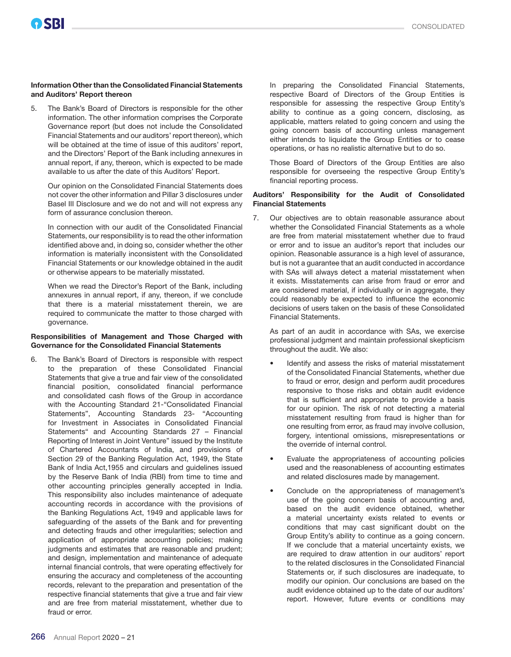#### Information Other than the Consolidated Financial Statements and Auditors' Report thereon

5. The Bank's Board of Directors is responsible for the other information. The other information comprises the Corporate Governance report (but does not include the Consolidated Financial Statements and our auditors' report thereon), which will be obtained at the time of issue of this auditors' report, and the Directors' Report of the Bank including annexures in annual report, if any, thereon, which is expected to be made available to us after the date of this Auditors' Report.

Our opinion on the Consolidated Financial Statements does not cover the other information and Pillar 3 disclosures under Basel III Disclosure and we do not and will not express any form of assurance conclusion thereon.

In connection with our audit of the Consolidated Financial Statements, our responsibility is to read the other information identified above and, in doing so, consider whether the other information is materially inconsistent with the Consolidated Financial Statements or our knowledge obtained in the audit or otherwise appears to be materially misstated.

When we read the Director's Report of the Bank, including annexures in annual report, if any, thereon, if we conclude that there is a material misstatement therein, we are required to communicate the matter to those charged with governance.

#### Responsibilities of Management and Those Charged with Governance for the Consolidated Financial Statements

6. The Bank's Board of Directors is responsible with respect to the preparation of these Consolidated Financial Statements that give a true and fair view of the consolidated financial position, consolidated financial performance and consolidated cash flows of the Group in accordance with the Accounting Standard 21-"Consolidated Financial Statements", Accounting Standards 23- "Accounting for Investment in Associates in Consolidated Financial Statements" and Accounting Standards 27 – Financial Reporting of Interest in Joint Venture" issued by the Institute of Chartered Accountants of India, and provisions of Section 29 of the Banking Regulation Act, 1949, the State Bank of India Act,1955 and circulars and guidelines issued by the Reserve Bank of India (RBI) from time to time and other accounting principles generally accepted in India. This responsibility also includes maintenance of adequate accounting records in accordance with the provisions of the Banking Regulations Act, 1949 and applicable laws for safeguarding of the assets of the Bank and for preventing and detecting frauds and other irregularities; selection and application of appropriate accounting policies; making judgments and estimates that are reasonable and prudent; and design, implementation and maintenance of adequate internal financial controls, that were operating effectively for ensuring the accuracy and completeness of the accounting records, relevant to the preparation and presentation of the respective financial statements that give a true and fair view and are free from material misstatement, whether due to fraud or error.

In preparing the Consolidated Financial Statements, respective Board of Directors of the Group Entities is responsible for assessing the respective Group Entity's ability to continue as a going concern, disclosing, as applicable, matters related to going concern and using the going concern basis of accounting unless management either intends to liquidate the Group Entities or to cease operations, or has no realistic alternative but to do so.

Those Board of Directors of the Group Entities are also responsible for overseeing the respective Group Entity's financial reporting process.

#### Auditors' Responsibility for the Audit of Consolidated Financial Statements

7. Our objectives are to obtain reasonable assurance about whether the Consolidated Financial Statements as a whole are free from material misstatement whether due to fraud or error and to issue an auditor's report that includes our opinion. Reasonable assurance is a high level of assurance, but is not a guarantee that an audit conducted in accordance with SAs will always detect a material misstatement when it exists. Misstatements can arise from fraud or error and are considered material, if individually or in aggregate, they could reasonably be expected to influence the economic decisions of users taken on the basis of these Consolidated Financial Statements.

As part of an audit in accordance with SAs, we exercise professional judgment and maintain professional skepticism throughout the audit. We also:

- Identify and assess the risks of material misstatement of the Consolidated Financial Statements, whether due to fraud or error, design and perform audit procedures responsive to those risks and obtain audit evidence that is sufficient and appropriate to provide a basis for our opinion. The risk of not detecting a material misstatement resulting from fraud is higher than for one resulting from error, as fraud may involve collusion, forgery, intentional omissions, misrepresentations or the override of internal control.
- Evaluate the appropriateness of accounting policies used and the reasonableness of accounting estimates and related disclosures made by management.
- Conclude on the appropriateness of management's use of the going concern basis of accounting and, based on the audit evidence obtained, whether a material uncertainty exists related to events or conditions that may cast significant doubt on the Group Entity's ability to continue as a going concern. If we conclude that a material uncertainty exists, we are required to draw attention in our auditors' report to the related disclosures in the Consolidated Financial Statements or, if such disclosures are inadequate, to modify our opinion. Our conclusions are based on the audit evidence obtained up to the date of our auditors' report. However, future events or conditions may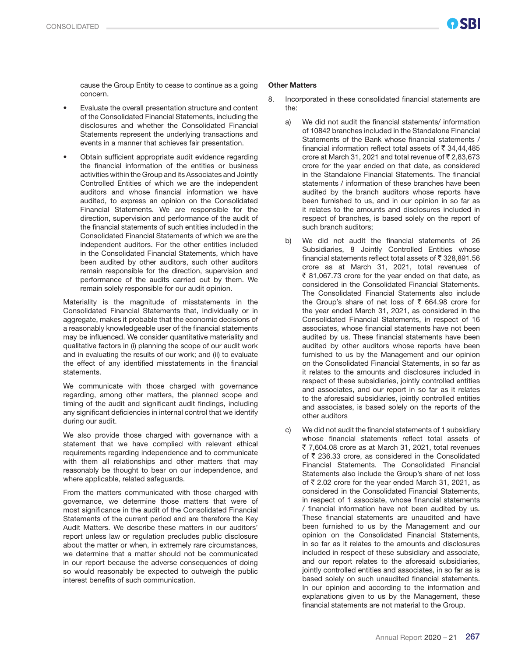cause the Group Entity to cease to continue as a going concern.

- Evaluate the overall presentation structure and content of the Consolidated Financial Statements, including the disclosures and whether the Consolidated Financial Statements represent the underlying transactions and events in a manner that achieves fair presentation.
- Obtain sufficient appropriate audit evidence regarding the financial information of the entities or business activities within the Group and its Associates and Jointly Controlled Entities of which we are the independent auditors and whose financial information we have audited, to express an opinion on the Consolidated Financial Statements. We are responsible for the direction, supervision and performance of the audit of the financial statements of such entities included in the Consolidated Financial Statements of which we are the independent auditors. For the other entities included in the Consolidated Financial Statements, which have been audited by other auditors, such other auditors remain responsible for the direction, supervision and performance of the audits carried out by them. We remain solely responsible for our audit opinion.

Materiality is the magnitude of misstatements in the Consolidated Financial Statements that, individually or in aggregate, makes it probable that the economic decisions of a reasonably knowledgeable user of the financial statements may be influenced. We consider quantitative materiality and qualitative factors in (i) planning the scope of our audit work and in evaluating the results of our work; and (ii) to evaluate the effect of any identified misstatements in the financial statements.

We communicate with those charged with governance regarding, among other matters, the planned scope and timing of the audit and significant audit findings, including any significant deficiencies in internal control that we identify during our audit.

We also provide those charged with governance with a statement that we have complied with relevant ethical requirements regarding independence and to communicate with them all relationships and other matters that may reasonably be thought to bear on our independence, and where applicable, related safeguards.

From the matters communicated with those charged with governance, we determine those matters that were of most significance in the audit of the Consolidated Financial Statements of the current period and are therefore the Key Audit Matters. We describe these matters in our auditors' report unless law or regulation precludes public disclosure about the matter or when, in extremely rare circumstances, we determine that a matter should not be communicated in our report because the adverse consequences of doing so would reasonably be expected to outweigh the public interest benefits of such communication.

#### Other Matters

- 8. Incorporated in these consolidated financial statements are the:
	- a) We did not audit the financial statements/ information of 10842 branches included in the Standalone Financial Statements of the Bank whose financial statements / financial information reflect total assets of  $\bar{\tau}$  34,44,485 crore at March 31, 2021 and total revenue of  $\bar{\tau}$  2,83,673 crore for the year ended on that date, as considered in the Standalone Financial Statements. The financial statements / information of these branches have been audited by the branch auditors whose reports have been furnished to us, and in our opinion in so far as it relates to the amounts and disclosures included in respect of branches, is based solely on the report of such branch auditors;
	- b) We did not audit the financial statements of 26 Subsidiaries, 8 Jointly Controlled Entities whose financial statements reflect total assets of  $\bar{\tau}$  328,891,56 crore as at March 31, 2021, total revenues of  $\bar{\tau}$  81,067,73 crore for the year ended on that date, as considered in the Consolidated Financial Statements. The Consolidated Financial Statements also include the Group's share of net loss of  $\bar{\tau}$  664.98 crore for the year ended March 31, 2021, as considered in the Consolidated Financial Statements, in respect of 16 associates, whose financial statements have not been audited by us. These financial statements have been audited by other auditors whose reports have been furnished to us by the Management and our opinion on the Consolidated Financial Statements, in so far as it relates to the amounts and disclosures included in respect of these subsidiaries, jointly controlled entities and associates, and our report in so far as it relates to the aforesaid subsidiaries, jointly controlled entities and associates, is based solely on the reports of the other auditors
	- c) We did not audit the financial statements of 1 subsidiary whose financial statements reflect total assets of  $\overline{5}$  7,604.08 crore as at March 31, 2021, total revenues of  $\bar{\tau}$  236.33 crore, as considered in the Consolidated Financial Statements. The Consolidated Financial Statements also include the Group's share of net loss of  $\bar{\tau}$  2.02 crore for the year ended March 31, 2021, as considered in the Consolidated Financial Statements, in respect of 1 associate, whose financial statements / financial information have not been audited by us. These financial statements are unaudited and have been furnished to us by the Management and our opinion on the Consolidated Financial Statements, in so far as it relates to the amounts and disclosures included in respect of these subsidiary and associate, and our report relates to the aforesaid subsidiaries, jointly controlled entities and associates, in so far as is based solely on such unaudited financial statements. In our opinion and according to the information and explanations given to us by the Management, these financial statements are not material to the Group.